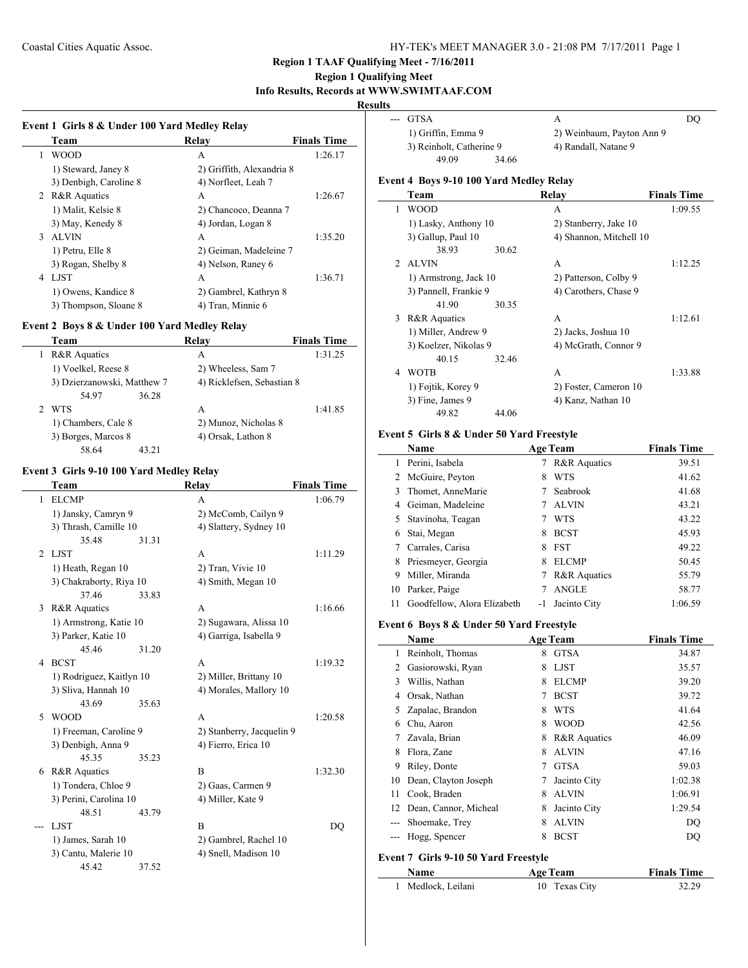# **Region 1 Qualifying Meet Info Results, Records at WWW.SWIMTAAF.COM**

# **Results**

|               | Team                   | Relay                     | <b>Finals Time</b> |
|---------------|------------------------|---------------------------|--------------------|
| 1             | <b>WOOD</b>            | A                         | 1:26.17            |
|               | 1) Steward, Janey 8    | 2) Griffith, Alexandria 8 |                    |
|               | 3) Denbigh, Caroline 8 | 4) Norfleet, Leah 7       |                    |
|               | 2 R&R Aquatics         | A                         | 1:26.67            |
|               | 1) Malit, Kelsie 8     | 2) Chancoco, Deanna 7     |                    |
|               | 3) May, Kenedy 8       | 4) Jordan, Logan 8        |                    |
| $\mathcal{E}$ | <b>ALVIN</b>           | A                         | 1:35.20            |
|               | 1) Petru, Elle 8       | 2) Geiman, Madeleine 7    |                    |
|               | 3) Rogan, Shelby 8     | 4) Nelson, Raney 6        |                    |
| 4             | <b>LIST</b>            | A                         | 1:36.71            |
|               | 1) Owens, Kandice 8    | 2) Gambrel, Kathryn 8     |                    |
|               | 3) Thompson, Sloane 8  | 4) Tran, Minnie 6         |                    |

## **Event 2 Boys 8 & Under 100 Yard Medley Relay**

 $\overline{a}$ 

 $\overline{a}$ 

| Team                        | Relav                      | <b>Finals Time</b> |
|-----------------------------|----------------------------|--------------------|
| <b>R&amp;R</b> Aquatics     | А                          | 1:31.25            |
| 1) Voelkel, Reese 8         | 2) Wheeless, Sam 7         |                    |
| 3) Dzierzanowski, Matthew 7 | 4) Ricklefsen, Sebastian 8 |                    |
| 54.97                       | 36.28                      |                    |
| <b>WTS</b>                  | А                          | 1:41.85            |
| 1) Chambers, Cale 8         | 2) Munoz, Nicholas 8       |                    |
| 3) Borges, Marcos 8         | 4) Orsak, Lathon 8         |                    |
| 58.64                       | 43 21                      |                    |

# **Event 3 Girls 9-10 100 Yard Medley Relay**

|                | Team                     |       | Relay                     | <b>Finals Time</b> |
|----------------|--------------------------|-------|---------------------------|--------------------|
| 1              | <b>ELCMP</b>             |       | A                         | 1:06.79            |
|                | 1) Jansky, Camryn 9      |       | 2) McComb, Cailyn 9       |                    |
|                | 3) Thrash, Camille 10    |       | 4) Slattery, Sydney 10    |                    |
|                | 35.48                    | 31.31 |                           |                    |
| $\mathfrak{D}$ | LJST                     |       | A                         | 1:11.29            |
|                | 1) Heath, Regan 10       |       | 2) Tran, Vivie 10         |                    |
|                | 3) Chakraborty, Riya 10  |       | 4) Smith, Megan 10        |                    |
|                | 37.46                    | 33.83 |                           |                    |
| 3              | R&R Aquatics             |       | A                         | 1:16.66            |
|                | 1) Armstrong, Katie 10   |       | 2) Sugawara, Alissa 10    |                    |
|                | 3) Parker, Katie 10      |       | 4) Garriga, Isabella 9    |                    |
|                | 45.46                    | 31.20 |                           |                    |
| 4              | <b>BCST</b>              |       | A                         | 1:19.32            |
|                | 1) Rodriguez, Kaitlyn 10 |       | 2) Miller, Brittany 10    |                    |
|                | 3) Sliva, Hannah 10      |       | 4) Morales, Mallory 10    |                    |
|                | 43.69                    | 35.63 |                           |                    |
| 5              | <b>WOOD</b>              |       | A                         | 1:20.58            |
|                | 1) Freeman, Caroline 9   |       | 2) Stanberry, Jacquelin 9 |                    |
|                | 3) Denbigh, Anna 9       |       | 4) Fierro, Erica 10       |                    |
|                | 45.35                    | 35.23 |                           |                    |
| 6              | <b>R&amp;R</b> Aquatics  |       | B                         | 1:32.30            |
|                | 1) Tondera, Chloe 9      |       | 2) Gaas, Carmen 9         |                    |
|                | 3) Perini, Carolina 10   |       | 4) Miller, Kate 9         |                    |
|                | 48.51                    | 43.79 |                           |                    |
|                | <b>LIST</b>              |       | R                         | DO                 |
|                | 1) James, Sarah 10       |       | 2) Gambrel, Rachel 10     |                    |
|                | 3) Cantu, Malerie 10     |       | 4) Snell, Madison 10      |                    |
|                | 45.42                    | 37.52 |                           |                    |
|                |                          |       |                           |                    |

| ults |                                         |                           |                    |
|------|-----------------------------------------|---------------------------|--------------------|
|      | <b>GTSA</b>                             | A                         | DO                 |
|      | 1) Griffin, Emma 9                      | 2) Weinbaum, Payton Ann 9 |                    |
|      | 3) Reinholt, Catherine 9                | 4) Randall, Natane 9      |                    |
|      | 49.09                                   | 34.66                     |                    |
|      | Event 4 Boys 9-10 100 Yard Medley Relay |                           |                    |
|      | Team                                    | Relay                     | <b>Finals Time</b> |
|      | WOOD                                    | А                         | 1:09.55            |
|      | 1) Lasky, Anthony 10                    | 2) Stanberry, Jake 10     |                    |
|      | 3) Gallup, Paul 10                      | 4) Shannon, Mitchell 10   |                    |

|               | 38.93                 | 30.62 |                       |         |
|---------------|-----------------------|-------|-----------------------|---------|
| $\mathcal{L}$ | <b>ALVIN</b>          |       | A                     | 1:12.25 |
|               | 1) Armstrong, Jack 10 |       | 2) Patterson, Colby 9 |         |
|               | 3) Pannell, Frankie 9 |       | 4) Carothers, Chase 9 |         |
|               | 41.90                 | 30.35 |                       |         |
| 3             | R&R Aquatics          |       | A                     | 1:12.61 |
|               | 1) Miller, Andrew 9   |       | 2) Jacks, Joshua 10   |         |
|               | 3) Koelzer, Nikolas 9 |       | 4) McGrath, Connor 9  |         |
|               | 40.15                 | 32.46 |                       |         |
| 4             | <b>WOTB</b>           |       | A                     | 1:33.88 |
|               | 1) Foitik, Korey 9    |       | 2) Foster, Cameron 10 |         |
|               | 3) Fine, James 9      |       | 4) Kanz, Nathan 10    |         |
|               | 49.82                 | 44.06 |                       |         |

# **Event 5 Girls 8 & Under 50 Yard Freestyle**

|    | Name                        |    | <b>Age Team</b>         | <b>Finals Time</b> |
|----|-----------------------------|----|-------------------------|--------------------|
|    | Perini, Isabela             |    | <b>R&amp;R</b> Aquatics | 39.51              |
| 2  | McGuire, Peyton             | 8  | <b>WTS</b>              | 41.62              |
| 3. | Thomet, AnneMarie           |    | Seabrook                | 41.68              |
| 4  | Geiman, Madeleine           |    | <b>ALVIN</b>            | 43.21              |
|    | 5 Stavinoha, Teagan         |    | <b>WTS</b>              | 43.22              |
| 6  | Stai, Megan                 | 8  | <b>BCST</b>             | 45.93              |
|    | Carrales, Carisa            | 8  | <b>FST</b>              | 49.22              |
| 8  | Priesmeyer, Georgia         | 8  | <b>ELCMP</b>            | 50.45              |
| 9  | Miller, Miranda             | 7  | <b>R&amp;R</b> Aquatics | 55.79              |
| 10 | Parker, Paige               |    | <b>ANGLE</b>            | 58.77              |
| 11 | Goodfellow, Alora Elizabeth | -1 | Jacinto City            | 1:06.59            |

# **Event 6 Boys 8 & Under 50 Yard Freestyle**

| Name |                       |   | <b>Age Team</b>         | <b>Finals Time</b> |  |
|------|-----------------------|---|-------------------------|--------------------|--|
| 1    | Reinholt, Thomas      | 8 | <b>GTSA</b>             | 34.87              |  |
| 2    | Gasiorowski, Ryan     | 8 | <b>LJST</b>             | 35.57              |  |
| 3    | Willis, Nathan        | 8 | <b>ELCMP</b>            | 39.20              |  |
| 4    | Orsak, Nathan         | 7 | <b>BCST</b>             | 39.72              |  |
|      | Zapalac, Brandon      | 8 | <b>WTS</b>              | 41.64              |  |
| 6    | Chu, Aaron            | 8 | <b>WOOD</b>             | 42.56              |  |
|      | Zavala, Brian         | 8 | <b>R&amp;R</b> Aquatics | 46.09              |  |
| 8    | Flora, Zane           | 8 | <b>ALVIN</b>            | 47.16              |  |
| 9    | Riley, Donte          | 7 | <b>GTSA</b>             | 59.03              |  |
| 10   | Dean, Clayton Joseph  | 7 | Jacinto City            | 1:02.38            |  |
| 11   | Cook, Braden          | 8 | <b>ALVIN</b>            | 1:06.91            |  |
| 12   | Dean, Cannor, Micheal | 8 | Jacinto City            | 1:29.54            |  |
|      | Shoemake, Trey        | 8 | <b>ALVIN</b>            | DO                 |  |
|      | Hogg, Spencer         | 8 | <b>BCST</b>             | DO                 |  |

#### **Event 7 Girls 9-10 50 Yard Freestyle**

 $\overline{\phantom{a}}$ 

| <b>Name</b>      | <b>Age Team</b> | <b>Finals Time</b> |
|------------------|-----------------|--------------------|
| Medlock, Leilani | 10 Texas City   | 32.29              |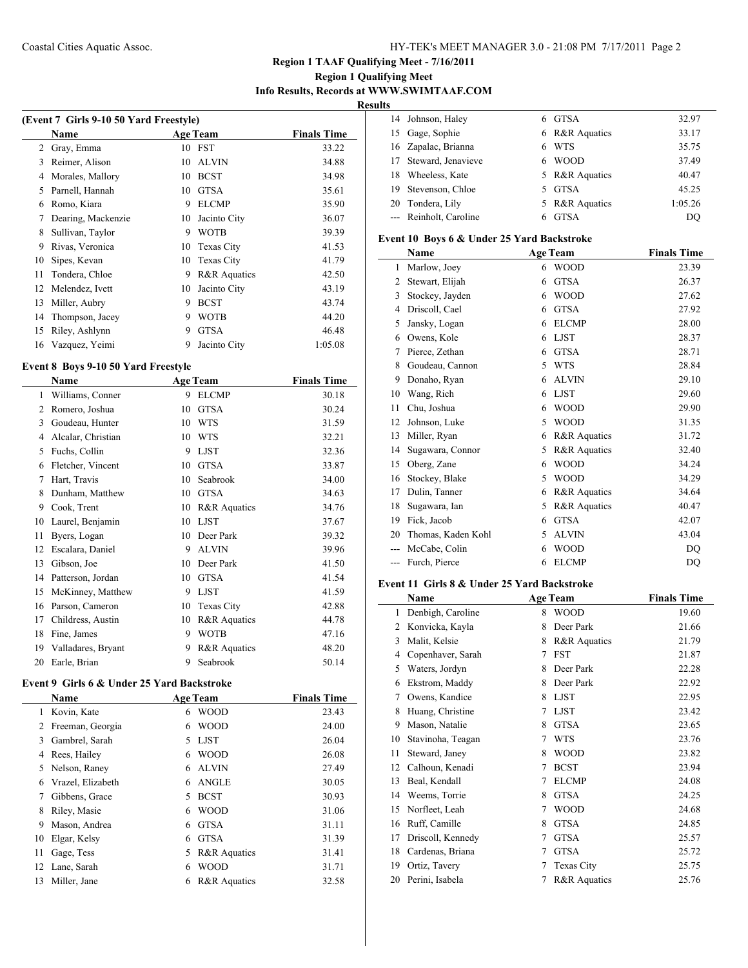# **Region 1 Qualifying Meet Info Results, Records at WWW.SWIMTAAF.COM**

 $\overline{\phantom{0}}$ 

**Results**

| (Event 7 Girls 9-10 50 Yard Freestyle) |                    |    |                   |                    |  |
|----------------------------------------|--------------------|----|-------------------|--------------------|--|
|                                        | Name               |    | <b>Age Team</b>   | <b>Finals Time</b> |  |
| 2                                      | Gray, Emma         | 10 | <b>FST</b>        | 33.22              |  |
| 3                                      | Reimer, Alison     | 10 | <b>ALVIN</b>      | 34.88              |  |
| 4                                      | Morales, Mallory   | 10 | <b>BCST</b>       | 34.98              |  |
| 5                                      | Parnell, Hannah    | 10 | <b>GTSA</b>       | 35.61              |  |
| 6                                      | Romo, Kiara        | 9  | <b>ELCMP</b>      | 35.90              |  |
| 7                                      | Dearing, Mackenzie | 10 | Jacinto City      | 36.07              |  |
| 8                                      | Sullivan, Taylor   | 9  | <b>WOTB</b>       | 39.39              |  |
| 9                                      | Rivas, Veronica    | 10 | <b>Texas City</b> | 41.53              |  |
| 10                                     | Sipes, Kevan       | 10 | <b>Texas City</b> | 41.79              |  |
| 11                                     | Tondera, Chloe     | 9  | R&R Aquatics      | 42.50              |  |
| 12                                     | Melendez, Ivett    | 10 | Jacinto City      | 43.19              |  |
| 13                                     | Miller, Aubry      | 9  | <b>BCST</b>       | 43.74              |  |
| 14                                     | Thompson, Jacey    | 9  | <b>WOTB</b>       | 44.20              |  |
| 15                                     | Riley, Ashlynn     | 9  | <b>GTSA</b>       | 46.48              |  |
| 16                                     | Vazquez, Yeimi     | 9  | Jacinto City      | 1:05.08            |  |

# **Event 8 Boys 9-10 50 Yard Freestyle**

 $\overline{\phantom{0}}$ 

|                | Name               |    | <b>Age Team</b>         | <b>Finals Time</b> |
|----------------|--------------------|----|-------------------------|--------------------|
| 1              | Williams, Conner   | 9  | <b>ELCMP</b>            | 30.18              |
| $\overline{2}$ | Romero, Joshua     | 10 | <b>GTSA</b>             | 30.24              |
| 3              | Goudeau, Hunter    | 10 | <b>WTS</b>              | 31.59              |
| 4              | Alcalar, Christian | 10 | <b>WTS</b>              | 32.21              |
| 5              | Fuchs, Collin      | 9  | <b>LJST</b>             | 32.36              |
| 6              | Fletcher, Vincent  | 10 | <b>GTSA</b>             | 33.87              |
| 7              | Hart, Travis       | 10 | Seabrook                | 34.00              |
| 8              | Dunham, Matthew    | 10 | <b>GTSA</b>             | 34.63              |
| 9              | Cook, Trent        | 10 | R&R Aquatics            | 34.76              |
| 10             | Laurel, Benjamin   | 10 | <b>LJST</b>             | 37.67              |
| 11             | Byers, Logan       | 10 | Deer Park               | 39.32              |
| 12             | Escalara, Daniel   | 9  | <b>ALVIN</b>            | 39.96              |
| 13             | Gibson, Joe        | 10 | Deer Park               | 41.50              |
| 14             | Patterson, Jordan  | 10 | <b>GTSA</b>             | 41.54              |
| 15             | McKinney, Matthew  | 9  | <b>LJST</b>             | 41.59              |
| 16             | Parson, Cameron    | 10 | <b>Texas City</b>       | 42.88              |
| 17             | Childress, Austin  | 10 | R&R Aquatics            | 44.78              |
| 18             | Fine, James        | 9  | <b>WOTB</b>             | 47.16              |
| 19             | Valladares, Bryant | 9  | <b>R&amp;R</b> Aquatics | 48.20              |
| 20             | Earle, Brian       | 9  | Seabrook                | 50.14              |

# **Event 9 Girls 6 & Under 25 Yard Backstroke**

| <b>Name</b><br><b>Age Team</b> |                   |    | <b>Finals Time</b>      |       |
|--------------------------------|-------------------|----|-------------------------|-------|
| 1                              | Kovin, Kate       | 6  | <b>WOOD</b>             | 23.43 |
| 2                              | Freeman, Georgia  | 6  | <b>WOOD</b>             | 24.00 |
| 3                              | Gambrel, Sarah    | 5. | <b>LJST</b>             | 26.04 |
| 4                              | Rees, Hailey      | 6  | <b>WOOD</b>             | 26.08 |
| 5                              | Nelson, Raney     | 6  | <b>ALVIN</b>            | 27.49 |
| 6                              | Vrazel, Elizabeth | 6  | <b>ANGLE</b>            | 30.05 |
| 7                              | Gibbens, Grace    | 5. | <b>BCST</b>             | 30.93 |
| 8                              | Riley, Masie      | 6  | <b>WOOD</b>             | 31.06 |
| 9                              | Mason, Andrea     | 6  | <b>GTSA</b>             | 31.11 |
| 10                             | Elgar, Kelsy      | 6  | <b>GTSA</b>             | 31.39 |
| 11                             | Gage, Tess        | 5  | <b>R&amp;R</b> Aquatics | 31.41 |
|                                | 12 Lane, Sarah    | 6  | <b>WOOD</b>             | 31.71 |
| 13                             | Miller, Jane      | 6  | <b>R&amp;R</b> Aquatics | 32.58 |

| 14 Johnson, Haley      | 6 GTSA         | 32.97   |
|------------------------|----------------|---------|
| 15 Gage, Sophie        | 6 R&R Aquatics | 33.17   |
| 16 Zapalac, Brianna    | 6 WTS          | 35.75   |
| 17 Steward, Jenavieve  | 6 WOOD         | 37.49   |
| 18 Wheeless, Kate      | 5 R&R Aquatics | 40.47   |
| 19 Stevenson, Chloe    | 5 GTSA         | 45.25   |
| 20 Tondera, Lily       | 5 R&R Aquatics | 1:05.26 |
| --- Reinholt, Caroline | 6 GTSA         | DO      |
|                        |                |         |

## **Event 10 Boys 6 & Under 25 Yard Backstroke**

|     | Name               |   | <b>Age Team</b> | <b>Finals Time</b> |
|-----|--------------------|---|-----------------|--------------------|
| 1   | Marlow, Joey       | 6 | <b>WOOD</b>     | 23.39              |
| 2   | Stewart, Elijah    | 6 | <b>GTSA</b>     | 26.37              |
| 3   | Stockey, Jayden    | 6 | <b>WOOD</b>     | 27.62              |
| 4   | Driscoll, Cael     | 6 | <b>GTSA</b>     | 27.92              |
| 5   | Jansky, Logan      | 6 | <b>ELCMP</b>    | 28.00              |
| 6   | Owens, Kole        | 6 | <b>LJST</b>     | 28.37              |
| 7   | Pierce, Zethan     | 6 | <b>GTSA</b>     | 28.71              |
| 8   | Goudeau, Cannon    | 5 | <b>WTS</b>      | 28.84              |
| 9   | Donaho, Ryan       | 6 | <b>ALVIN</b>    | 29.10              |
| 10  | Wang, Rich         | 6 | <b>LJST</b>     | 29.60              |
| 11  | Chu, Joshua        | 6 | <b>WOOD</b>     | 29.90              |
| 12  | Johnson, Luke      | 5 | <b>WOOD</b>     | 31.35              |
| 13  | Miller, Ryan       | 6 | R&R Aquatics    | 31.72              |
| 14  | Sugawara, Connor   | 5 | R&R Aquatics    | 32.40              |
| 15  | Oberg, Zane        | 6 | <b>WOOD</b>     | 34.24              |
| 16  | Stockey, Blake     | 5 | <b>WOOD</b>     | 34.29              |
| 17  | Dulin, Tanner      | 6 | R&R Aquatics    | 34.64              |
| 18  | Sugawara, Ian      | 5 | R&R Aquatics    | 40.47              |
| 19  | Fick, Jacob        | 6 | <b>GTSA</b>     | 42.07              |
| 20  | Thomas, Kaden Kohl | 5 | <b>ALVIN</b>    | 43.04              |
|     | McCabe, Colin      | 6 | <b>WOOD</b>     | DQ                 |
| --- | Furch, Pierce      | 6 | <b>ELCMP</b>    | DQ                 |

## **Event 11 Girls 8 & Under 25 Yard Backstroke**

|    | Name              |   | <b>Age Team</b>         | <b>Finals Time</b> |
|----|-------------------|---|-------------------------|--------------------|
| 1  | Denbigh, Caroline | 8 | <b>WOOD</b>             | 19.60              |
| 2  | Konvicka, Kayla   | 8 | Deer Park               | 21.66              |
| 3  | Malit, Kelsie     | 8 | R&R Aquatics            | 21.79              |
| 4  | Copenhaver, Sarah | 7 | <b>FST</b>              | 21.87              |
| 5  | Waters, Jordyn    | 8 | Deer Park               | 22.28              |
| 6  | Ekstrom, Maddy    | 8 | Deer Park               | 22.92              |
| 7  | Owens, Kandice    | 8 | <b>LJST</b>             | 22.95              |
| 8  | Huang, Christine  | 7 | <b>LJST</b>             | 23.42              |
| 9  | Mason, Natalie    | 8 | <b>GTSA</b>             | 23.65              |
| 10 | Stavinoha, Teagan | 7 | <b>WTS</b>              | 23.76              |
| 11 | Steward, Janey    | 8 | <b>WOOD</b>             | 23.82              |
| 12 | Calhoun, Kenadi   | 7 | <b>BCST</b>             | 23.94              |
| 13 | Beal, Kendall     | 7 | <b>ELCMP</b>            | 24.08              |
| 14 | Weems, Torrie     | 8 | <b>GTSA</b>             | 24.25              |
| 15 | Norfleet, Leah    | 7 | WOOD                    | 24.68              |
| 16 | Ruff, Camille     | 8 | <b>GTSA</b>             | 24.85              |
| 17 | Driscoll, Kennedy | 7 | <b>GTSA</b>             | 25.57              |
| 18 | Cardenas, Briana  | 7 | <b>GTSA</b>             | 25.72              |
| 19 | Ortiz, Tavery     | 7 | <b>Texas City</b>       | 25.75              |
| 20 | Perini, Isabela   | 7 | <b>R&amp;R</b> Aquatics | 25.76              |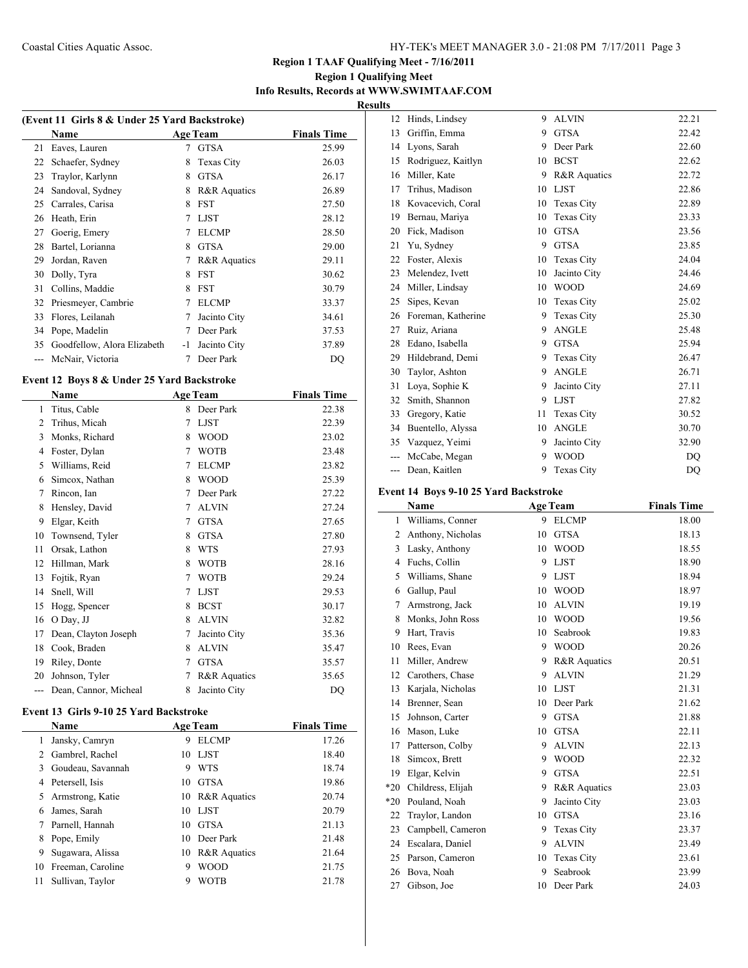# **Region 1 Qualifying Meet Info Results, Records at WWW.SWIMTAAF.COM**

 $\overline{\phantom{a}}$ 

**Results**

| (Event 11 Girls 8 & Under 25 Yard Backstroke) |                             |    |                 |                    |  |
|-----------------------------------------------|-----------------------------|----|-----------------|--------------------|--|
|                                               | Name                        |    | <b>Age Team</b> | <b>Finals Time</b> |  |
| 21                                            | Eaves, Lauren               | 7  | <b>GTSA</b>     | 25.99              |  |
| 22                                            | Schaefer, Sydney            | 8  | Texas City      | 26.03              |  |
| 23                                            | Traylor, Karlynn            | 8  | <b>GTSA</b>     | 26.17              |  |
| 24                                            | Sandoval, Sydney            | 8  | R&R Aquatics    | 26.89              |  |
| 25                                            | Carrales, Carisa            | 8  | <b>FST</b>      | 27.50              |  |
| 26                                            | Heath, Erin                 | 7  | <b>LJST</b>     | 28.12              |  |
| 27                                            | Goerig, Emery               | 7  | <b>ELCMP</b>    | 28.50              |  |
| 28                                            | Bartel, Lorianna            | 8  | <b>GTSA</b>     | 29.00              |  |
| 29                                            | Jordan, Raven               | 7  | R&R Aquatics    | 29.11              |  |
| 30                                            | Dolly, Tyra                 | 8  | <b>FST</b>      | 30.62              |  |
| 31                                            | Collins, Maddie             | 8  | <b>FST</b>      | 30.79              |  |
| 32                                            | Priesmeyer, Cambrie         | 7  | <b>ELCMP</b>    | 33.37              |  |
| 33                                            | Flores, Leilanah            | 7  | Jacinto City    | 34.61              |  |
| 34                                            | Pope, Madelin               | 7  | Deer Park       | 37.53              |  |
| 35                                            | Goodfellow, Alora Elizabeth | -1 | Jacinto City    | 37.89              |  |
|                                               | McNair, Victoria            |    | Deer Park       | DQ                 |  |
|                                               |                             |    |                 |                    |  |

#### **Event 12 Boys 8 & Under 25 Yard Backstroke**

 $\overline{a}$ 

|                | Name                  |   | <b>Age Team</b> | <b>Finals Time</b> |
|----------------|-----------------------|---|-----------------|--------------------|
| 1              | Titus, Cable          | 8 | Deer Park       | 22.38              |
| $\overline{c}$ | Trihus, Micah         | 7 | <b>LJST</b>     | 22.39              |
| 3              | Monks, Richard        | 8 | <b>WOOD</b>     | 23.02              |
| 4              | Foster, Dylan         | 7 | <b>WOTB</b>     | 23.48              |
| 5              | Williams, Reid        | 7 | <b>ELCMP</b>    | 23.82              |
| 6              | Simcox, Nathan        | 8 | <b>WOOD</b>     | 25.39              |
| 7              | Rincon, Ian           | 7 | Deer Park       | 27.22              |
| 8              | Hensley, David        | 7 | <b>ALVIN</b>    | 27.24              |
| 9              | Elgar, Keith          | 7 | <b>GTSA</b>     | 27.65              |
| 10             | Townsend, Tyler       | 8 | <b>GTSA</b>     | 27.80              |
| 11             | Orsak, Lathon         | 8 | <b>WTS</b>      | 27.93              |
| 12             | Hillman, Mark         | 8 | <b>WOTB</b>     | 28.16              |
| 13             | Fojtik, Ryan          | 7 | <b>WOTB</b>     | 29.24              |
| 14             | Snell, Will           | 7 | <b>LJST</b>     | 29.53              |
| 15             | Hogg, Spencer         | 8 | <b>BCST</b>     | 30.17              |
| 16             | O Day, JJ             | 8 | <b>ALVIN</b>    | 32.82              |
| 17             | Dean, Clayton Joseph  | 7 | Jacinto City    | 35.36              |
| 18             | Cook, Braden          | 8 | <b>ALVIN</b>    | 35.47              |
| 19             | Riley, Donte          | 7 | <b>GTSA</b>     | 35.57              |
| 20             | Johnson, Tyler        | 7 | R&R Aquatics    | 35.65              |
|                | Dean, Cannor, Micheal | 8 | Jacinto City    | DQ                 |
|                |                       |   |                 |                    |

# **Event 13 Girls 9-10 25 Yard Backstroke**

|    | <b>Name</b>        |    | <b>Age Team</b>         | <b>Finals Time</b> |
|----|--------------------|----|-------------------------|--------------------|
|    | Jansky, Camryn     | 9  | <b>ELCMP</b>            | 17.26              |
|    | 2 Gambrel, Rachel  | 10 | LJST                    | 18.40              |
| 3  | Goudeau, Savannah  | 9  | <b>WTS</b>              | 18.74              |
| 4  | Petersell, Isis    | 10 | <b>GTSA</b>             | 19.86              |
|    | 5 Armstrong, Katie | 10 | <b>R&amp;R</b> Aquatics | 20.74              |
| 6  | James, Sarah       | 10 | LJST                    | 20.79              |
|    | Parnell, Hannah    | 10 | <b>GTSA</b>             | 21.13              |
| 8  | Pope, Emily        | 10 | Deer Park               | 21.48              |
| 9  | Sugawara, Alissa   | 10 | <b>R&amp;R</b> Aquatics | 21.64              |
| 10 | Freeman, Caroline  | 9  | <b>WOOD</b>             | 21.75              |
| 11 | Sullivan, Taylor   | 9  | <b>WOTB</b>             | 21.78              |

| 12  | Hinds, Lindsey     | 9  | <b>ALVIN</b>      | 22.21          |
|-----|--------------------|----|-------------------|----------------|
| 13  | Griffin, Emma      | 9  | <b>GTSA</b>       | 22.42          |
| 14  | Lyons, Sarah       | 9  | Deer Park         | 22.60          |
| 15  | Rodriguez, Kaitlyn | 10 | <b>BCST</b>       | 22.62          |
| 16  | Miller, Kate       | 9  | R&R Aquatics      | 22.72          |
| 17  | Trihus, Madison    | 10 | <b>LJST</b>       | 22.86          |
| 18  | Kovacevich, Coral  | 10 | Texas City        | 22.89          |
| 19  | Bernau, Mariya     | 10 | Texas City        | 23.33          |
| 20  | Fick, Madison      | 10 | <b>GTSA</b>       | 23.56          |
| 21  | Yu, Sydney         | 9  | <b>GTSA</b>       | 23.85          |
| 22  | Foster, Alexis     | 10 | Texas City        | 24.04          |
| 23  | Melendez, Ivett    | 10 | Jacinto City      | 24.46          |
| 24  | Miller, Lindsay    | 10 | <b>WOOD</b>       | 24.69          |
| 25  | Sipes, Kevan       | 10 | Texas City        | 25.02          |
| 26  | Foreman, Katherine | 9  | Texas City        | 25.30          |
| 27  | Ruiz, Ariana       | 9  | <b>ANGLE</b>      | 25.48          |
| 28  | Edano, Isabella    | 9  | <b>GTSA</b>       | 25.94          |
| 29  | Hildebrand, Demi   | 9  | Texas City        | 26.47          |
| 30  | Taylor, Ashton     | 9  | <b>ANGLE</b>      | 26.71          |
| 31  | Loya, Sophie K     | 9  | Jacinto City      | 27.11          |
| 32  | Smith, Shannon     | 9  | <b>LJST</b>       | 27.82          |
| 33  | Gregory, Katie     | 11 | Texas City        | 30.52          |
| 34  | Buentello, Alyssa  | 10 | <b>ANGLE</b>      | 30.70          |
| 35  | Vazquez, Yeimi     | 9  | Jacinto City      | 32.90          |
| --- | McCabe, Megan      | 9  | <b>WOOD</b>       | D <sub>O</sub> |
| --- | Dean, Kaitlen      | 9  | <b>Texas City</b> | DQ             |

# **Event 14 Boys 9-10 25 Yard Backstroke**

|                | Name              |    | <b>Age Team</b>   | <b>Finals Time</b> |
|----------------|-------------------|----|-------------------|--------------------|
| 1              | Williams, Conner  | 9  | <b>ELCMP</b>      | 18.00              |
| $\overline{2}$ | Anthony, Nicholas | 10 | <b>GTSA</b>       | 18.13              |
| 3              | Lasky, Anthony    | 10 | <b>WOOD</b>       | 18.55              |
| 4              | Fuchs, Collin     | 9  | <b>LJST</b>       | 18.90              |
| 5              | Williams, Shane   | 9  | <b>LJST</b>       | 18.94              |
| 6              | Gallup, Paul      | 10 | <b>WOOD</b>       | 18.97              |
| 7              | Armstrong, Jack   | 10 | <b>ALVIN</b>      | 19.19              |
| 8              | Monks, John Ross  | 10 | <b>WOOD</b>       | 19.56              |
| 9              | Hart, Travis      | 10 | Seabrook          | 19.83              |
| 10             | Rees, Evan        | 9  | <b>WOOD</b>       | 20.26              |
| 11             | Miller, Andrew    | 9  | R&R Aquatics      | 20.51              |
| 12             | Carothers, Chase  | 9  | <b>ALVIN</b>      | 21.29              |
| 13             | Karjala, Nicholas | 10 | <b>LJST</b>       | 21.31              |
| 14             | Brenner, Sean     | 10 | Deer Park         | 21.62              |
| 15             | Johnson, Carter   | 9  | <b>GTSA</b>       | 21.88              |
| 16             | Mason, Luke       | 10 | <b>GTSA</b>       | 22.11              |
| 17             | Patterson, Colby  | 9  | <b>ALVIN</b>      | 22.13              |
| 18             | Simcox, Brett     | 9  | <b>WOOD</b>       | 22.32              |
| 19             | Elgar, Kelvin     | 9  | <b>GTSA</b>       | 22.51              |
| $*20$          | Childress, Elijah | 9  | R&R Aquatics      | 23.03              |
| $*20$          | Pouland, Noah     | 9  | Jacinto City      | 23.03              |
| 22             | Traylor, Landon   | 10 | <b>GTSA</b>       | 23.16              |
| 23             | Campbell, Cameron | 9  | <b>Texas City</b> | 23.37              |
| 24             | Escalara, Daniel  | 9  | <b>ALVIN</b>      | 23.49              |
| 25             | Parson, Cameron   | 10 | Texas City        | 23.61              |
| 26             | Bova, Noah        | 9  | Seabrook          | 23.99              |
| 27             | Gibson, Joe       | 10 | Deer Park         | 24.03              |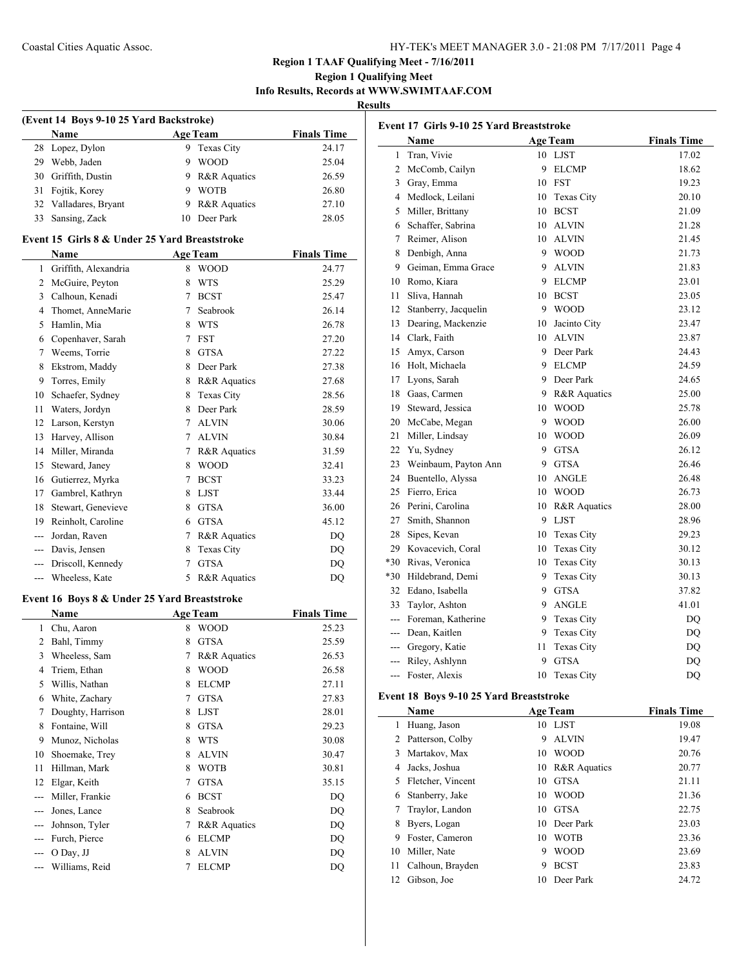# **Region 1 Qualifying Meet Info Results, Records at WWW.SWIMTAAF.COM**

**Results**

| (Event 14 Boys 9-10 25 Yard Backstroke)       |                                               |             |                        |                    |  |  |  |  |
|-----------------------------------------------|-----------------------------------------------|-------------|------------------------|--------------------|--|--|--|--|
|                                               | Name                                          |             | <b>Age Team</b>        | <b>Finals Time</b> |  |  |  |  |
| 28                                            | Lopez, Dylon                                  | 9           | Texas City             | 24.17              |  |  |  |  |
| 29                                            | Webb, Jaden                                   |             | 9 WOOD                 | 25.04              |  |  |  |  |
|                                               | 30 Griffith, Dustin                           |             | 9 R&R Aquatics         | 26.59              |  |  |  |  |
| 31                                            | Fojtik, Korey                                 |             | 9 WOTB                 | 26.80              |  |  |  |  |
|                                               | 32 Valladares, Bryant                         |             | 9 R&R Aquatics         | 27.10              |  |  |  |  |
| 33                                            | Sansing, Zack                                 | 10          | Deer Park              | 28.05              |  |  |  |  |
|                                               | Event 15 Girls 8 & Under 25 Yard Breaststroke |             |                        |                    |  |  |  |  |
| <b>Finals Time</b><br>Name<br><b>Age Team</b> |                                               |             |                        |                    |  |  |  |  |
| $\mathbf{1}$                                  | Griffith, Alexandria                          |             | 8 WOOD                 | 24.77              |  |  |  |  |
|                                               | 2 McGuire, Peyton                             | 8           | WTS                    | 25.29              |  |  |  |  |
|                                               | 3 Calhoun, Kenadi                             |             | 7 BCST                 | 25.47              |  |  |  |  |
| 4                                             | Thomet, AnneMarie                             | $7^{\circ}$ | Seabrook               | 26.14              |  |  |  |  |
|                                               | 5 Hamlin, Mia                                 |             | 8 WTS                  | 26.78              |  |  |  |  |
|                                               | 6 Copenhaver, Sarah                           |             | 7 FST                  | 27.20              |  |  |  |  |
|                                               | 7 Weems, Torrie                               |             | 8 GTSA                 | 27.22              |  |  |  |  |
| 8                                             | Ekstrom, Maddy                                |             | 8 Deer Park            | 27.38              |  |  |  |  |
| 9                                             | Torres, Emily                                 |             | 8 R&R Aquatics         | 27.68              |  |  |  |  |
|                                               | 10 Schaefer, Sydney                           |             | 8 Texas City           | 28.56              |  |  |  |  |
| 11                                            | Waters, Jordyn                                |             | 8 Deer Park            | 28.59              |  |  |  |  |
| 12                                            | Larson, Kerstyn                               |             | 7 ALVIN                | 30.06              |  |  |  |  |
| 13                                            | Harvey, Allison                               |             | 7 ALVIN                | 30.84              |  |  |  |  |
|                                               | 14 Miller, Miranda                            |             | 7 R&R Aquatics         | 31.59              |  |  |  |  |
| 15                                            | Steward, Janey                                |             | 8 WOOD                 |                    |  |  |  |  |
|                                               |                                               | $7^{\circ}$ | <b>BCST</b>            | 32.41<br>33.23     |  |  |  |  |
| 17                                            | 16 Gutierrez, Myrka<br>Gambrel, Kathryn       |             |                        |                    |  |  |  |  |
|                                               |                                               |             | 8 LJST                 | 33.44              |  |  |  |  |
| 18                                            | Stewart, Genevieve                            |             | 8 GTSA                 | 36.00              |  |  |  |  |
|                                               | 19 Reinholt, Caroline                         |             | 6 GTSA                 | 45.12              |  |  |  |  |
|                                               | --- Jordan, Raven                             |             | 7 R&R Aquatics         | DQ                 |  |  |  |  |
|                                               | --- Davis, Jensen                             |             | 8 Texas City           | DQ                 |  |  |  |  |
|                                               | --- Driscoll, Kennedy<br>--- Wheeless, Kate   | 5           | 7 GTSA<br>R&R Aquatics | DQ<br>DQ           |  |  |  |  |
|                                               |                                               |             |                        |                    |  |  |  |  |
|                                               | Event 16 Boys 8 & Under 25 Yard Breaststroke  |             |                        |                    |  |  |  |  |
|                                               | <b>Name</b>                                   |             | <b>Age Team</b>        | <b>Finals Time</b> |  |  |  |  |
| $\mathbf{1}$                                  | Chu, Aaron                                    | 8           | <b>WOOD</b>            | 25.23              |  |  |  |  |
|                                               | 2 Bahl, Timmy                                 | 8           | <b>GTSA</b>            | 25.59              |  |  |  |  |
| 3                                             | Wheeless, Sam                                 | 7           | R&R Aquatics           | 26.53              |  |  |  |  |
| 4                                             | Triem, Ethan                                  | 8           | <b>WOOD</b>            | 26.58              |  |  |  |  |
| 5                                             | Willis, Nathan                                | 8           | <b>ELCMP</b>           | 27.11              |  |  |  |  |
| 6                                             | White, Zachary                                | 7           | <b>GTSA</b>            | 27.83              |  |  |  |  |
| 7                                             | Doughty, Harrison                             | 8           | <b>LJST</b>            | 28.01              |  |  |  |  |
| 8                                             | Fontaine, Will                                | 8           | <b>GTSA</b>            | 29.23              |  |  |  |  |
| 9                                             | Munoz, Nicholas                               | 8           | <b>WTS</b>             | 30.08              |  |  |  |  |
| 10                                            | Shoemake, Trey                                | 8           | <b>ALVIN</b>           | 30.47              |  |  |  |  |
| 11                                            | Hillman, Mark                                 | 8           | <b>WOTB</b>            | 30.81              |  |  |  |  |
| 12                                            | Elgar, Keith                                  | 7           | <b>GTSA</b>            | 35.15              |  |  |  |  |

--- Miller, Frankie 6 BCST DQ --- Jones, Lance 8 Seabrook DQ --- Johnson, Tyler 7 R&R Aquatics DQ -- Furch, Pierce 6 ELCMP DQ --- O Day, JJ 8 ALVIN DQ --- Williams, Reid 7 ELCMP DQ

| Event 17 Girls 9-10 25 Yard Breaststroke |                      |    |                   |                        |  |
|------------------------------------------|----------------------|----|-------------------|------------------------|--|
|                                          | Name                 |    | <b>Age Team</b>   | <b>Finals Time</b>     |  |
| $\mathbf{1}$                             | Tran, Vivie          | 10 | <b>LJST</b>       | 17.02                  |  |
| $\overline{c}$                           | McComb, Cailyn       | 9  | <b>ELCMP</b>      | 18.62                  |  |
| 3                                        | Gray, Emma           | 10 | FST               | 19.23                  |  |
| $\overline{4}$                           | Medlock, Leilani     | 10 | Texas City        | 20.10                  |  |
| 5                                        | Miller, Brittany     | 10 | <b>BCST</b>       | 21.09                  |  |
| 6                                        | Schaffer, Sabrina    | 10 | <b>ALVIN</b>      | 21.28                  |  |
| 7                                        | Reimer, Alison       | 10 | <b>ALVIN</b>      | 21.45                  |  |
| 8                                        | Denbigh, Anna        | 9  | <b>WOOD</b>       | 21.73                  |  |
| 9                                        | Geiman, Emma Grace   | 9  | <b>ALVIN</b>      | 21.83                  |  |
| 10                                       | Romo, Kiara          | 9  | <b>ELCMP</b>      | 23.01                  |  |
| 11                                       | Sliva, Hannah        | 10 | <b>BCST</b>       | 23.05                  |  |
| 12                                       | Stanberry, Jacquelin | 9  | <b>WOOD</b>       | 23.12                  |  |
| 13                                       | Dearing, Mackenzie   | 10 | Jacinto City      | 23.47                  |  |
| 14                                       | Clark, Faith         |    | 10 ALVIN          | 23.87                  |  |
| 15                                       | Amyx, Carson         | 9  | Deer Park         | 24.43                  |  |
| 16                                       | Holt, Michaela       | 9  | <b>ELCMP</b>      | 24.59                  |  |
| 17                                       | Lyons, Sarah         | 9  | Deer Park         | 24.65                  |  |
| 18                                       | Gaas, Carmen         |    | 9 R&R Aquatics    | 25.00                  |  |
| 19                                       | Steward, Jessica     | 10 | <b>WOOD</b>       | 25.78                  |  |
| 20                                       | McCabe, Megan        | 9  | <b>WOOD</b>       | 26.00                  |  |
| 21                                       | Miller, Lindsay      | 10 | <b>WOOD</b>       | 26.09                  |  |
| 22                                       | Yu, Sydney           | 9  | <b>GTSA</b>       | 26.12                  |  |
| 23                                       | Weinbaum, Payton Ann | 9  | <b>GTSA</b>       | 26.46                  |  |
| 24                                       | Buentello, Alyssa    | 10 | <b>ANGLE</b>      | 26.48                  |  |
| 25                                       | Fierro, Erica        | 10 | <b>WOOD</b>       | 26.73                  |  |
| 26                                       | Perini, Carolina     | 10 | R&R Aquatics      | 28.00                  |  |
| 27                                       | Smith, Shannon       | 9  | <b>LJST</b>       | 28.96                  |  |
| 28                                       | Sipes, Kevan         |    | 10 Texas City     | 29.23                  |  |
| 29                                       | Kovacevich, Coral    | 10 | Texas City        | 30.12                  |  |
| *30                                      | Rivas, Veronica      | 10 | Texas City        | 30.13                  |  |
| *30                                      | Hildebrand, Demi     | 9  | Texas City        | 30.13                  |  |
| 32                                       | Edano, Isabella      | 9  | <b>GTSA</b>       | 37.82                  |  |
| 33                                       | Taylor, Ashton       | 9  | <b>ANGLE</b>      | 41.01                  |  |
| $---$                                    | Foreman, Katherine   | 9. | Texas City        | DQ                     |  |
| ---                                      | Dean, Kaitlen        | 9  | Texas City        | $\mathbf{D}\mathbf{Q}$ |  |
| ---                                      | Gregory, Katie       | 11 | Texas City        | DQ                     |  |
| ---                                      | Riley, Ashlynn       | 9  | <b>GTSA</b>       | DQ                     |  |
| ---                                      | Foster, Alexis       | 10 | <b>Texas City</b> | DQ                     |  |

# **Event 18 Boys 9-10 25 Yard Breaststroke**

|    | Name              |    | <b>Age Team</b> | <b>Finals Time</b> |
|----|-------------------|----|-----------------|--------------------|
| 1  | Huang, Jason      | 10 | LJST            | 19.08              |
|    | Patterson, Colby  | 9  | <b>ALVIN</b>    | 19.47              |
| 3  | Martakov, Max     | 10 | <b>WOOD</b>     | 20.76              |
| 4  | Jacks, Joshua     | 10 | R&R Aquatics    | 20.77              |
| 5  | Fletcher, Vincent | 10 | <b>GTSA</b>     | 21.11              |
| 6  | Stanberry, Jake   | 10 | <b>WOOD</b>     | 21.36              |
|    | Traylor, Landon   | 10 | <b>GTSA</b>     | 22.75              |
| 8  | Byers, Logan      | 10 | Deer Park       | 23.03              |
| 9  | Foster, Cameron   | 10 | <b>WOTB</b>     | 23.36              |
| 10 | Miller, Nate      | 9  | <b>WOOD</b>     | 23.69              |
| 11 | Calhoun, Brayden  | 9  | <b>BCST</b>     | 23.83              |
| 12 | Gibson, Joe       | 10 | Deer Park       | 24.72              |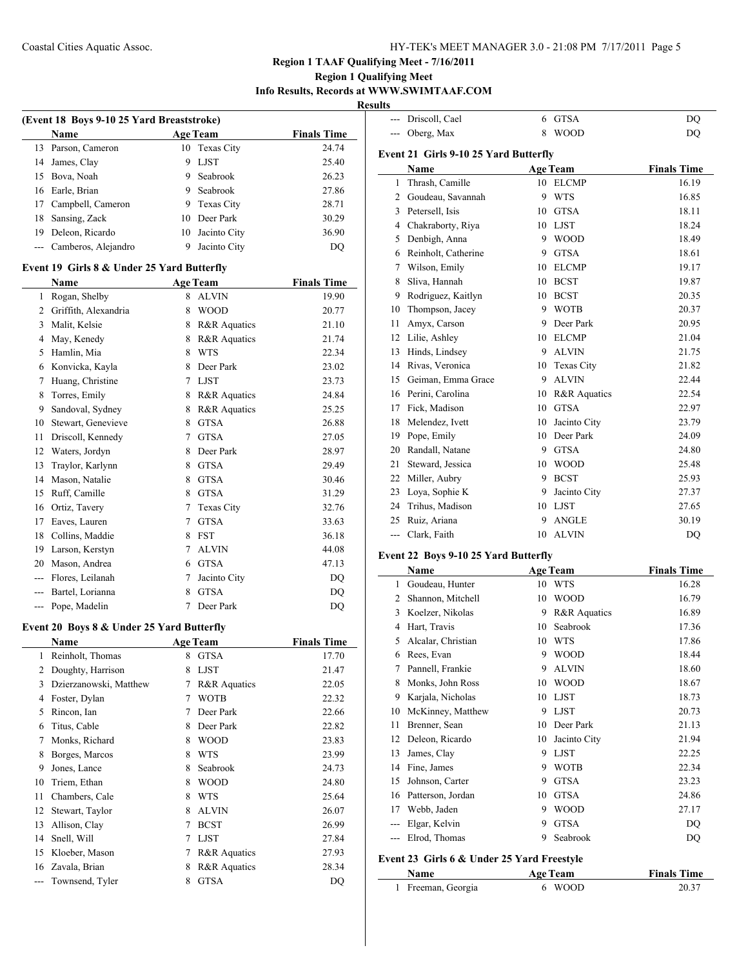--- Driscoll, Cael 6 GTSA DQ

# **Region 1 TAAF Qualifying Meet - 7/16/2011**

# **Region 1 Qualifying Meet Info Results, Records at WWW.SWIMTAAF.COM**

**Results**

| (Event 18 Boys 9-10 25 Yard Breaststroke) |                                            |        |                   |                    |  |
|-------------------------------------------|--------------------------------------------|--------|-------------------|--------------------|--|
|                                           | <b>Name</b>                                |        | <b>Age Team</b>   | <b>Finals Time</b> |  |
| 13                                        | Parson, Cameron                            | 10     | Texas City        | 24.74              |  |
| 14                                        | James, Clay                                | 9      | <b>LJST</b>       | 25.40              |  |
| 15                                        | Bova, Noah                                 | 9      | Seabrook          | 26.23              |  |
| 16                                        | Earle, Brian                               |        | 9 Seabrook        | 27.86              |  |
| 17                                        | Campbell, Cameron                          | 9      | Texas City        | 28.71              |  |
| 18                                        | Sansing, Zack                              | 10     | Deer Park         | 30.29              |  |
| 19                                        | Deleon, Ricardo                            | 10     | Jacinto City      | 36.90              |  |
| ---                                       | Camberos, Alejandro                        | 9      | Jacinto City      | D <sub>O</sub>     |  |
|                                           | Event 19 Girls 8 & Under 25 Yard Butterfly |        |                   |                    |  |
|                                           | <b>Name</b>                                |        | <b>Age Team</b>   | <b>Finals Time</b> |  |
| 1                                         | Rogan, Shelby                              | 8      | <b>ALVIN</b>      | 19.90              |  |
| 2                                         | Griffith, Alexandria                       | 8      | <b>WOOD</b>       | 20.77              |  |
| 3                                         | Malit, Kelsie                              | 8      | R&R Aquatics      | 21.10              |  |
| 4                                         | May, Kenedy                                | 8      | R&R Aquatics      | 21.74              |  |
| 5                                         | Hamlin, Mia                                | 8      | <b>WTS</b>        | 22.34              |  |
| 6                                         | Konvicka, Kayla                            | 8      | Deer Park         | 23.02              |  |
| 7                                         | Huang, Christine                           | $\tau$ | <b>LJST</b>       | 23.73              |  |
| 8                                         | Torres, Emily                              | 8      | R&R Aquatics      | 24.84              |  |
| 9                                         | Sandoval, Sydney                           | 8      | R&R Aquatics      | 25.25              |  |
| 10                                        | Stewart, Genevieve                         | 8      | <b>GTSA</b>       | 26.88              |  |
| 11                                        | Driscoll, Kennedy                          | 7      | <b>GTSA</b>       | 27.05              |  |
| 12                                        | Waters, Jordyn                             | 8      | Deer Park         | 28.97              |  |
| 13                                        | Traylor, Karlynn                           | 8      | <b>GTSA</b>       | 29.49              |  |
| 14                                        | Mason, Natalie                             | 8      | <b>GTSA</b>       | 30.46              |  |
| 15                                        | Ruff, Camille                              | 8      | <b>GTSA</b>       | 31.29              |  |
| 16                                        | Ortiz, Tavery                              | 7      | <b>Texas City</b> | 32.76              |  |
| 17                                        | Eaves, Lauren                              | 7      | <b>GTSA</b>       | 33.63              |  |
| 18                                        | Collins, Maddie                            | 8      | <b>FST</b>        | 36.18              |  |
| 19                                        | Larson, Kerstyn                            | $\tau$ | <b>ALVIN</b>      | 44.08              |  |
| 20                                        | Mason, Andrea                              | 6      | <b>GTSA</b>       | 47.13              |  |
| ---                                       | Flores, Leilanah                           | 7      | Jacinto City      | DQ                 |  |
| ---                                       | Bartel, Lorianna                           | 8      | <b>GTSA</b>       | DQ                 |  |
| ---                                       | Pope, Madelin                              | 7      | Deer Park         | DQ                 |  |

# **Event 20 Boys 8 & Under 25 Yard Butterfly**

| Name                   |   |                         | <b>Finals Time</b> |
|------------------------|---|-------------------------|--------------------|
| Reinholt, Thomas       | 8 | <b>GTSA</b>             | 17.70              |
| Doughty, Harrison      | 8 | <b>LJST</b>             | 21.47              |
| Dzierzanowski, Matthew | 7 | <b>R&amp;R</b> Aquatics | 22.05              |
| Foster, Dylan          | 7 | <b>WOTB</b>             | 22.32              |
| Rincon, Ian            | 7 | Deer Park               | 22.66              |
| Titus, Cable           | 8 | Deer Park               | 22.82              |
| Monks, Richard         | 8 | <b>WOOD</b>             | 23.83              |
| Borges, Marcos         | 8 | <b>WTS</b>              | 23.99              |
| Jones, Lance           | 8 | Seabrook                | 24.73              |
| Triem, Ethan           | 8 | <b>WOOD</b>             | 24.80              |
| Chambers, Cale         | 8 | <b>WTS</b>              | 25.64              |
| Stewart, Taylor        | 8 | <b>ALVIN</b>            | 26.07              |
| Allison, Clay          | 7 | <b>BCST</b>             | 26.99              |
| Snell, Will            | 7 | <b>LJST</b>             | 27.84              |
| Kloeber, Mason         | 7 | <b>R&amp;R</b> Aquatics | 27.93              |
| Zavala, Brian          | 8 | <b>R&amp;R</b> Aquatics | 28.34              |
| Townsend, Tyler        | 8 | <b>GTSA</b>             | DQ                 |
|                        |   |                         | <b>Age Team</b>    |

| ---            | Oberg, Max                            | 8  | <b>WOOD</b>     | DQ                 |
|----------------|---------------------------------------|----|-----------------|--------------------|
|                | Event 21 Girls 9-10 25 Yard Butterfly |    |                 |                    |
|                | Name                                  |    | <b>Age Team</b> | <b>Finals Time</b> |
| 1              | Thrash, Camille                       |    | 10 ELCMP        | 16.19              |
| $\overline{2}$ | Goudeau, Savannah                     | 9  | <b>WTS</b>      | 16.85              |
|                | 3 Petersell, Isis                     | 10 | <b>GTSA</b>     | 18.11              |
|                | 4 Chakraborty, Riya                   | 10 | LJST            | 18.24              |
|                | 5 Denbigh, Anna                       |    | 9 WOOD          | 18.49              |
|                | 6 Reinholt, Catherine                 | 9  | <b>GTSA</b>     | 18.61              |
| 7              | Wilson, Emily                         |    | 10 ELCMP        | 19.17              |
| 8              | Sliva, Hannah                         |    | 10 BCST         | 19.87              |
| 9              | Rodriguez, Kaitlyn                    |    | 10 BCST         | 20.35              |
| 10             | Thompson, Jacey                       | 9  | <b>WOTB</b>     | 20.37              |
| 11             | Amyx, Carson                          | 9  | Deer Park       | 20.95              |
|                | 12 Lilie, Ashley                      | 10 | <b>ELCMP</b>    | 21.04              |
| 13             | Hinds, Lindsey                        | 9  | <b>ALVIN</b>    | 21.75              |
|                | 14 Rivas, Veronica                    | 10 | Texas City      | 21.82              |
|                | 15 Geiman, Emma Grace                 | 9  | <b>ALVIN</b>    | 22.44              |
|                | 16 Perini, Carolina                   | 10 | R&R Aquatics    | 22.54              |
|                | 17 Fick, Madison                      | 10 | <b>GTSA</b>     | 22.97              |
|                | 18 Melendez, Ivett                    | 10 | Jacinto City    | 23.79              |
|                | 19 Pope, Emily                        |    | 10 Deer Park    | 24.09              |
|                | 20 Randall, Natane                    |    | 9 GTSA          | 24.80              |
|                | 21 Steward, Jessica                   |    | 10 WOOD         | 25.48              |
|                | 22 Miller, Aubry                      | 9  | <b>BCST</b>     | 25.93              |
| 23             | Loya, Sophie K                        | 9  | Jacinto City    | 27.37              |
|                | 24 Trihus, Madison                    | 10 | <b>LJST</b>     | 27.65              |
|                | 25 Ruiz, Ariana                       | 9  | <b>ANGLE</b>    | 30.19              |
|                | --- Clark, Faith                      | 10 | <b>ALVIN</b>    | DQ                 |
|                |                                       |    |                 |                    |
|                | Event 22 Boys 9-10 25 Yard Butterfly  |    |                 |                    |
|                | Name                                  |    | <b>Age Team</b> | <b>Finals Time</b> |
| 1              | Goudeau, Hunter                       |    | 10 WTS          | 16.28              |
|                | 2 Shannon, Mitchell                   | 10 | <b>WOOD</b>     | 16.79              |
|                | 3 Koelzer, Nikolas                    | 9. | R&R Aquatics    | 16.89              |
|                | 4 Hart, Travis                        | 10 | Seabrook        | 17.36              |
| 5              | Alcalar, Christian                    | 10 | <b>WTS</b>      | 17.86              |
|                | 6 Rees, Evan                          | 9  | <b>WOOD</b>     | 18.44              |
| 7              | Pannell, Frankie                      | 9  | <b>ALVIN</b>    | 18.60              |
| 8              | Monks, John Ross                      | 10 | <b>WOOD</b>     | 18.67              |
| 9              | Karjala, Nicholas                     | 10 | <b>LJST</b>     | 18.73              |
| 10             | McKinney, Matthew                     | 9  | <b>LJST</b>     | 20.73              |
| 11             | Brenner, Sean                         | 10 | Deer Park       | 21.13              |
| 12             | Deleon, Ricardo                       | 10 | Jacinto City    | 21.94              |
| 13             | James, Clay                           | 9  | <b>LJST</b>     | 22.25              |
| 14             | Fine, James                           | 9  | <b>WOTB</b>     | 22.34              |
| 15             | Johnson, Carter                       | 9  | <b>GTSA</b>     | 23.23              |
| 16             | Patterson, Jordan                     | 10 | <b>GTSA</b>     | 24.86              |
| 17             | Webb, Jaden                           | 9  | WOOD            | 27.17              |

#### **Event 23 Girls 6 & Under 25 Yard Freestyle**

 $\overline{a}$ 

| <b>Name</b>        | <b>Age Team</b> | <b>Finals Time</b> |
|--------------------|-----------------|--------------------|
| 1 Freeman, Georgia | 6 WOOD          | 20.37              |

--- Elgar, Kelvin 9 GTSA DQ --- Elrod, Thomas 9 Seabrook DQ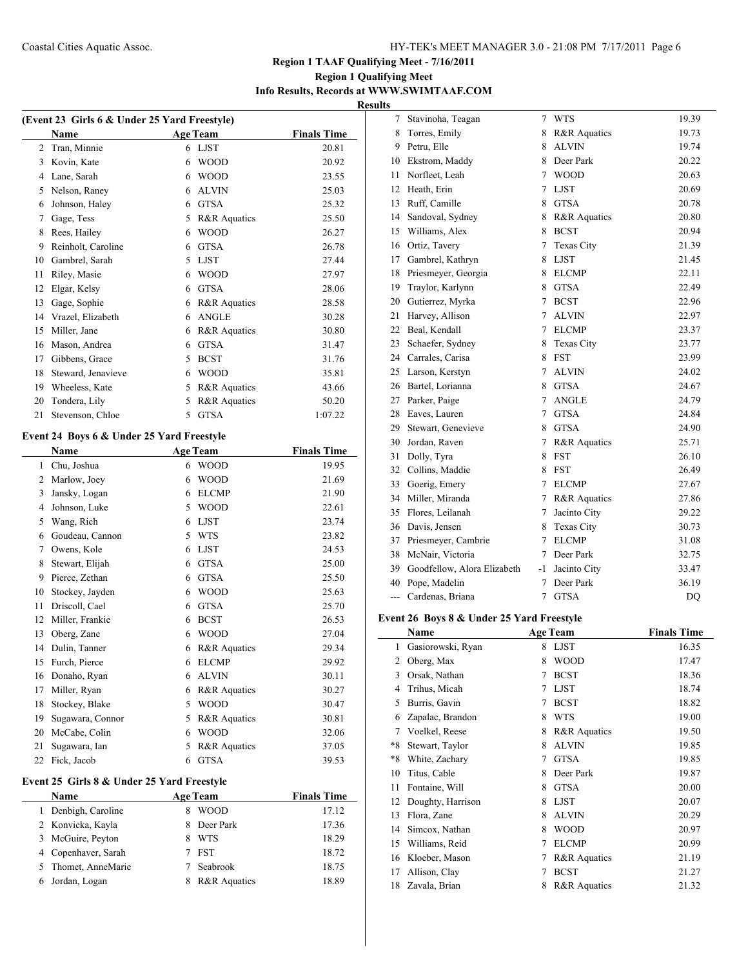# **Region 1 Qualifying Meet Info Results, Records at WWW.SWIMTAAF.COM Results**

| (Event 23 Girls 6 & Under 25 Yard Freestyle) |                    |   |                         |                    |  |  |
|----------------------------------------------|--------------------|---|-------------------------|--------------------|--|--|
|                                              | Name               |   | <b>Age Team</b>         | <b>Finals Time</b> |  |  |
| 2                                            | Tran, Minnie       | 6 | <b>LJST</b>             | 20.81              |  |  |
| 3                                            | Kovin, Kate        | 6 | <b>WOOD</b>             | 20.92              |  |  |
| 4                                            | Lane, Sarah        | 6 | <b>WOOD</b>             | 23.55              |  |  |
| 5                                            | Nelson, Raney      | 6 | <b>ALVIN</b>            | 25.03              |  |  |
| 6                                            | Johnson, Haley     | 6 | <b>GTSA</b>             | 25.32              |  |  |
| 7                                            | Gage, Tess         | 5 | R&R Aquatics            | 25.50              |  |  |
| 8                                            | Rees, Hailey       | 6 | <b>WOOD</b>             | 26.27              |  |  |
| 9                                            | Reinholt, Caroline | 6 | <b>GTSA</b>             | 26.78              |  |  |
| 10                                           | Gambrel, Sarah     | 5 | <b>LJST</b>             | 27.44              |  |  |
| 11                                           | Riley, Masie       | 6 | <b>WOOD</b>             | 27.97              |  |  |
| 12                                           | Elgar, Kelsy       | 6 | <b>GTSA</b>             | 28.06              |  |  |
| 13                                           | Gage, Sophie       | 6 | R&R Aquatics            | 28.58              |  |  |
| 14                                           | Vrazel, Elizabeth  | 6 | <b>ANGLE</b>            | 30.28              |  |  |
| 15                                           | Miller, Jane       | 6 | <b>R&amp;R</b> Aquatics | 30.80              |  |  |
| 16                                           | Mason, Andrea      | 6 | <b>GTSA</b>             | 31.47              |  |  |
| 17                                           | Gibbens, Grace     | 5 | <b>BCST</b>             | 31.76              |  |  |
| 18                                           | Steward, Jenavieve | 6 | <b>WOOD</b>             | 35.81              |  |  |
| 19                                           | Wheeless, Kate     | 5 | R&R Aquatics            | 43.66              |  |  |
| 20                                           | Tondera, Lily      | 5 | R&R Aquatics            | 50.20              |  |  |
| 21                                           | Stevenson, Chloe   | 5 | <b>GTSA</b>             | 1:07.22            |  |  |

# **Event 24 Boys 6 & Under 25 Yard Freestyle**

|    | Name             |   | <b>Age Team</b>         | <b>Finals Time</b> |
|----|------------------|---|-------------------------|--------------------|
| 1  | Chu, Joshua      | 6 | <b>WOOD</b>             | 19.95              |
| 2  | Marlow, Joey     | 6 | <b>WOOD</b>             | 21.69              |
| 3  | Jansky, Logan    | 6 | <b>ELCMP</b>            | 21.90              |
| 4  | Johnson, Luke    | 5 | <b>WOOD</b>             | 22.61              |
| 5  | Wang, Rich       | 6 | <b>LJST</b>             | 23.74              |
| 6  | Goudeau, Cannon  | 5 | <b>WTS</b>              | 23.82              |
| 7  | Owens, Kole      | 6 | <b>LJST</b>             | 24.53              |
| 8  | Stewart, Elijah  | 6 | <b>GTSA</b>             | 25.00              |
| 9  | Pierce, Zethan   | 6 | <b>GTSA</b>             | 25.50              |
| 10 | Stockey, Jayden  | 6 | <b>WOOD</b>             | 25.63              |
| 11 | Driscoll, Cael   | 6 | <b>GTSA</b>             | 25.70              |
| 12 | Miller, Frankie  | 6 | <b>BCST</b>             | 26.53              |
| 13 | Oberg, Zane      | 6 | <b>WOOD</b>             | 27.04              |
| 14 | Dulin, Tanner    | 6 | R&R Aquatics            | 29.34              |
| 15 | Furch, Pierce    | 6 | <b>ELCMP</b>            | 29.92              |
| 16 | Donaho, Ryan     | 6 | <b>ALVIN</b>            | 30.11              |
| 17 | Miller, Ryan     | 6 | R&R Aquatics            | 30.27              |
| 18 | Stockey, Blake   | 5 | <b>WOOD</b>             | 30.47              |
| 19 | Sugawara, Connor | 5 | R&R Aquatics            | 30.81              |
| 20 | McCabe, Colin    | 6 | <b>WOOD</b>             | 32.06              |
| 21 | Sugawara, Ian    | 5 | <b>R&amp;R</b> Aquatics | 37.05              |
| 22 | Fick, Jacob      | 6 | <b>GTSA</b>             | 39.53              |

# **Event 25 Girls 8 & Under 25 Yard Freestyle**

| <b>Name</b>         |                         | <b>Finals Time</b>                      |
|---------------------|-------------------------|-----------------------------------------|
| Denbigh, Caroline   | <b>WOOD</b>             | 17.12                                   |
| 2 Konvicka, Kayla   |                         | 17.36                                   |
| 3 McGuire, Peyton   | <b>WTS</b>              | 18.29                                   |
| 4 Copenhaver, Sarah |                         | 18.72                                   |
| 5 Thomet, AnneMarie | Seabrook                | 18.75                                   |
| 6 Jordan, Logan     | <b>R&amp;R</b> Aquatics | 18.89                                   |
|                     |                         | <b>Age Team</b><br>8 Deer Park<br>7 FST |

| 7                        | Stavinoha, Teagan           | 7      | <b>WTS</b>              | 19.39 |
|--------------------------|-----------------------------|--------|-------------------------|-------|
| 8                        | Torres, Emily               | 8      | R&R Aquatics            | 19.73 |
| 9.                       | Petru, Elle                 | 8      | <b>ALVIN</b>            | 19.74 |
| 10                       | Ekstrom, Maddy              | 8      | Deer Park               | 20.22 |
| 11                       | Norfleet, Leah              | 7      | <b>WOOD</b>             | 20.63 |
| 12                       | Heath, Erin                 | 7      | <b>LJST</b>             | 20.69 |
| 13                       | Ruff, Camille               | 8      | <b>GTSA</b>             | 20.78 |
| 14                       | Sandoval, Sydney            | 8      | R&R Aquatics            | 20.80 |
| 15                       | Williams, Alex              | 8      | <b>BCST</b>             | 20.94 |
| 16                       | Ortiz, Tavery               | 7      | Texas City              | 21.39 |
| 17                       | Gambrel, Kathryn            | 8      | <b>LJST</b>             | 21.45 |
| 18                       | Priesmeyer, Georgia         | 8      | <b>ELCMP</b>            | 22.11 |
| 19                       | Traylor, Karlynn            | 8      | <b>GTSA</b>             | 22.49 |
| 20                       | Gutierrez, Myrka            | 7      | <b>BCST</b>             | 22.96 |
| 21                       | Harvey, Allison             | 7      | <b>ALVIN</b>            | 22.97 |
| 22                       | Beal, Kendall               | 7      | <b>ELCMP</b>            | 23.37 |
| 23                       | Schaefer, Sydney            | 8      | Texas City              | 23.77 |
| 24                       | Carrales, Carisa            | 8      | <b>FST</b>              | 23.99 |
| 25                       | Larson, Kerstyn             | 7      | <b>ALVIN</b>            | 24.02 |
| 26                       | Bartel, Lorianna            | 8.     | <b>GTSA</b>             | 24.67 |
| 27                       | Parker, Paige               | 7      | <b>ANGLE</b>            | 24.79 |
| 28                       | Eaves, Lauren               | $\tau$ | <b>GTSA</b>             | 24.84 |
| 29                       | Stewart, Genevieve          | 8      | <b>GTSA</b>             | 24.90 |
| 30                       | Jordan, Raven               | 7      | R&R Aquatics            | 25.71 |
| 31                       | Dolly, Tyra                 | 8      | <b>FST</b>              | 26.10 |
| 32                       | Collins, Maddie             | 8      | <b>FST</b>              | 26.49 |
| 33                       | Goerig, Emery               | 7      | <b>ELCMP</b>            | 27.67 |
| 34                       | Miller, Miranda             | 7      | <b>R&amp;R</b> Aquatics | 27.86 |
| 35                       | Flores, Leilanah            | 7      | Jacinto City            | 29.22 |
| 36                       | Davis, Jensen               | 8      | <b>Texas City</b>       | 30.73 |
| 37                       | Priesmeyer, Cambrie         | 7      | <b>ELCMP</b>            | 31.08 |
| 38                       | McNair, Victoria            | 7      | Deer Park               | 32.75 |
| 39                       | Goodfellow, Alora Elizabeth | -1     | Jacinto City            | 33.47 |
| 40                       | Pope, Madelin               | 7      | Deer Park               | 36.19 |
| $\overline{\phantom{a}}$ | Cardenas, Briana            | 7      | <b>GTSA</b>             | DQ    |

#### **Event 26 Boys 8 & Under 25 Yard Freestyle**

|      | Name              |   | <b>Age Team</b>         | <b>Finals Time</b> |
|------|-------------------|---|-------------------------|--------------------|
| 1    | Gasiorowski, Ryan | 8 | <b>LJST</b>             | 16.35              |
| 2    | Oberg, Max        | 8 | <b>WOOD</b>             | 17.47              |
| 3    | Orsak, Nathan     | 7 | <b>BCST</b>             | 18.36              |
| 4    | Trihus, Micah     | 7 | <b>LJST</b>             | 18.74              |
| 5    | Burris, Gavin     | 7 | <b>BCST</b>             | 18.82              |
| 6    | Zapalac, Brandon  | 8 | <b>WTS</b>              | 19.00              |
| 7    | Voelkel, Reese    | 8 | <b>R&amp;R</b> Aquatics | 19.50              |
| $*8$ | Stewart, Taylor   | 8 | <b>ALVIN</b>            | 19.85              |
| $*8$ | White, Zachary    | 7 | <b>GTSA</b>             | 19.85              |
| 10   | Titus, Cable      | 8 | Deer Park               | 19.87              |
| 11   | Fontaine, Will    | 8 | <b>GTSA</b>             | 20.00              |
| 12   | Doughty, Harrison | 8 | <b>LJST</b>             | 20.07              |
| 13   | Flora, Zane       | 8 | <b>ALVIN</b>            | 20.29              |
| 14   | Simcox, Nathan    | 8 | <b>WOOD</b>             | 20.97              |
| 15   | Williams, Reid    | 7 | <b>ELCMP</b>            | 20.99              |
| 16   | Kloeber, Mason    | 7 | <b>R&amp;R</b> Aquatics | 21.19              |
| 17   | Allison, Clay     | 7 | <b>BCST</b>             | 21.27              |
| 18   | Zavala, Brian     | 8 | R&R Aquatics            | 21.32              |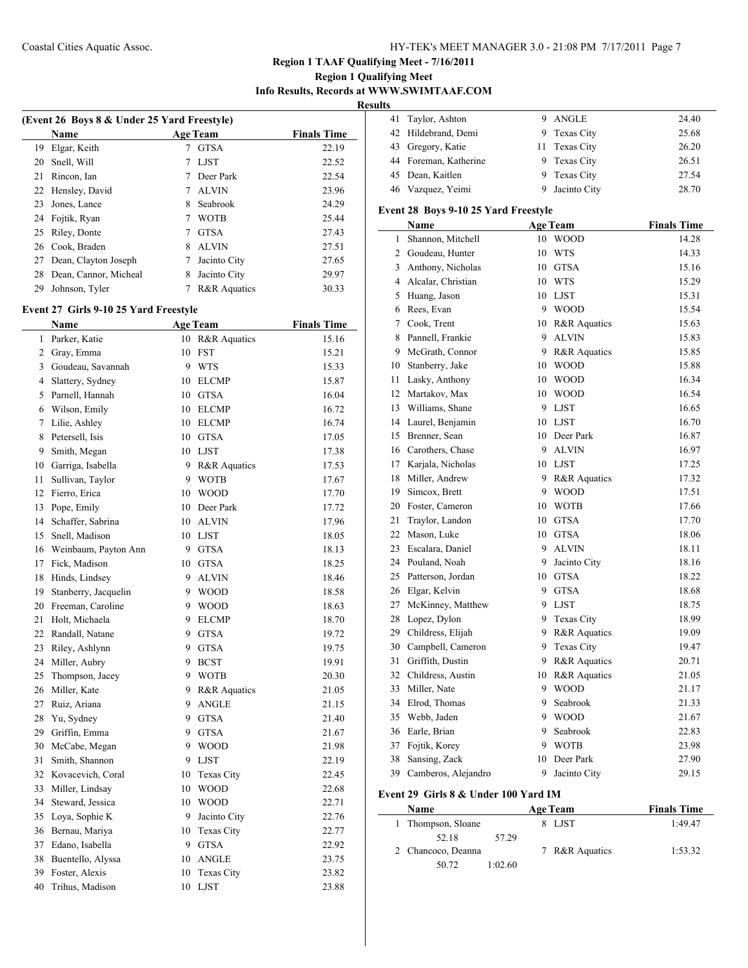# **Region 1 Qualifying Meet Info Results, Records at WWW.SWIMTAAF.COM**

**Result** 

|    | (Event 26 Boys 8 & Under 25 Yard Freestyle) |   |                         |                    |  |  |
|----|---------------------------------------------|---|-------------------------|--------------------|--|--|
|    | <b>Name</b>                                 |   | <b>Age Team</b>         | <b>Finals Time</b> |  |  |
| 19 | Elgar, Keith                                |   | <b>GTSA</b>             | 22.19              |  |  |
| 20 | Snell, Will                                 |   | <b>LJST</b>             | 22.52              |  |  |
| 21 | Rincon, Ian                                 |   | Deer Park               | 22.54              |  |  |
| 22 | Hensley, David                              |   | <b>ALVIN</b>            | 23.96              |  |  |
| 23 | Jones, Lance                                | 8 | Seabrook                | 24.29              |  |  |
| 24 | Fojtik, Ryan                                |   | <b>WOTB</b>             | 25.44              |  |  |
| 25 | Riley, Donte                                |   | <b>GTSA</b>             | 27.43              |  |  |
| 26 | Cook, Braden                                | 8 | <b>ALVIN</b>            | 27.51              |  |  |
| 27 | Dean, Clayton Joseph                        |   | Jacinto City            | 27.65              |  |  |
| 28 | Dean, Cannor, Micheal                       | 8 | Jacinto City            | 29.97              |  |  |
| 29 | Johnson, Tyler                              |   | <b>R&amp;R</b> Aquatics | 30.33              |  |  |
|    |                                             |   |                         |                    |  |  |

### **Event 27 Girls 9-10 25 Yard Freestyle**

|                | Name                 |    | <b>Age Team</b> | <b>Finals Time</b> |
|----------------|----------------------|----|-----------------|--------------------|
| 1              | Parker, Katie        |    | 10 R&R Aquatics | 15.16              |
| $\overline{2}$ | Gray, Emma           |    | 10 FST          | 15.21              |
| $\overline{3}$ | Goudeau, Savannah    | 9  | <b>WTS</b>      | 15.33              |
| $\overline{4}$ | Slattery, Sydney     |    | 10 ELCMP        | 15.87              |
| 5              | Parnell, Hannah      |    | 10 GTSA         | 16.04              |
| 6              | Wilson, Emily        |    | 10 ELCMP        | 16.72              |
| 7              | Lilie, Ashley        | 10 | <b>ELCMP</b>    | 16.74              |
| 8              | Petersell, Isis      |    | 10 GTSA         | 17.05              |
| 9              | Smith, Megan         |    | 10 LJST         | 17.38              |
|                | 10 Garriga, Isabella |    | 9 R&R Aquatics  | 17.53              |
| 11             | Sullivan, Taylor     | 9  | <b>WOTB</b>     | 17.67              |
| 12             | Fierro, Erica        | 10 | <b>WOOD</b>     | 17.70              |
| 13             | Pope, Emily          |    | 10 Deer Park    | 17.72              |
| 14             | Schaffer, Sabrina    |    | 10 ALVIN        | 17.96              |
| 15             | Snell, Madison       |    | 10 LJST         | 18.05              |
| 16             | Weinbaum, Payton Ann | 9  | <b>GTSA</b>     | 18.13              |
| 17             | Fick, Madison        | 10 | <b>GTSA</b>     | 18.25              |
| 18             | Hinds, Lindsey       | 9  | <b>ALVIN</b>    | 18.46              |
| 19             | Stanberry, Jacquelin |    | 9 WOOD          | 18.58              |
| 20             | Freeman, Caroline    | 9  | <b>WOOD</b>     | 18.63              |
| 21             | Holt, Michaela       | 9  | <b>ELCMP</b>    | 18.70              |
| 22             | Randall, Natane      | 9  | <b>GTSA</b>     | 19.72              |
| 23             | Riley, Ashlynn       | 9  | <b>GTSA</b>     | 19.75              |
| 24             | Miller, Aubry        | 9  | <b>BCST</b>     | 19.91              |
| 25             | Thompson, Jacey      |    | 9 WOTB          | 20.30              |
| 26             | Miller, Kate         | 9  | R&R Aquatics    | 21.05              |
| 27             | Ruiz, Ariana         | 9  | <b>ANGLE</b>    | 21.15              |
| 28             | Yu, Sydney           | 9  | <b>GTSA</b>     | 21.40              |
| 29             | Griffin, Emma        | 9  | <b>GTSA</b>     | 21.67              |
| 30             | McCabe, Megan        | 9  | <b>WOOD</b>     | 21.98              |
| 31             | Smith, Shannon       | 9  | <b>LJST</b>     | 22.19              |
| 32             | Kovacevich, Coral    | 10 | Texas City      | 22.45              |
| 33             | Miller, Lindsay      | 10 | <b>WOOD</b>     | 22.68              |
| 34             | Steward, Jessica     | 10 | <b>WOOD</b>     | 22.71              |
| 35             | Loya, Sophie K       | 9  | Jacinto City    | 22.76              |
| 36             | Bernau, Mariya       |    | 10 Texas City   | 22.77              |
| 37             | Edano, Isabella      | 9  | <b>GTSA</b>     | 22.92              |
| 38             | Buentello, Alyssa    | 10 | <b>ANGLE</b>    | 23.75              |
| 39             | Foster, Alexis       | 10 | Texas City      | 23.82              |
| 40             | Trihus, Madison      | 10 | <b>LJST</b>     | 23.88              |
|                |                      |    |                 |                    |

| 24.40 |
|-------|
| 25.68 |
| 26.20 |
| 26.51 |
| 27.54 |
| 28.70 |
|       |

# **Event 28 Boys 9-10 25 Yard Freestyle**

|    | <b>Name</b>          |    | <b>Age Team</b> | <b>Finals Time</b> |
|----|----------------------|----|-----------------|--------------------|
| 1  | Shannon, Mitchell    | 10 | <b>WOOD</b>     | 14.28              |
| 2  | Goudeau, Hunter      | 10 | <b>WTS</b>      | 14.33              |
| 3  | Anthony, Nicholas    | 10 | <b>GTSA</b>     | 15.16              |
|    | 4 Alcalar, Christian | 10 | <b>WTS</b>      | 15.29              |
| 5  | Huang, Jason         |    | 10 LJST         | 15.31              |
| 6  | Rees, Evan           | 9  | <b>WOOD</b>     | 15.54              |
| 7  | Cook, Trent          |    | 10 R&R Aquatics | 15.63              |
| 8  | Pannell, Frankie     | 9  | <b>ALVIN</b>    | 15.83              |
| 9  | McGrath, Connor      | 9  | R&R Aquatics    | 15.85              |
| 10 | Stanberry, Jake      | 10 | <b>WOOD</b>     | 15.88              |
| 11 | Lasky, Anthony       | 10 | <b>WOOD</b>     | 16.34              |
| 12 | Martakov, Max        | 10 | <b>WOOD</b>     | 16.54              |
| 13 | Williams, Shane      | 9  | <b>LJST</b>     | 16.65              |
| 14 | Laurel, Benjamin     |    | 10 LJST         | 16.70              |
| 15 | Brenner, Sean        | 10 | Deer Park       | 16.87              |
|    | 16 Carothers, Chase  | 9  | <b>ALVIN</b>    | 16.97              |
| 17 | Karjala, Nicholas    |    | 10 LJST         | 17.25              |
| 18 | Miller, Andrew       |    | 9 R&R Aquatics  | 17.32              |
|    | 19 Simcox, Brett     |    | 9 WOOD          | 17.51              |
| 20 | Foster, Cameron      | 10 | <b>WOTB</b>     | 17.66              |
| 21 | Traylor, Landon      | 10 | <b>GTSA</b>     | 17.70              |
| 22 | Mason, Luke          | 10 | <b>GTSA</b>     | 18.06              |
| 23 | Escalara, Daniel     | 9  | <b>ALVIN</b>    | 18.11              |
|    | 24 Pouland, Noah     | 9  | Jacinto City    | 18.16              |
| 25 | Patterson, Jordan    | 10 | <b>GTSA</b>     | 18.22              |
|    | 26 Elgar, Kelvin     |    | 9 GTSA          | 18.68              |
|    | 27 McKinney, Matthew | 9  | <b>LJST</b>     | 18.75              |
| 28 | Lopez, Dylon         | 9  | Texas City      | 18.99              |
| 29 | Childress, Elijah    | 9  | R&R Aquatics    | 19.09              |
| 30 | Campbell, Cameron    | 9  | Texas City      | 19.47              |
| 31 | Griffith, Dustin     | 9  | R&R Aquatics    | 20.71              |
| 32 | Childress, Austin    | 10 | R&R Aquatics    | 21.05              |
| 33 | Miller, Nate         | 9  | <b>WOOD</b>     | 21.17              |
| 34 | Elrod, Thomas        | 9  | Seabrook        | 21.33              |
| 35 | Webb, Jaden          | 9  | <b>WOOD</b>     | 21.67              |
| 36 | Earle, Brian         | 9  | Seabrook        | 22.83              |
| 37 | Fojtik, Korey        | 9  | <b>WOTB</b>     | 23.98              |
| 38 | Sansing, Zack        | 10 | Deer Park       | 27.90              |
| 39 | Camberos, Alejandro  | 9  | Jacinto City    | 29.15              |

## **Event 29 Girls 8 & Under 100 Yard IM**

 $\overline{\phantom{0}}$ 

| <b>Name</b>        |         | <b>Age Team</b> | <b>Finals Time</b> |
|--------------------|---------|-----------------|--------------------|
| Thompson, Sloane   |         | LJST            | 1:49.47            |
| 52.18              | 57.29   |                 |                    |
| 2 Chancoco, Deanna |         | 7 R&R Aquatics  | 1:53.32            |
| 50.72              | 1:02.60 |                 |                    |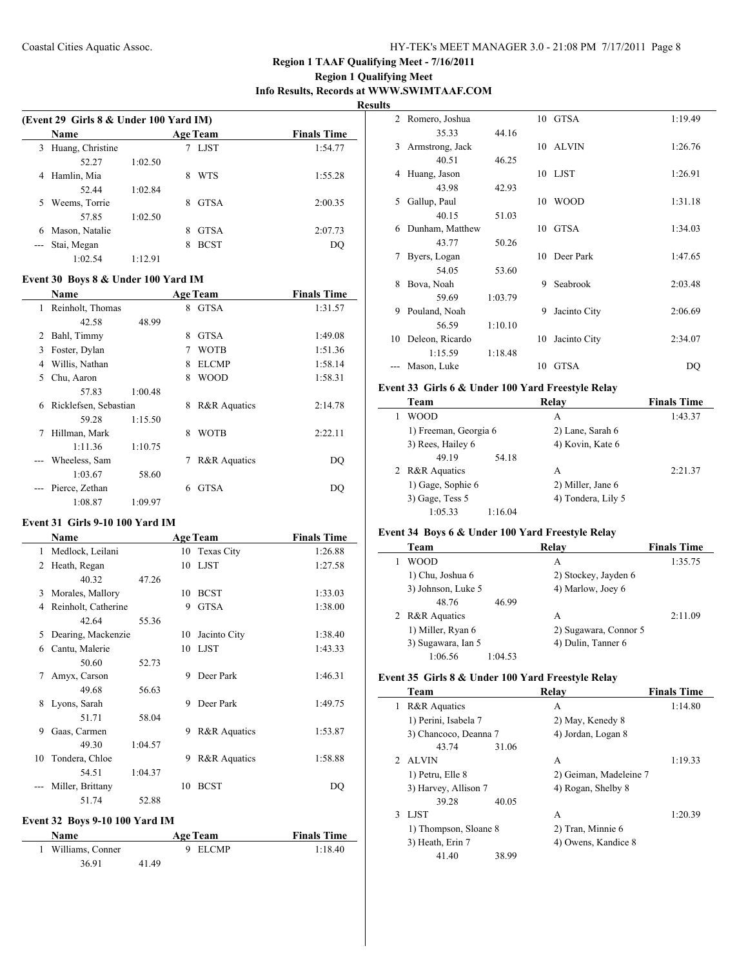# **Region 1 Qualifying Meet Info Results, Records at WWW.SWIMTAAF.COM**

**Results**

 $\overline{\phantom{0}}$ 

 $\overline{\phantom{0}}$ 

 $\overline{\phantom{a}}$ 

|                                                                                                                                                                                                                                                                                                                                                                                                                                                                            | (Event 29 Girls 8 & Under 100 Yard IM) |         |   |                 |                    |  |  |
|----------------------------------------------------------------------------------------------------------------------------------------------------------------------------------------------------------------------------------------------------------------------------------------------------------------------------------------------------------------------------------------------------------------------------------------------------------------------------|----------------------------------------|---------|---|-----------------|--------------------|--|--|
|                                                                                                                                                                                                                                                                                                                                                                                                                                                                            | <b>Name</b>                            |         |   | <b>Age Team</b> | <b>Finals Time</b> |  |  |
| 3                                                                                                                                                                                                                                                                                                                                                                                                                                                                          | Huang, Christine                       |         |   | LJST            | 1:54.77            |  |  |
|                                                                                                                                                                                                                                                                                                                                                                                                                                                                            | 52.27                                  | 1:02.50 |   |                 |                    |  |  |
| 4                                                                                                                                                                                                                                                                                                                                                                                                                                                                          | Hamlin, Mia                            |         | 8 | <b>WTS</b>      | 1:55.28            |  |  |
|                                                                                                                                                                                                                                                                                                                                                                                                                                                                            | 52.44                                  | 1:02.84 |   |                 |                    |  |  |
| 5.                                                                                                                                                                                                                                                                                                                                                                                                                                                                         | Weems, Torrie                          |         | 8 | <b>GTSA</b>     | 2:00.35            |  |  |
|                                                                                                                                                                                                                                                                                                                                                                                                                                                                            | 57.85                                  | 1:02.50 |   |                 |                    |  |  |
| 6                                                                                                                                                                                                                                                                                                                                                                                                                                                                          | Mason, Natalie                         |         | 8 | <b>GTSA</b>     | 2:07.73            |  |  |
| $\frac{1}{2} \left( \frac{1}{2} \right) \left( \frac{1}{2} \right) \left( \frac{1}{2} \right) \left( \frac{1}{2} \right) \left( \frac{1}{2} \right) \left( \frac{1}{2} \right) \left( \frac{1}{2} \right) \left( \frac{1}{2} \right) \left( \frac{1}{2} \right) \left( \frac{1}{2} \right) \left( \frac{1}{2} \right) \left( \frac{1}{2} \right) \left( \frac{1}{2} \right) \left( \frac{1}{2} \right) \left( \frac{1}{2} \right) \left( \frac{1}{2} \right) \left( \frac$ | Stai, Megan                            |         | 8 | <b>BCST</b>     | DO                 |  |  |
|                                                                                                                                                                                                                                                                                                                                                                                                                                                                            | 1:02.54                                | 1.12.91 |   |                 |                    |  |  |
|                                                                                                                                                                                                                                                                                                                                                                                                                                                                            |                                        |         |   |                 |                    |  |  |

# **Event 30 Boys 8 & Under 100 Yard IM**

|   | Name                  |         |   | <b>Age Team</b> | <b>Finals Time</b> |
|---|-----------------------|---------|---|-----------------|--------------------|
| 1 | Reinholt, Thomas      |         | 8 | <b>GTSA</b>     | 1:31.57            |
|   | 42.58                 | 48.99   |   |                 |                    |
| 2 | Bahl, Timmy           |         | 8 | <b>GTSA</b>     | 1:49.08            |
| 3 | Foster, Dylan         |         | 7 | <b>WOTB</b>     | 1:51.36            |
| 4 | Willis, Nathan        |         | 8 | <b>ELCMP</b>    | 1:58.14            |
| 5 | Chu, Aaron            |         | 8 | <b>WOOD</b>     | 1:58.31            |
|   | 57.83                 | 1:00.48 |   |                 |                    |
| 6 | Ricklefsen, Sebastian |         | 8 | R&R Aquatics    | 2:14.78            |
|   | 59.28                 | 1:15.50 |   |                 |                    |
| 7 | Hillman, Mark         |         | 8 | <b>WOTB</b>     | 2:22.11            |
|   | 1:11.36               | 1:10.75 |   |                 |                    |
|   | Wheeless, Sam         |         | 7 | R&R Aquatics    | DO                 |
|   | 1:03.67               | 58.60   |   |                 |                    |
|   | Pierce, Zethan        |         | 6 | <b>GTSA</b>     | DO                 |
|   | 1:08.87               | 1:09.97 |   |                 |                    |

#### **Event 31 Girls 9-10 100 Yard IM**

|    | <b>Name</b>         |         |    | <b>Age Team</b>         | <b>Finals Time</b> |
|----|---------------------|---------|----|-------------------------|--------------------|
| 1  | Medlock, Leilani    |         | 10 | Texas City              | 1:26.88            |
| 2  | Heath, Regan        |         |    | 10 LJST                 | 1:27.58            |
|    | 40.32               | 47.26   |    |                         |                    |
| 3  | Morales, Mallory    |         | 10 | <b>BCST</b>             | 1:33.03            |
| 4  | Reinholt, Catherine |         | 9  | <b>GTSA</b>             | 1:38.00            |
|    | 42.64               | 55.36   |    |                         |                    |
| 5  | Dearing, Mackenzie  |         | 10 | Jacinto City            | 1:38.40            |
| 6  | Cantu, Malerie      |         | 10 | <b>LJST</b>             | 1:43.33            |
|    | 50.60               | 52.73   |    |                         |                    |
| 7  | Amyx, Carson        |         | 9  | Deer Park               | 1:46.31            |
|    | 49.68               | 56.63   |    |                         |                    |
| 8  | Lyons, Sarah        |         | 9  | Deer Park               | 1:49.75            |
|    | 51.71               | 58.04   |    |                         |                    |
| 9  | Gaas, Carmen        |         | 9  | <b>R&amp;R</b> Aquatics | 1:53.87            |
|    | 49.30               | 1:04.57 |    |                         |                    |
| 10 | Tondera, Chloe      |         | 9  | <b>R&amp;R</b> Aquatics | 1:58.88            |
|    | 54.51               | 1:04.37 |    |                         |                    |
|    | Miller, Brittany    |         | 10 | <b>BCST</b>             | DO                 |
|    | 51.74               | 52.88   |    |                         |                    |

# **Event 32 Boys 9-10 100 Yard IM**

 $\overline{a}$ 

| <b>Name</b>        | <b>Age Team</b> | <b>Finals Time</b> |
|--------------------|-----------------|--------------------|
| 1 Williams, Conner | 9 ELCMP         | 1:18.40            |
| 36.91              | 41.49           |                    |

| 2  | Romero, Joshua  |         |    | 10 GTSA      | 1:19.49 |
|----|-----------------|---------|----|--------------|---------|
|    | 35.33           | 44.16   |    |              |         |
| 3  | Armstrong, Jack |         |    | 10 ALVIN     | 1:26.76 |
|    | 40.51           | 46.25   |    |              |         |
| 4  | Huang, Jason    |         |    | 10 LJST      | 1:26.91 |
|    | 43.98           | 42.93   |    |              |         |
| 5  | Gallup, Paul    |         | 10 | <b>WOOD</b>  | 1:31.18 |
|    | 40.15           | 51.03   |    |              |         |
| 6  | Dunham, Matthew |         | 10 | <b>GTSA</b>  | 1:34.03 |
|    | 43.77           | 50.26   |    |              |         |
| 7  | Byers, Logan    |         | 10 | Deer Park    | 1:47.65 |
|    | 54.05           | 53.60   |    |              |         |
| 8  | Bova, Noah      |         | 9  | Seabrook     | 2:03.48 |
|    | 59.69           | 1:03.79 |    |              |         |
| 9  | Pouland, Noah   |         | 9  | Jacinto City | 2:06.69 |
|    | 56.59           | 1:10.10 |    |              |         |
| 10 | Deleon, Ricardo |         | 10 | Jacinto City | 2:34.07 |
|    | 1:15.59         | 1:18.48 |    |              |         |
|    | Mason, Luke     |         | 10 | <b>GTSA</b>  | DQ      |

# **Event 33 Girls 6 & Under 100 Yard Freestyle Relay**

| Team                  | Relav              | <b>Finals Time</b> |
|-----------------------|--------------------|--------------------|
| WOOD                  | A                  | 1:43.37            |
| 1) Freeman, Georgia 6 | 2) Lane, Sarah 6   |                    |
| 3) Rees, Hailey 6     | 4) Kovin, Kate 6   |                    |
| 49 19<br>54.18        |                    |                    |
| 2 R&R Aquatics        | A                  | 2:21.37            |
| 1) Gage, Sophie 6     | 2) Miller, Jane 6  |                    |
| 3) Gage, Tess 5       | 4) Tondera, Lily 5 |                    |
| 1:05.33<br>1:16.04    |                    |                    |

## **Event 34 Boys 6 & Under 100 Yard Freestyle Relay**

| Team               |         | Relay                 | <b>Finals Time</b> |
|--------------------|---------|-----------------------|--------------------|
| WOOD               |         | А                     | 1:35.75            |
| 1) Chu, Joshua 6   |         | 2) Stockey, Jayden 6  |                    |
| 3) Johnson, Luke 5 |         | 4) Marlow, Joey 6     |                    |
| 48.76              | 46.99   |                       |                    |
| 2 R&R Aquatics     |         | A                     | 2:11.09            |
| 1) Miller, Ryan 6  |         | 2) Sugawara, Connor 5 |                    |
| 3) Sugawara, Ian 5 |         | 4) Dulin, Tanner 6    |                    |
| 1:06.56            | 1:04.53 |                       |                    |

#### **Event 35 Girls 8 & Under 100 Yard Freestyle Relay**

|   | Team                    |       | Relav                  | <b>Finals Time</b> |
|---|-------------------------|-------|------------------------|--------------------|
| 1 | <b>R&amp;R</b> Aquatics |       | A                      | 1:14.80            |
|   | 1) Perini, Isabela 7    |       | 2) May, Kenedy 8       |                    |
|   | 3) Chancoco, Deanna 7   |       | 4) Jordan, Logan 8     |                    |
|   | 43.74                   | 31.06 |                        |                    |
|   | 2 ALVIN                 |       | A                      | 1:19.33            |
|   | 1) Petru, Elle 8        |       | 2) Geiman, Madeleine 7 |                    |
|   | 3) Harvey, Allison 7    |       | 4) Rogan, Shelby 8     |                    |
|   | 39.28                   | 40.05 |                        |                    |
| 3 | LJST                    |       | A                      | 1:20.39            |
|   | 1) Thompson, Sloane 8   |       | 2) Tran, Minnie 6      |                    |
|   | 3) Heath, Erin 7        |       | 4) Owens, Kandice 8    |                    |
|   | 41.40                   | 38.99 |                        |                    |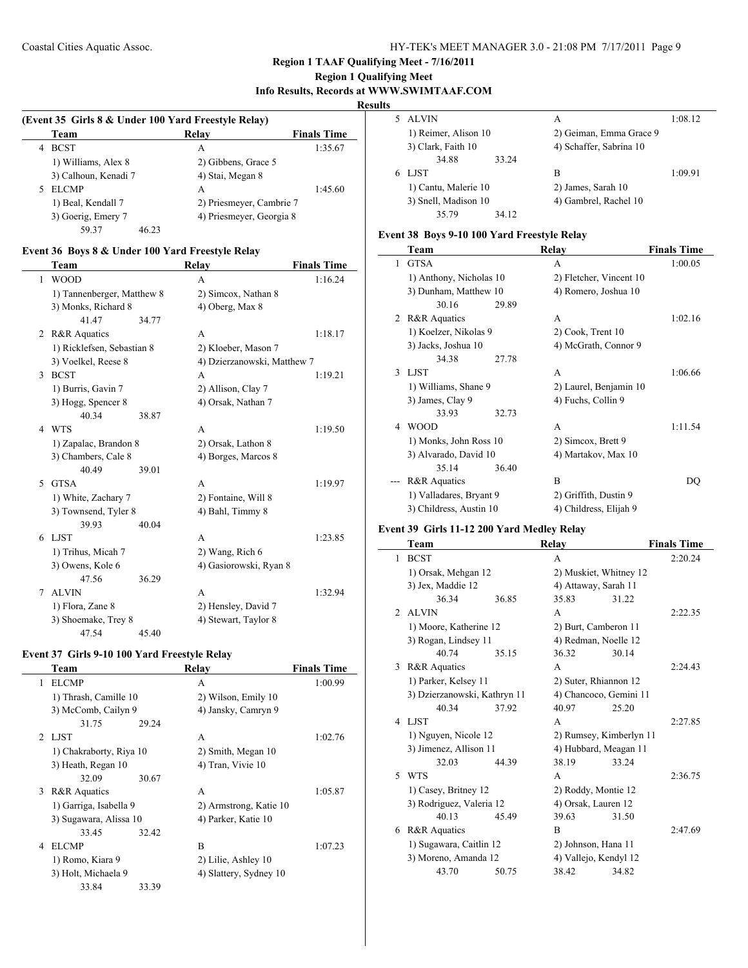# **Region 1 Qualifying Meet Info Results, Records at WWW.SWIMTAAF.COM**

#### **Results**

| (Event 35 Girls 8 & Under 100 Yard Freestyle Relay) |                      |                          |                    |  |  |
|-----------------------------------------------------|----------------------|--------------------------|--------------------|--|--|
|                                                     | Team                 | Relay                    | <b>Finals Time</b> |  |  |
| 4                                                   | <b>BCST</b>          | A                        | 1:35.67            |  |  |
|                                                     | 1) Williams, Alex 8  | 2) Gibbens, Grace 5      |                    |  |  |
|                                                     | 3) Calhoun, Kenadi 7 | 4) Stai, Megan 8         |                    |  |  |
| 5                                                   | <b>ELCMP</b>         | А                        | 1:45.60            |  |  |
|                                                     | 1) Beal, Kendall 7   | 2) Priesmeyer, Cambrie 7 |                    |  |  |
|                                                     | 3) Goerig, Emery 7   | 4) Priesmeyer, Georgia 8 |                    |  |  |
|                                                     | 59 37<br>46.23       |                          |                    |  |  |

## **Event 36 Boys 8 & Under 100 Yard Freestyle Relay**

|                | Team                       |       | <b>Relay</b>                | <b>Finals Time</b> |
|----------------|----------------------------|-------|-----------------------------|--------------------|
| 1              | <b>WOOD</b>                |       | A                           | 1:16.24            |
|                | 1) Tannenberger, Matthew 8 |       | 2) Simcox, Nathan 8         |                    |
|                | 3) Monks, Richard 8        |       | 4) Oberg, Max 8             |                    |
|                | 41.47                      | 34.77 |                             |                    |
| $\overline{2}$ | <b>R&amp;R</b> Aquatics    |       | A                           | 1:18.17            |
|                | 1) Ricklefsen, Sebastian 8 |       | 2) Kloeber, Mason 7         |                    |
|                | 3) Voelkel, Reese 8        |       | 4) Dzierzanowski, Matthew 7 |                    |
| $\mathcal{E}$  | <b>BCST</b>                |       | A                           | 1:19.21            |
|                | 1) Burris, Gavin 7         |       | 2) Allison, Clay 7          |                    |
|                | 3) Hogg, Spencer 8         |       | 4) Orsak, Nathan 7          |                    |
|                | 40.34                      | 38.87 |                             |                    |
| 4              | <b>WTS</b>                 |       | A                           | 1:19.50            |
|                | 1) Zapalac, Brandon 8      |       | 2) Orsak, Lathon 8          |                    |
|                | 3) Chambers, Cale 8        |       | 4) Borges, Marcos 8         |                    |
|                | 40.49                      | 39.01 |                             |                    |
| 5              | <b>GTSA</b>                |       | A                           | 1:19.97            |
|                | 1) White, Zachary 7        |       | 2) Fontaine, Will 8         |                    |
|                | 3) Townsend, Tyler 8       |       | 4) Bahl, Timmy 8            |                    |
|                | 39.93                      | 40.04 |                             |                    |
| 6              | <b>LIST</b>                |       | A                           | 1:23.85            |
|                | 1) Trihus, Micah 7         |       | 2) Wang, Rich 6             |                    |
|                | 3) Owens, Kole 6           |       | 4) Gasiorowski, Ryan 8      |                    |
|                | 47.56                      | 36.29 |                             |                    |
| 7              | <b>ALVIN</b>               |       | A                           | 1:32.94            |
|                | 1) Flora, Zane 8           |       | 2) Hensley, David 7         |                    |
|                | 3) Shoemake, Trey 8        |       | 4) Stewart, Taylor 8        |                    |
|                | 47.54                      | 45.40 |                             |                    |

## **Event 37 Girls 9-10 100 Yard Freestyle Relay**

|   | Team                    |       | Relay                  | <b>Finals Time</b> |
|---|-------------------------|-------|------------------------|--------------------|
| 1 | <b>ELCMP</b>            |       | A                      | 1:00.99            |
|   | 1) Thrash, Camille 10   |       | 2) Wilson, Emily 10    |                    |
|   | 3) McComb, Cailyn 9     |       | 4) Jansky, Camryn 9    |                    |
|   | 31.75                   | 29.24 |                        |                    |
|   | 2 LJST                  |       | A                      | 1:02.76            |
|   | 1) Chakraborty, Riya 10 |       | 2) Smith, Megan 10     |                    |
|   | 3) Heath, Regan 10      |       | 4) Tran, Vivie 10      |                    |
|   | 32.09                   | 30.67 |                        |                    |
| 3 | R&R Aquatics            |       | A                      | 1:05.87            |
|   | 1) Garriga, Isabella 9  |       | 2) Armstrong, Katie 10 |                    |
|   | 3) Sugawara, Alissa 10  |       | 4) Parker, Katie 10    |                    |
|   | 33.45                   | 32.42 |                        |                    |
| 4 | <b>ELCMP</b>            |       | B                      | 1:07.23            |
|   | 1) Romo, Kiara 9        |       | 2) Lilie, Ashley 10    |                    |
|   | 3) Holt, Michaela 9     |       | 4) Slattery, Sydney 10 |                    |
|   | 33.84                   | 33.39 |                        |                    |

|   | 5 ALVIN              |       | А                       | 1:08.12 |
|---|----------------------|-------|-------------------------|---------|
|   | 1) Reimer, Alison 10 |       | 2) Geiman, Emma Grace 9 |         |
|   | 3) Clark, Faith 10   |       | 4) Schaffer, Sabrina 10 |         |
|   | 34.88                | 33.24 |                         |         |
| 6 | LJST                 |       | B                       | 1:09.91 |
|   | 1) Cantu, Malerie 10 |       | 2) James, Sarah 10      |         |
|   | 3) Snell, Madison 10 |       | 4) Gambrel, Rachel 10   |         |
|   | 35.79                | 34 12 |                         |         |

# **Event 38 Boys 9-10 100 Yard Freestyle Relay**

|   | Team                    |       | Relay                   | <b>Finals Time</b> |
|---|-------------------------|-------|-------------------------|--------------------|
| 1 | <b>GTSA</b>             |       | A                       | 1:00.05            |
|   | 1) Anthony, Nicholas 10 |       | 2) Fletcher, Vincent 10 |                    |
|   | 3) Dunham, Matthew 10   |       | 4) Romero, Joshua 10    |                    |
|   | 30.16                   | 29.89 |                         |                    |
| 2 | R&R Aquatics            |       | A                       | 1:02.16            |
|   | 1) Koelzer, Nikolas 9   |       | 2) Cook, Trent 10       |                    |
|   | 3) Jacks, Joshua 10     |       | 4) McGrath, Connor 9    |                    |
|   | 34.38                   | 27.78 |                         |                    |
| 3 | LJST                    |       | A                       | 1:06.66            |
|   | 1) Williams, Shane 9    |       | 2) Laurel, Benjamin 10  |                    |
|   | 3) James, Clay 9        |       | 4) Fuchs, Collin 9      |                    |
|   | 33.93                   | 32.73 |                         |                    |
| 4 | <b>WOOD</b>             |       | A                       | 1:11.54            |
|   | 1) Monks, John Ross 10  |       | 2) Simcox, Brett 9      |                    |
|   | 3) Alvarado, David 10   |       | 4) Martakov, Max 10     |                    |
|   | 35.14                   | 36.40 |                         |                    |
|   | R&R Aquatics            |       | B                       | DO                 |
|   | 1) Valladares, Bryant 9 |       | 2) Griffith, Dustin 9   |                    |
|   | 3) Childress, Austin 10 |       | 4) Childress, Elijah 9  |                    |

# **Event 39 Girls 11-12 200 Yard Medley Relay**

|                | Team                         |       | Relay                   |       | <b>Finals Time</b> |
|----------------|------------------------------|-------|-------------------------|-------|--------------------|
| 1              | <b>BCST</b>                  |       | A                       |       | 2:20.24            |
|                | 1) Orsak, Mehgan 12          |       | 2) Muskiet, Whitney 12  |       |                    |
|                | 3) Jex, Maddie 12            |       | 4) Attaway, Sarah 11    |       |                    |
|                | 36.34                        | 36.85 | 35.83                   | 31.22 |                    |
| $\mathfrak{D}$ | <b>ALVIN</b>                 |       | A                       |       | 2:22.35            |
|                | 1) Moore, Katherine 12       |       | 2) Burt, Camberon 11    |       |                    |
|                | 3) Rogan, Lindsey 11         |       | 4) Redman, Noelle 12    |       |                    |
|                | 40.74                        | 35.15 | 36.32                   | 30.14 |                    |
| 3              | <b>R&amp;R</b> Aquatics      |       | A                       |       | 2:24.43            |
|                | 1) Parker, Kelsey 11         |       | 2) Suter, Rhiannon 12   |       |                    |
|                | 3) Dzierzanowski, Kathryn 11 |       | 4) Chancoco, Gemini 11  |       |                    |
|                | 40.34                        | 37.92 | 40.97                   | 25.20 |                    |
| 4              | LJST                         |       | A                       |       | 2:27.85            |
|                | 1) Nguyen, Nicole 12         |       | 2) Rumsey, Kimberlyn 11 |       |                    |
|                | 3) Jimenez, Allison 11       |       | 4) Hubbard, Meagan 11   |       |                    |
|                | 32.03                        | 44.39 | 38.19                   | 33.24 |                    |
| 5              | <b>WTS</b>                   |       | A                       |       | 2:36.75            |
|                | 1) Casey, Britney 12         |       | 2) Roddy, Montie 12     |       |                    |
|                | 3) Rodriguez, Valeria 12     |       | 4) Orsak, Lauren 12     |       |                    |
|                | 40.13                        | 45.49 | 39.63                   | 31.50 |                    |
| 6              | R&R Aquatics                 |       | B                       |       | 2:47.69            |
|                | 1) Sugawara, Caitlin 12      |       | 2) Johnson, Hana 11     |       |                    |
|                | 3) Moreno, Amanda 12         |       | 4) Vallejo, Kendyl 12   |       |                    |
|                | 43.70                        | 50.75 | 38.42                   | 34.82 |                    |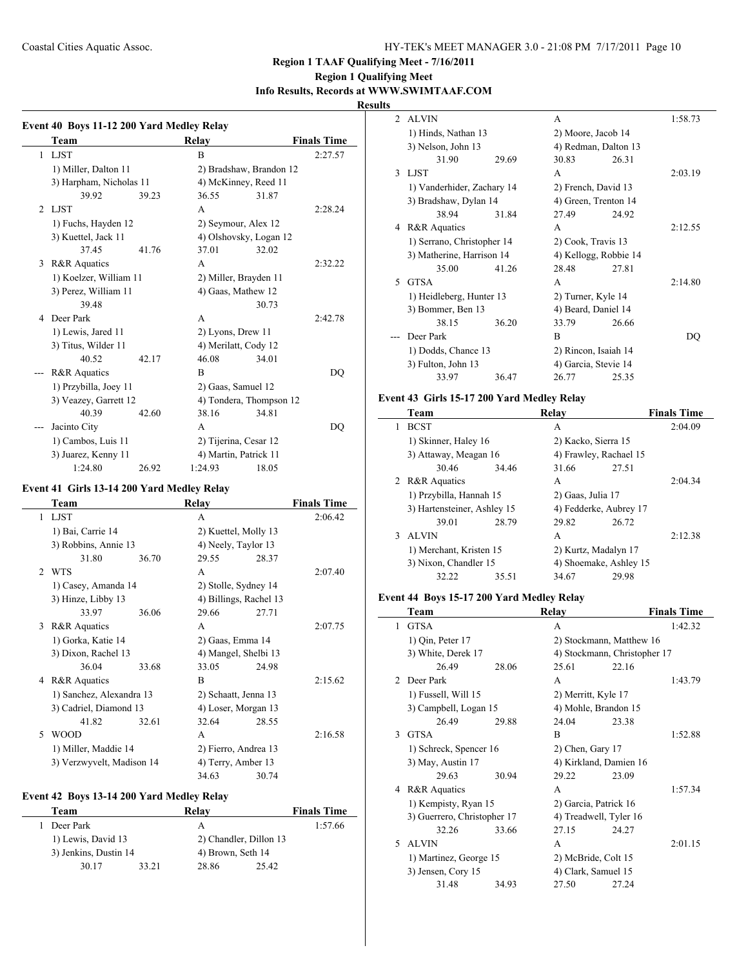# **Region 1 Qualifying Meet Info Results, Records at WWW.SWIMTAAF.COM**

# **Results**

 $\overline{\phantom{0}}$ 

|              | Team                    |       | Relay                 |                         | <b>Finals Time</b> |
|--------------|-------------------------|-------|-----------------------|-------------------------|--------------------|
| $\mathbf{1}$ | <b>LJST</b>             |       | B                     |                         | 2:27.57            |
|              | 1) Miller, Dalton 11    |       |                       | 2) Bradshaw, Brandon 12 |                    |
|              | 3) Harpham, Nicholas 11 |       |                       | 4) McKinney, Reed 11    |                    |
|              | 39.92                   | 39.23 | 36.55                 | 31.87                   |                    |
| 2            | LJST                    |       | A                     |                         | 2:28.24            |
|              | 1) Fuchs, Hayden 12     |       |                       | 2) Seymour, Alex 12     |                    |
|              | 3) Kuettel, Jack 11     |       |                       | 4) Olshovsky, Logan 12  |                    |
|              | 37.45                   | 41.76 | 37.01                 | 32.02                   |                    |
| 3            | <b>R&amp;R</b> Aquatics |       | A                     |                         | 2:32.22            |
|              | 1) Koelzer, William 11  |       |                       | 2) Miller, Brayden 11   |                    |
|              | 3) Perez, William 11    |       | 4) Gaas, Mathew 12    |                         |                    |
|              | 39.48                   |       |                       | 30.73                   |                    |
| 4            | Deer Park               |       | A                     |                         | 2:42.78            |
|              | 1) Lewis, Jared 11      |       | 2) Lyons, Drew 11     |                         |                    |
|              | 3) Titus, Wilder 11     |       |                       | 4) Merilatt, Cody 12    |                    |
|              | 40.52                   | 42.17 | 46.08                 | 34.01                   |                    |
|              | R&R Aquatics            |       | B                     |                         | DO                 |
|              | 1) Przybilla, Joey 11   |       | 2) Gaas, Samuel 12    |                         |                    |
|              | 3) Veazey, Garrett 12   |       |                       | 4) Tondera, Thompson 12 |                    |
|              | 40.39                   | 42.60 | 38.16                 | 34.81                   |                    |
| ---          | Jacinto City            |       | A                     |                         | DQ                 |
|              | 1) Cambos, Luis 11      |       | 2) Tijerina, Cesar 12 |                         |                    |
|              | 3) Juarez, Kenny 11     |       |                       | 4) Martin, Patrick 11   |                    |
|              | 1:24.80                 | 26.92 | 1:24.93               | 18.05                   |                    |

# **Event 41 Girls 13-14 200 Yard Medley Relay**

|              | Team                      |       | Relay                  |       | <b>Finals Time</b> |
|--------------|---------------------------|-------|------------------------|-------|--------------------|
| $\mathbf{1}$ | <b>LJST</b>               |       | A                      |       | 2:06.42            |
|              | 1) Bai, Carrie 14         |       | 2) Kuettel, Molly 13   |       |                    |
|              | 3) Robbins, Annie 13      |       | 4) Neely, Taylor 13    |       |                    |
|              | 31.80                     | 36.70 | 29.55                  | 28.37 |                    |
|              | 2 WTS                     |       | A                      |       | 2:07.40            |
|              | 1) Casey, Amanda 14       |       | 2) Stolle, Sydney 14   |       |                    |
|              | 3) Hinze, Libby 13        |       | 4) Billings, Rachel 13 |       |                    |
|              | 33.97                     | 36.06 | 29.66                  | 27.71 |                    |
| 3            | R&R Aquatics              |       | A                      |       | 2:07.75            |
|              | 1) Gorka, Katie 14        |       | 2) Gaas, Emma 14       |       |                    |
|              | 3) Dixon, Rachel 13       |       | 4) Mangel, Shelbi 13   |       |                    |
|              | 36.04                     | 33.68 | 33.05                  | 24.98 |                    |
|              | 4 R&R Aquatics            |       | R                      |       | 2:15.62            |
|              | 1) Sanchez, Alexandra 13  |       | 2) Schaatt, Jenna 13   |       |                    |
|              | 3) Cadriel, Diamond 13    |       | 4) Loser, Morgan 13    |       |                    |
|              | 41.82                     | 32.61 | 32.64                  | 28.55 |                    |
| 5            | WOOD                      |       | A                      |       | 2:16.58            |
|              | 1) Miller, Maddie 14      |       | 2) Fierro, Andrea 13   |       |                    |
|              | 3) Verzwyvelt, Madison 14 |       | 4) Terry, Amber 13     |       |                    |
|              |                           |       | 34.63                  | 30.74 |                    |

## **Event 42 Boys 13-14 200 Yard Medley Relay**

| Team                  |       | Relav                  |       | <b>Finals Time</b> |
|-----------------------|-------|------------------------|-------|--------------------|
| Deer Park             |       | А                      |       | 1:57.66            |
| 1) Lewis, David 13    |       | 2) Chandler, Dillon 13 |       |                    |
| 3) Jenkins, Dustin 14 |       | 4) Brown, Seth 14      |       |                    |
| 30.17                 | 33.21 | 28.86                  | 25.42 |                    |

| $\mathfrak{D}$ | <b>ALVIN</b>               |       | A                     |       | 1:58.73 |
|----------------|----------------------------|-------|-----------------------|-------|---------|
|                | 1) Hinds, Nathan 13        |       | 2) Moore, Jacob 14    |       |         |
|                | 3) Nelson, John 13         |       | 4) Redman, Dalton 13  |       |         |
|                | 31.90                      | 29.69 | 30.83                 | 26.31 |         |
| 3              | LJST                       |       | A                     |       | 2:03.19 |
|                | 1) Vanderhider, Zachary 14 |       | 2) French, David 13   |       |         |
|                | 3) Bradshaw, Dylan 14      |       | 4) Green, Trenton 14  |       |         |
|                | 38.94                      | 31.84 | 27.49                 | 24.92 |         |
| 4              | <b>R&amp;R</b> Aquatics    |       | A                     |       | 2:12.55 |
|                | 1) Serrano, Christopher 14 |       | 2) Cook, Travis 13    |       |         |
|                | 3) Matherine, Harrison 14  |       | 4) Kellogg, Robbie 14 |       |         |
|                | 35.00                      | 41.26 | 28.48                 | 27.81 |         |
| 5              | <b>GTSA</b>                |       | A                     |       | 2:14.80 |
|                | 1) Heidleberg, Hunter 13   |       | 2) Turner, Kyle 14    |       |         |
|                | 3) Bommer, Ben 13          |       | 4) Beard, Daniel 14   |       |         |
|                | 38.15                      | 36.20 | 33.79                 | 26.66 |         |
|                | Deer Park                  |       | R                     |       | DO      |
|                | 1) Dodds, Chance 13        |       | 2) Rincon, Isaiah 14  |       |         |
|                | 3) Fulton, John 13         |       | 4) Garcia, Stevie 14  |       |         |
|                | 33.97                      | 36.47 | 26.77                 | 25.35 |         |
|                |                            |       |                       |       |         |

# **Event 43 Girls 15-17 200 Yard Medley Relay**

|   | Team                        |       | Relay                  |       | <b>Finals Time</b> |
|---|-----------------------------|-------|------------------------|-------|--------------------|
|   | <b>BCST</b>                 |       | A                      |       | 2:04.09            |
|   | 1) Skinner, Haley 16        |       | 2) Kacko, Sierra 15    |       |                    |
|   | 3) Attaway, Meagan 16       |       | 4) Frawley, Rachael 15 |       |                    |
|   | 30.46                       | 34.46 | 31.66                  | 27.51 |                    |
|   | 2 R&R Aquatics              |       | A                      |       | 2:04.34            |
|   | 1) Przybilla, Hannah 15     |       | 2) Gaas, Julia 17      |       |                    |
|   | 3) Hartensteiner, Ashley 15 |       | 4) Fedderke, Aubrey 17 |       |                    |
|   | 39.01                       | 28.79 | 29.82                  | 26.72 |                    |
| 3 | <b>ALVIN</b>                |       | A                      |       | 2:12.38            |
|   | 1) Merchant, Kristen 15     |       | 2) Kurtz, Madalyn 17   |       |                    |
|   | 3) Nixon, Chandler 15       |       | 4) Shoemake, Ashley 15 |       |                    |
|   | 32.22                       | 35.51 | 34.67                  | 29.98 |                    |

#### **Event 44 Boys 15-17 200 Yard Medley Relay**

|               | Team                        |       | Relay                        |       | <b>Finals Time</b> |
|---------------|-----------------------------|-------|------------------------------|-------|--------------------|
| 1             | <b>GTSA</b>                 |       | A                            |       | 1:42.32            |
|               | 1) Qin, Peter 17            |       | 2) Stockmann, Matthew 16     |       |                    |
|               | 3) White, Derek 17          |       | 4) Stockmann, Christopher 17 |       |                    |
|               | 26.49                       | 28.06 | 25.61                        | 22.16 |                    |
| $\mathcal{D}$ | Deer Park                   |       | A                            |       | 1:43.79            |
|               | 1) Fussell, Will 15         |       | 2) Merritt, Kyle 17          |       |                    |
|               | 3) Campbell, Logan 15       |       | 4) Mohle, Brandon 15         |       |                    |
|               | 26.49                       | 29.88 | 24.04                        | 23.38 |                    |
| 3             | <b>GTSA</b>                 |       | R                            |       | 1:52.88            |
|               | 1) Schreck, Spencer 16      |       | 2) Chen, Gary 17             |       |                    |
|               | 3) May, Austin 17           |       | 4) Kirkland, Damien 16       |       |                    |
|               | 29.63                       | 30.94 | 29.22                        | 23.09 |                    |
| 4             | <b>R&amp;R</b> Aquatics     |       | A                            |       | 1:57.34            |
|               | 1) Kempisty, Ryan 15        |       | 2) Garcia, Patrick 16        |       |                    |
|               | 3) Guerrero, Christopher 17 |       | 4) Treadwell, Tyler 16       |       |                    |
|               | 32.26                       | 33.66 | 27.15                        | 24.27 |                    |
| 5             | <b>ALVIN</b>                |       | A                            |       | 2:01.15            |
|               | 1) Martinez, George 15      |       | 2) McBride, Colt 15          |       |                    |
|               | 3) Jensen, Cory 15          |       | 4) Clark, Samuel 15          |       |                    |
|               | 31.48                       | 34.93 | 27.50                        | 27.24 |                    |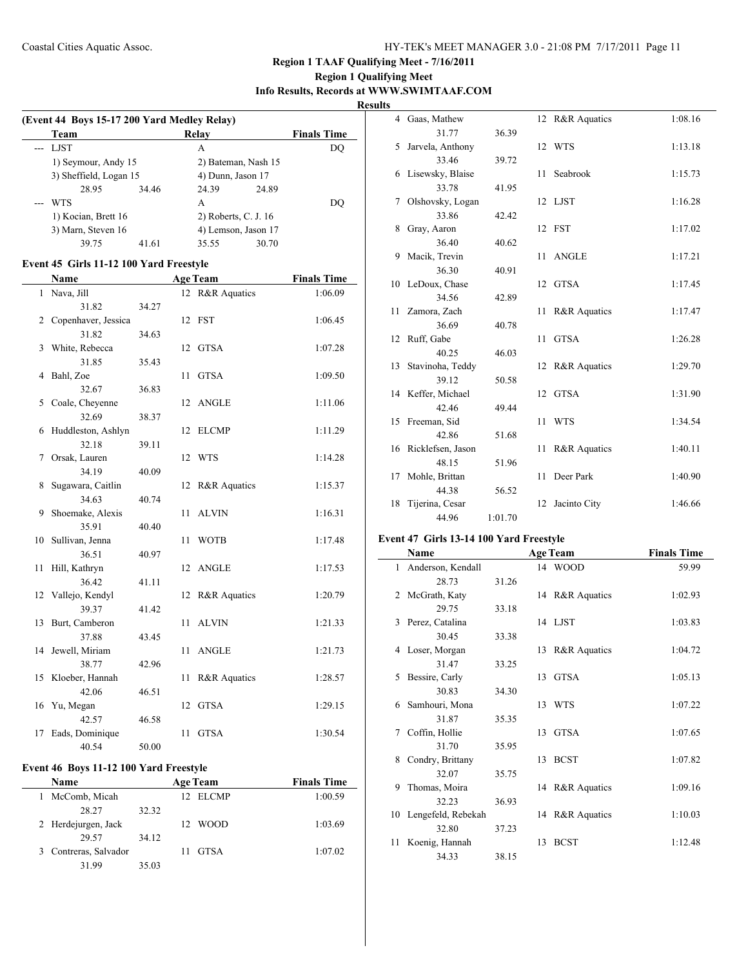# **Region 1 Qualifying Meet Info Results, Records at WWW.SWIMTAAF.COM**

**Results**

| (Event 44 Boys 15-17 200 Yard Medley Relay) |       |                      |       |                    |  |  |  |
|---------------------------------------------|-------|----------------------|-------|--------------------|--|--|--|
| Team                                        |       | Relav                |       | <b>Finals Time</b> |  |  |  |
| --- LJST                                    |       | А                    |       | DO                 |  |  |  |
| 1) Seymour, Andy 15                         |       | 2) Bateman, Nash 15  |       |                    |  |  |  |
| 3) Sheffield, Logan 15                      |       | 4) Dunn, Jason 17    |       |                    |  |  |  |
| 28.95                                       | 34.46 | 24.39                | 24.89 |                    |  |  |  |
| <b>WTS</b>                                  |       | A                    |       | DO                 |  |  |  |
| 1) Kocian, Brett 16                         |       | 2) Roberts, C. J. 16 |       |                    |  |  |  |
| 3) Marn, Steven 16                          |       | 4) Lemson, Jason 17  |       |                    |  |  |  |
| 39.75                                       | 41.61 | 35.55                | 30.70 |                    |  |  |  |

## **Event 45 Girls 11-12 100 Yard Freestyle**

| Name |                     | <b>Age Team</b> |    |                 | <b>Finals Time</b> |  |
|------|---------------------|-----------------|----|-----------------|--------------------|--|
| 1    | Nava, Jill          |                 |    | 12 R&R Aquatics | 1:06.09            |  |
|      | 31.82               | 34.27           |    |                 |                    |  |
| 2    | Copenhaver, Jessica |                 |    | 12 FST          | 1:06.45            |  |
|      | 31.82               | 34.63           |    |                 |                    |  |
| 3    | White, Rebecca      |                 | 12 | GTSA            | 1:07.28            |  |
|      | 31.85               | 35.43           |    |                 |                    |  |
| 4    | Bahl, Zoe           |                 | 11 | <b>GTSA</b>     | 1:09.50            |  |
|      | 32.67               | 36.83           |    |                 |                    |  |
| 5    | Coale, Cheyenne     |                 |    | 12 ANGLE        | 1:11.06            |  |
|      | 32.69               | 38.37           |    |                 |                    |  |
| 6    | Huddleston, Ashlyn  |                 | 12 | <b>ELCMP</b>    | 1:11.29            |  |
|      | 32.18               | 39.11           |    |                 |                    |  |
| 7    | Orsak, Lauren       |                 |    | 12 WTS          | 1:14.28            |  |
|      | 34.19               | 40.09           |    |                 |                    |  |
| 8    | Sugawara, Caitlin   |                 |    | 12 R&R Aquatics | 1:15.37            |  |
|      | 34.63               | 40.74           |    |                 |                    |  |
| 9    | Shoemake, Alexis    |                 | 11 | <b>ALVIN</b>    | 1:16.31            |  |
|      | 35.91               | 40.40           |    |                 |                    |  |
| 10   | Sullivan, Jenna     |                 | 11 | <b>WOTB</b>     | 1:17.48            |  |
|      | 36.51               | 40.97           |    |                 |                    |  |
| 11   | Hill, Kathryn       |                 | 12 | <b>ANGLE</b>    | 1:17.53            |  |
|      | 36.42               | 41.11           |    |                 |                    |  |
|      | 12 Vallejo, Kendyl  |                 |    | 12 R&R Aquatics | 1:20.79            |  |
|      | 39.37               | 41.42           |    |                 |                    |  |
| 13   | Burt, Camberon      |                 | 11 | <b>ALVIN</b>    | 1:21.33            |  |
|      | 37.88               | 43.45           |    |                 |                    |  |
|      | 14 Jewell, Miriam   |                 | 11 | <b>ANGLE</b>    | 1:21.73            |  |
|      | 38.77               | 42.96           |    |                 |                    |  |
| 15   | Kloeber, Hannah     |                 | 11 | R&R Aquatics    | 1:28.57            |  |
|      | 42.06               | 46.51           |    |                 |                    |  |
| 16   | Yu, Megan           |                 | 12 | <b>GTSA</b>     | 1:29.15            |  |
|      | 42.57               | 46.58           |    |                 |                    |  |
| 17   | Eads, Dominique     |                 | 11 | <b>GTSA</b>     | 1:30.54            |  |
|      | 40.54               | 50.00           |    |                 |                    |  |

# **Event 46 Boys 11-12 100 Yard Freestyle**

| Name                     |       | <b>Age Team</b>         | <b>Finals Time</b> |
|--------------------------|-------|-------------------------|--------------------|
| McComb, Micah            |       | <b>ELCMP</b><br>$12-12$ | 1:00.59            |
| 28.27                    | 32.32 |                         |                    |
| 2 Herdejurgen, Jack      |       | <b>WOOD</b><br>12.      | 1:03.69            |
| 29.57                    | 34.12 |                         |                    |
| Contreras, Salvador<br>3 |       | <b>GTSA</b>             | 1:07.02            |
| 31.99                    | 35.03 |                         |                    |

|    | 4 Gaas, Mathew       |         |    | 12 R&R Aquatics | 1:08.16 |
|----|----------------------|---------|----|-----------------|---------|
|    | 31.77                | 36.39   |    |                 |         |
| 5  | Jarvela, Anthony     |         |    | 12 WTS          | 1:13.18 |
|    | 33.46                | 39.72   |    |                 |         |
| 6  | Lisewsky, Blaise     |         | 11 | Seabrook        | 1:15.73 |
|    | 33.78                | 41.95   |    |                 |         |
| 7  | Olshovsky, Logan     |         |    | 12 LJST         | 1:16.28 |
|    | 33.86                | 42.42   |    |                 |         |
| 8  | Gray, Aaron          |         |    | 12 FST          | 1:17.02 |
|    | 36.40                | 40.62   |    |                 |         |
| 9  | Macik, Trevin        |         | 11 | <b>ANGLE</b>    | 1:17.21 |
|    | 36.30                | 40.91   |    |                 |         |
|    | 10 LeDoux, Chase     |         |    | 12 GTSA         | 1:17.45 |
|    | 34.56                | 42.89   |    |                 |         |
|    | 11 Zamora, Zach      |         | 11 | R&R Aquatics    | 1:17.47 |
|    | 36.69                | 40.78   |    |                 |         |
| 12 | Ruff, Gabe           |         | 11 | <b>GTSA</b>     | 1:26.28 |
|    | 40.25                | 46.03   |    |                 |         |
|    | 13 Stavinoha, Teddy  |         | 12 | R&R Aquatics    | 1:29.70 |
|    | 39.12                | 50.58   |    |                 |         |
|    | 14 Keffer, Michael   |         | 12 | <b>GTSA</b>     | 1:31.90 |
|    | 42.46                | 49.44   |    |                 |         |
|    | 15 Freeman, Sid      |         | 11 | <b>WTS</b>      | 1:34.54 |
|    | 42.86                | 51.68   |    |                 |         |
|    | 16 Ricklefsen, Jason |         | 11 | R&R Aquatics    | 1:40.11 |
|    | 48.15                | 51.96   |    |                 |         |
| 17 | Mohle, Brittan       |         | 11 | Deer Park       | 1:40.90 |
|    | 44.38                | 56.52   |    |                 |         |
| 18 | Tijerina, Cesar      |         | 12 | Jacinto City    | 1:46.66 |
|    | 44.96                | 1:01.70 |    |                 |         |

# **Event 47 Girls 13-14 100 Yard Freestyle**

|              | Name               |       |    | <b>Age Team</b> | <b>Finals Time</b> |
|--------------|--------------------|-------|----|-----------------|--------------------|
| $\mathbf{1}$ | Anderson, Kendall  |       |    | 14 WOOD         | 59.99              |
|              | 28.73              | 31.26 |    |                 |                    |
| 2            | McGrath, Katy      |       |    | 14 R&R Aquatics | 1:02.93            |
|              | 29.75              | 33.18 |    |                 |                    |
| 3            | Perez, Catalina    |       |    | 14 LJST         | 1:03.83            |
|              | 30.45              | 33.38 |    |                 |                    |
| 4            | Loser, Morgan      |       |    | 13 R&R Aquatics | 1:04.72            |
|              | 31.47              | 33.25 |    |                 |                    |
| 5            | Bessire, Carly     |       | 13 | GTSA            | 1:05.13            |
|              | 30.83              | 34.30 |    |                 |                    |
| 6            | Samhouri, Mona     |       |    | 13 WTS          | 1:07.22            |
|              | 31.87              | 35.35 |    |                 |                    |
| 7            | Coffin, Hollie     |       | 13 | <b>GTSA</b>     | 1:07.65            |
|              | 31.70              | 35.95 |    |                 |                    |
| 8            | Condry, Brittany   |       |    | 13 BCST         | 1:07.82            |
|              | 32.07              | 35.75 |    |                 |                    |
| 9            | Thomas, Moira      |       |    | 14 R&R Aquatics | 1:09.16            |
|              | 32.23              | 36.93 |    |                 |                    |
| 10           | Lengefeld, Rebekah |       |    | 14 R&R Aquatics | 1:10.03            |
|              | 32.80              | 37.23 |    |                 |                    |
| 11           | Koenig, Hannah     |       | 13 | <b>BCST</b>     | 1:12.48            |
|              | 34.33              | 38.15 |    |                 |                    |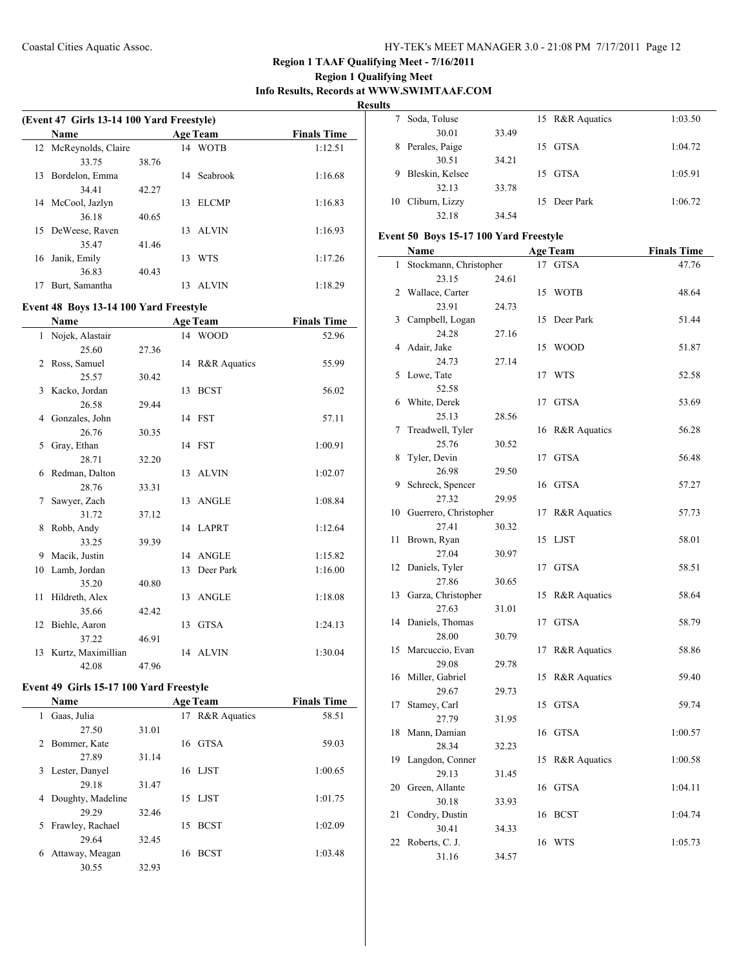**Region 1 Qualifying Meet Info Results, Records at WWW.SWIMTAAF.COM**

**Results**

 $\frac{1}{2}$ 

|    | (Event 47 Girls 13-14 100 Yard Freestyle) |       |    |                 |                    |  |  |
|----|-------------------------------------------|-------|----|-----------------|--------------------|--|--|
|    | <b>Name</b>                               |       |    | <b>Age Team</b> | <b>Finals Time</b> |  |  |
|    | 12 McReynolds, Claire                     |       | 14 | <b>WOTB</b>     | 1:12.51            |  |  |
|    | 33.75                                     | 38.76 |    |                 |                    |  |  |
| 13 | Bordelon, Emma                            |       | 14 | Seabrook        | 1:16.68            |  |  |
|    | 34.41                                     | 42.27 |    |                 |                    |  |  |
| 14 | McCool, Jazlyn                            |       | 13 | <b>ELCMP</b>    | 1:16.83            |  |  |
|    | 36.18                                     | 40.65 |    |                 |                    |  |  |
|    | 15 DeWeese, Raven                         |       | 13 | <b>ALVIN</b>    | 1:16.93            |  |  |
|    | 35.47                                     | 41.46 |    |                 |                    |  |  |
| 16 | Janik, Emily                              |       | 13 | <b>WTS</b>      | 1:17.26            |  |  |
|    | 36.83                                     | 40.43 |    |                 |                    |  |  |
| 17 | Burt, Samantha                            |       | 13 | <b>ALVIN</b>    | 1:18.29            |  |  |
|    |                                           |       |    |                 |                    |  |  |

#### **Event 48 Boys 13-14 100 Yard Freestyle**

|    | <b>Name</b>           |       |    | <b>Age Team</b> | <b>Finals Time</b> |
|----|-----------------------|-------|----|-----------------|--------------------|
| 1  | Nojek, Alastair       |       |    | 14 WOOD         | 52.96              |
|    | 25.60                 | 27.36 |    |                 |                    |
| 2  | Ross, Samuel          |       |    | 14 R&R Aquatics | 55.99              |
|    | 25.57                 | 30.42 |    |                 |                    |
| 3  | Kacko, Jordan         |       |    | 13 BCST         | 56.02              |
|    | 26.58                 | 29.44 |    |                 |                    |
| 4  | Gonzales, John        |       |    | 14 FST          | 57.11              |
|    | 26.76                 | 30.35 |    |                 |                    |
| 5  | Gray, Ethan           |       |    | 14 FST          | 1:00.91            |
|    | 28.71                 | 32.20 |    |                 |                    |
| 6  | Redman, Dalton        |       |    | 13 ALVIN        | 1:02.07            |
|    | 28.76                 | 33.31 |    |                 |                    |
| 7  | Sawyer, Zach          |       |    | 13 ANGLE        | 1:08.84            |
|    | 31.72                 | 37.12 |    |                 |                    |
| 8  | Robb, Andy            |       |    | 14 LAPRT        | 1:12.64            |
|    | 33.25                 | 39.39 |    |                 |                    |
| 9  | Macik, Justin         |       |    | 14 ANGLE        | 1:15.82            |
| 10 | Lamb, Jordan          |       | 13 | Deer Park       | 1:16.00            |
|    | 35.20                 | 40.80 |    |                 |                    |
| 11 | Hildreth, Alex        |       |    | 13 ANGLE        | 1:18.08            |
|    | 35.66                 | 42.42 |    |                 |                    |
|    | 12 Biehle, Aaron      |       | 13 | <b>GTSA</b>     | 1:24.13            |
|    | 37.22                 | 46.91 |    |                 |                    |
|    | 13 Kurtz, Maximillian |       |    | 14 ALVIN        | 1:30.04            |
|    | 42.08                 | 47.96 |    |                 |                    |

# **Event 49 Girls 15-17 100 Yard Freestyle**

 $\overline{\phantom{0}}$ 

| Name                   |       | <b>Age Team</b>               | <b>Finals Time</b> |
|------------------------|-------|-------------------------------|--------------------|
| Gaas, Julia<br>1       |       | <b>R&amp;R</b> Aquatics<br>17 | 58.51              |
| 27.50                  | 31.01 |                               |                    |
| Bommer, Kate<br>2      |       | 16 GTSA                       | 59.03              |
| 27.89                  | 31.14 |                               |                    |
| Lester, Danyel<br>3    |       | 16 LJST                       | 1:00.65            |
| 29.18                  | 31.47 |                               |                    |
| Doughty, Madeline<br>4 |       | 15 LJST                       | 1:01.75            |
| 29.29                  | 32.46 |                               |                    |
| Frawley, Rachael<br>5. |       | <b>BCST</b><br>15             | 1:02.09            |
| 29.64                  | 32.45 |                               |                    |
| Attaway, Meagan<br>6   |       | <b>BCST</b><br>16             | 1:03.48            |
| 30.55                  | 32.93 |                               |                    |

|   | Soda, Toluse      |       | 15 R&R Aquatics | 1:03.50 |
|---|-------------------|-------|-----------------|---------|
|   | 30.01             | 33.49 |                 |         |
| 8 | Perales, Paige    |       | 15 GTSA         | 1:04.72 |
|   | 30.51             | 34.21 |                 |         |
| 9 | Bleskin, Kelsee   |       | 15 GTSA         | 1:05.91 |
|   | 32.13             | 33.78 |                 |         |
|   | 10 Cliburn, Lizzy |       | 15 Deer Park    | 1:06.72 |
|   | 32.18             | 34.54 |                 |         |

# **Event 50 Boys 15-17 100 Yard Freestyle**

|    | <b>Name</b>            |       |    | <b>Age Team</b>         | <b>Finals Time</b> |
|----|------------------------|-------|----|-------------------------|--------------------|
| 1  | Stockmann, Christopher |       | 17 | <b>GTSA</b>             | 47.76              |
|    | 23.15                  | 24.61 |    |                         |                    |
| 2  | Wallace, Carter        |       | 15 | <b>WOTB</b>             | 48.64              |
|    | 23.91                  | 24.73 |    |                         |                    |
| 3  | Campbell, Logan        |       | 15 | Deer Park               | 51.44              |
|    | 24.28                  | 27.16 |    |                         |                    |
| 4  | Adair, Jake            |       | 15 | <b>WOOD</b>             | 51.87              |
|    | 24.73                  | 27.14 |    |                         |                    |
| 5  | Lowe, Tate             |       | 17 | <b>WTS</b>              | 52.58              |
|    | 52.58                  |       |    |                         |                    |
| 6  | White, Derek           |       | 17 | <b>GTSA</b>             | 53.69              |
|    | 25.13                  | 28.56 |    |                         |                    |
| 7  | Treadwell, Tyler       |       | 16 | R&R Aquatics            | 56.28              |
|    | 25.76                  | 30.52 |    |                         |                    |
| 8  | Tyler, Devin           |       | 17 | <b>GTSA</b>             | 56.48              |
|    | 26.98                  | 29.50 |    |                         |                    |
| 9  | Schreck, Spencer       |       | 16 | <b>GTSA</b>             | 57.27              |
|    | 27.32                  | 29.95 |    |                         |                    |
| 10 | Guerrero, Christopher  |       | 17 | R&R Aquatics            | 57.73              |
|    | 27.41                  | 30.32 |    |                         |                    |
| 11 | Brown, Ryan            |       | 15 | <b>LJST</b>             | 58.01              |
|    | 27.04                  | 30.97 |    |                         |                    |
| 12 | Daniels, Tyler         |       | 17 | <b>GTSA</b>             | 58.51              |
|    | 27.86                  | 30.65 |    |                         |                    |
| 13 | Garza, Christopher     |       | 15 | R&R Aquatics            | 58.64              |
|    | 27.63                  | 31.01 |    |                         |                    |
| 14 | Daniels, Thomas        |       | 17 | <b>GTSA</b>             | 58.79              |
|    | 28.00                  | 30.79 |    |                         |                    |
| 15 | Marcuccio, Evan        |       | 17 | <b>R&amp;R</b> Aquatics | 58.86              |
|    | 29.08                  | 29.78 |    |                         |                    |
| 16 | Miller, Gabriel        |       | 15 | R&R Aquatics            | 59.40              |
| 17 | 29.67                  | 29.73 | 15 | <b>GTSA</b>             | 59.74              |
|    | Stamey, Carl<br>27.79  |       |    |                         |                    |
| 18 | Mann, Damian           | 31.95 | 16 | <b>GTSA</b>             | 1:00.57            |
|    | 28.34                  | 32.23 |    |                         |                    |
| 19 | Langdon, Conner        |       | 15 | R&R Aquatics            | 1:00.58            |
|    | 29.13                  |       |    |                         |                    |
| 20 | Green, Allante         | 31.45 | 16 | <b>GTSA</b>             | 1:04.11            |
|    | 30.18                  | 33.93 |    |                         |                    |
| 21 | Condry, Dustin         |       | 16 | <b>BCST</b>             | 1:04.74            |
|    | 30.41                  | 34.33 |    |                         |                    |
| 22 | Roberts, C. J.         |       | 16 | WTS                     | 1:05.73            |
|    | 31.16                  | 34.57 |    |                         |                    |
|    |                        |       |    |                         |                    |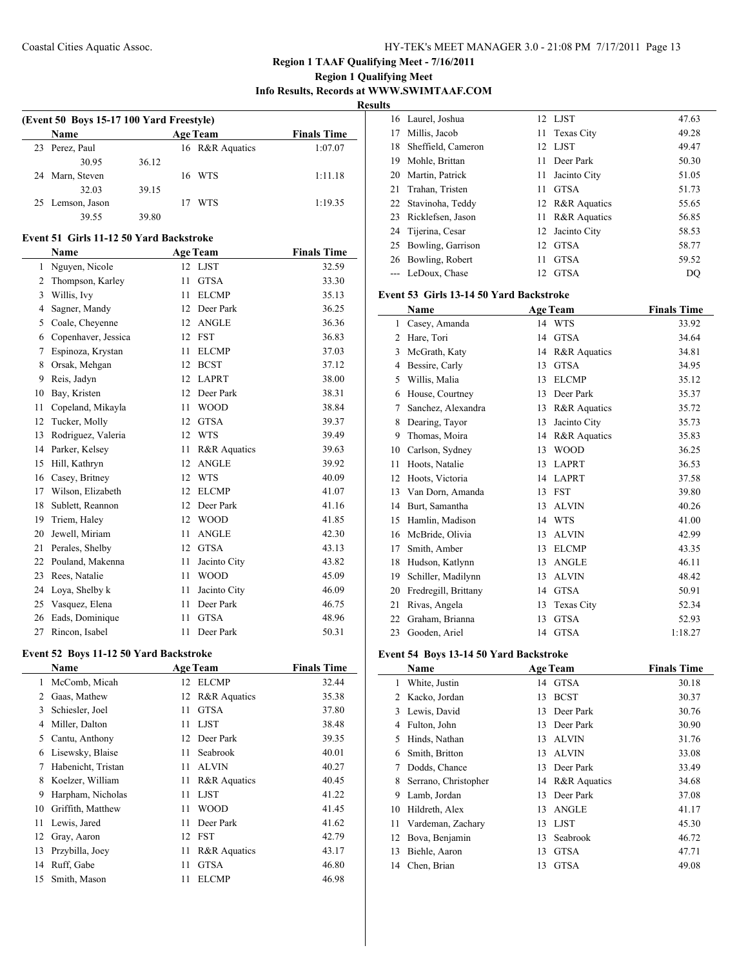# **Region 1 Qualifying Meet Info Results, Records at WWW.SWIMTAAF.COM**

**Results**

| (Event 50 Boys 15-17 100 Yard Freestyle) |       |                 |                    |         |  |  |  |
|------------------------------------------|-------|-----------------|--------------------|---------|--|--|--|
| <b>Name</b>                              |       | <b>Age Team</b> | <b>Finals Time</b> |         |  |  |  |
| 23 Perez, Paul                           |       |                 | 16 R&R Aquatics    | 1:07.07 |  |  |  |
| 30.95                                    | 36.12 |                 |                    |         |  |  |  |
| 24 Marn, Steven                          |       |                 | 16 WTS             | 1:11.18 |  |  |  |
| 32.03                                    | 39.15 |                 |                    |         |  |  |  |
| 25 Lemson, Jason                         |       |                 | <b>WTS</b>         | 1:19.35 |  |  |  |
| 39.55                                    | 39.80 |                 |                    |         |  |  |  |

# **Event 51 Girls 11-12 50 Yard Backstroke**

 $\overline{a}$ 

|    | Name                |    | <b>Age Team</b> | <b>Finals Time</b> |
|----|---------------------|----|-----------------|--------------------|
| 1  | Nguyen, Nicole      |    | 12 LJST         | 32.59              |
| 2  | Thompson, Karley    | 11 | <b>GTSA</b>     | 33.30              |
| 3  | Willis, Ivy         | 11 | <b>ELCMP</b>    | 35.13              |
| 4  | Sagner, Mandy       | 12 | Deer Park       | 36.25              |
| 5  | Coale, Cheyenne     | 12 | <b>ANGLE</b>    | 36.36              |
| 6  | Copenhaver, Jessica | 12 | <b>FST</b>      | 36.83              |
| 7  | Espinoza, Krystan   | 11 | <b>ELCMP</b>    | 37.03              |
| 8  | Orsak, Mehgan       | 12 | <b>BCST</b>     | 37.12              |
| 9  | Reis, Jadyn         | 12 | <b>LAPRT</b>    | 38.00              |
| 10 | Bay, Kristen        | 12 | Deer Park       | 38.31              |
| 11 | Copeland, Mikayla   | 11 | <b>WOOD</b>     | 38.84              |
| 12 | Tucker, Molly       | 12 | <b>GTSA</b>     | 39.37              |
| 13 | Rodriguez, Valeria  | 12 | <b>WTS</b>      | 39.49              |
| 14 | Parker, Kelsey      | 11 | R&R Aquatics    | 39.63              |
| 15 | Hill, Kathryn       | 12 | <b>ANGLE</b>    | 39.92              |
| 16 | Casey, Britney      | 12 | <b>WTS</b>      | 40.09              |
| 17 | Wilson, Elizabeth   | 12 | <b>ELCMP</b>    | 41.07              |
| 18 | Sublett, Reannon    | 12 | Deer Park       | 41.16              |
| 19 | Triem, Haley        | 12 | <b>WOOD</b>     | 41.85              |
| 20 | Jewell, Miriam      | 11 | <b>ANGLE</b>    | 42.30              |
| 21 | Perales, Shelby     | 12 | <b>GTSA</b>     | 43.13              |
| 22 | Pouland, Makenna    | 11 | Jacinto City    | 43.82              |
| 23 | Rees, Natalie       | 11 | <b>WOOD</b>     | 45.09              |
| 24 | Loya, Shelby k      | 11 | Jacinto City    | 46.09              |
| 25 | Vasquez, Elena      | 11 | Deer Park       | 46.75              |
| 26 | Eads, Dominique     | 11 | <b>GTSA</b>     | 48.96              |
| 27 | Rincon. Isabel      | 11 | Deer Park       | 50.31              |

# **Event 52 Boys 11-12 50 Yard Backstroke**

|    | Name               |    | <b>Age Team</b>         | <b>Finals Time</b> |
|----|--------------------|----|-------------------------|--------------------|
| 1  | McComb, Micah      | 12 | <b>ELCMP</b>            | 32.44              |
| 2  | Gaas, Mathew       | 12 | <b>R&amp;R</b> Aquatics | 35.38              |
| 3  | Schiesler, Joel    | 11 | <b>GTSA</b>             | 37.80              |
| 4  | Miller, Dalton     | 11 | <b>LJST</b>             | 38.48              |
| 5  | Cantu, Anthony     | 12 | Deer Park               | 39.35              |
| 6  | Lisewsky, Blaise   | 11 | Seabrook                | 40.01              |
| 7  | Habenicht, Tristan | 11 | <b>ALVIN</b>            | 40.27              |
| 8  | Koelzer, William   | 11 | R&R Aquatics            | 40.45              |
| 9  | Harpham, Nicholas  | 11 | <b>LJST</b>             | 41.22              |
| 10 | Griffith, Matthew  | 11 | WOOD                    | 41.45              |
| 11 | Lewis, Jared       | 11 | Deer Park               | 41.62              |
| 12 | Gray, Aaron        | 12 | <b>FST</b>              | 42.79              |
| 13 | Przybilla, Joey    | 11 | <b>R&amp;R</b> Aquatics | 43.17              |
| 14 | Ruff, Gabe         | 11 | <b>GTSA</b>             | 46.80              |
| 15 | Smith, Mason       | 11 | <b>ELCMP</b>            | 46.98              |
|    |                    |    |                         |                    |

|    | 16 Laurel, Joshua    |     | 12 LJST         | 47.63 |
|----|----------------------|-----|-----------------|-------|
| 17 | Millis, Jacob        |     | 11 Texas City   | 49.28 |
| 18 | Sheffield, Cameron   |     | 12 LJST         | 49.47 |
| 19 | Mohle, Brittan       | 11. | Deer Park       | 50.30 |
|    | 20 Martin, Patrick   | 11  | Jacinto City    | 51.05 |
| 21 | Trahan, Tristen      | 11  | <b>GTSA</b>     | 51.73 |
|    | 22 Stavinoha, Teddy  |     | 12 R&R Aquatics | 55.65 |
|    | 23 Ricklefsen, Jason |     | 11 R&R Aquatics | 56.85 |
|    | 24 Tijerina, Cesar   |     | 12 Jacinto City | 58.53 |
| 25 | Bowling, Garrison    | 12. | <b>GTSA</b>     | 58.77 |
|    | 26 Bowling, Robert   | 11  | <b>GTSA</b>     | 59.52 |
|    | LeDoux, Chase        | 12. | <b>GTSA</b>     | DO    |

#### **Event 53 Girls 13-14 50 Yard Backstroke**

|                | Name                 |    | <b>Age Team</b>         | <b>Finals Time</b> |
|----------------|----------------------|----|-------------------------|--------------------|
| 1              | Casey, Amanda        |    | 14 WTS                  | 33.92              |
| $\overline{c}$ | Hare, Tori           | 14 | <b>GTSA</b>             | 34.64              |
| 3              | McGrath, Katy        | 14 | R&R Aquatics            | 34.81              |
| 4              | Bessire, Carly       | 13 | <b>GTSA</b>             | 34.95              |
| 5              | Willis, Malia        | 13 | <b>ELCMP</b>            | 35.12              |
| 6              | House, Courtney      | 13 | Deer Park               | 35.37              |
| 7              | Sanchez, Alexandra   | 13 | <b>R&amp;R</b> Aquatics | 35.72              |
| 8              | Dearing, Tayor       | 13 | Jacinto City            | 35.73              |
| 9              | Thomas, Moira        | 14 | <b>R&amp;R</b> Aquatics | 35.83              |
| 10             | Carlson, Sydney      | 13 | <b>WOOD</b>             | 36.25              |
| 11             | Hoots, Natalie       | 13 | <b>LAPRT</b>            | 36.53              |
| 12             | Hoots, Victoria      | 14 | <b>LAPRT</b>            | 37.58              |
| 13             | Van Dorn, Amanda     | 13 | <b>FST</b>              | 39.80              |
| 14             | Burt, Samantha       | 13 | <b>ALVIN</b>            | 40.26              |
| 15             | Hamlin, Madison      | 14 | <b>WTS</b>              | 41.00              |
| 16             | McBride, Olivia      | 13 | <b>ALVIN</b>            | 42.99              |
| 17             | Smith, Amber         | 13 | <b>ELCMP</b>            | 43.35              |
| 18             | Hudson, Katlynn      | 13 | <b>ANGLE</b>            | 46.11              |
| 19             | Schiller, Madilynn   | 13 | <b>ALVIN</b>            | 48.42              |
| 20             | Fredregill, Brittany | 14 | <b>GTSA</b>             | 50.91              |
| 21             | Rivas, Angela        | 13 | Texas City              | 52.34              |
| 22             | Graham, Brianna      | 13 | <b>GTSA</b>             | 52.93              |
| 23             | Gooden, Ariel        | 14 | <b>GTSA</b>             | 1:18.27            |

## **Event 54 Boys 13-14 50 Yard Backstroke**

|    | Name                 |    | <b>Age Team</b> | <b>Finals Time</b> |
|----|----------------------|----|-----------------|--------------------|
| 1  | White, Justin        |    | 14 GTSA         | 30.18              |
| 2  | Kacko, Jordan        | 13 | <b>BCST</b>     | 30.37              |
| 3  | Lewis, David         | 13 | Deer Park       | 30.76              |
| 4  | Fulton, John         | 13 | Deer Park       | 30.90              |
| 5  | Hinds, Nathan        | 13 | <b>ALVIN</b>    | 31.76              |
| 6  | Smith, Britton       | 13 | <b>ALVIN</b>    | 33.08              |
| 7  | Dodds, Chance        | 13 | Deer Park       | 33.49              |
| 8  | Serrano, Christopher |    | 14 R&R Aquatics | 34.68              |
| 9  | Lamb, Jordan         | 13 | Deer Park       | 37.08              |
| 10 | Hildreth, Alex       | 13 | ANGLE           | 41.17              |
| 11 | Vardeman, Zachary    | 13 | <b>LJST</b>     | 45.30              |
| 12 | Bova, Benjamin       | 13 | Seabrook        | 46.72              |
| 13 | Biehle, Aaron        | 13 | <b>GTSA</b>     | 47.71              |
| 14 | Chen, Brian          | 13 | <b>GTSA</b>     | 49.08              |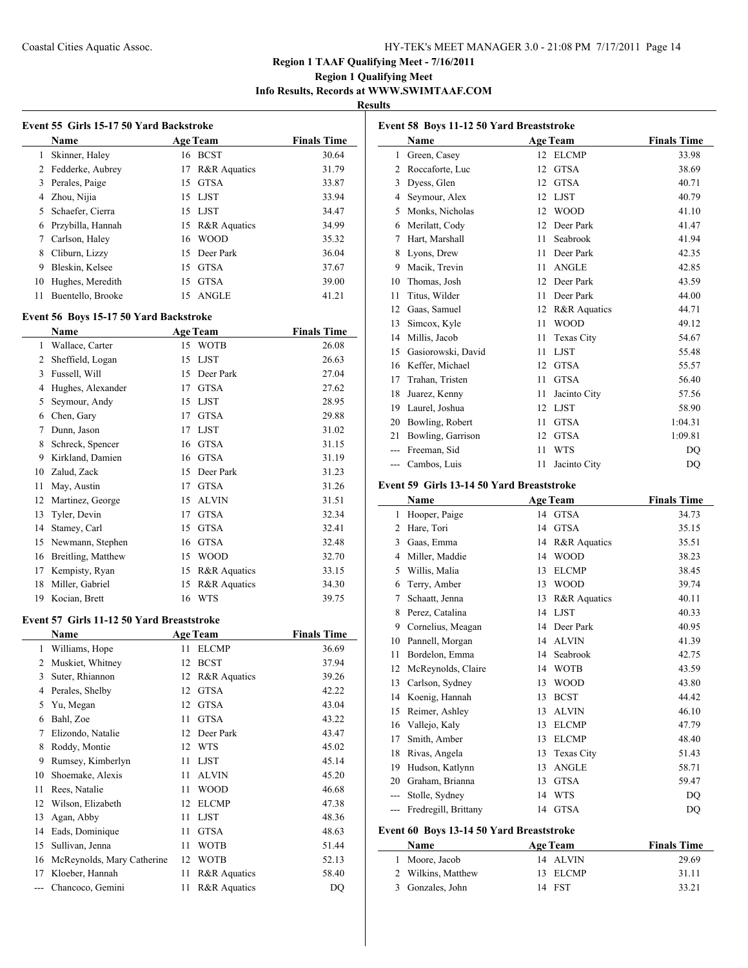# **Region 1 Qualifying Meet Info Results, Records at WWW.SWIMTAAF.COM**

**Results**

|    | Name              |    | <b>Age Team</b>         | <b>Finals Time</b> |
|----|-------------------|----|-------------------------|--------------------|
| 1  | Skinner, Haley    | 16 | BCST                    | 30.64              |
| 2  | Fedderke, Aubrey  | 17 | <b>R&amp;R</b> Aquatics | 31.79              |
| 3  | Perales, Paige    | 15 | GTSA                    | 33.87              |
| 4  | Zhou, Nijia       |    | 15 LJST                 | 33.94              |
| 5  | Schaefer, Cierra  | 15 | LJST                    | 34.47              |
| 6  | Przybilla, Hannah |    | 15 R&R Aquatics         | 34.99              |
| 7  | Carlson, Haley    |    | 16 WOOD                 | 35.32              |
| 8  | Cliburn, Lizzy    | 15 | Deer Park               | 36.04              |
| 9  | Bleskin, Kelsee   | 15 | <b>GTSA</b>             | 37.67              |
| 10 | Hughes, Meredith  | 15 | <b>GTSA</b>             | 39.00              |
| 11 | Buentello, Brooke |    | 15 ANGLE                | 41.21              |

### **Event 56 Boys 15-17 50 Yard Backstroke**

|    | Name               |    | <b>Age Team</b> | <b>Finals Time</b> |
|----|--------------------|----|-----------------|--------------------|
| 1  | Wallace, Carter    |    | 15 WOTB         | 26.08              |
| 2  | Sheffield, Logan   | 15 | <b>LJST</b>     | 26.63              |
| 3  | Fussell, Will      | 15 | Deer Park       | 27.04              |
| 4  | Hughes, Alexander  | 17 | <b>GTSA</b>     | 27.62              |
| 5  | Seymour, Andy      | 15 | <b>LJST</b>     | 28.95              |
| 6  | Chen, Gary         | 17 | <b>GTSA</b>     | 29.88              |
| 7  | Dunn, Jason        | 17 | <b>LJST</b>     | 31.02              |
| 8  | Schreck, Spencer   | 16 | <b>GTSA</b>     | 31.15              |
| 9  | Kirkland, Damien   | 16 | <b>GTSA</b>     | 31.19              |
| 10 | Zalud, Zack        | 15 | Deer Park       | 31.23              |
| 11 | May, Austin        | 17 | <b>GTSA</b>     | 31.26              |
| 12 | Martinez, George   | 15 | <b>ALVIN</b>    | 31.51              |
| 13 | Tyler, Devin       | 17 | <b>GTSA</b>     | 32.34              |
| 14 | Stamey, Carl       | 15 | <b>GTSA</b>     | 32.41              |
| 15 | Newmann, Stephen   | 16 | <b>GTSA</b>     | 32.48              |
| 16 | Breitling, Matthew | 15 | <b>WOOD</b>     | 32.70              |
| 17 | Kempisty, Ryan     | 15 | R&R Aquatics    | 33.15              |
| 18 | Miller, Gabriel    | 15 | R&R Aquatics    | 34.30              |
| 19 | Kocian, Brett      | 16 | <b>WTS</b>      | 39.75              |
|    |                    |    |                 |                    |

#### **Event 57 Girls 11-12 50 Yard Breaststroke**

|    | Name                       |    | <b>Age Team</b>         | <b>Finals Time</b> |
|----|----------------------------|----|-------------------------|--------------------|
| 1  | Williams, Hope             | 11 | <b>ELCMP</b>            | 36.69              |
| 2  | Muskiet, Whitney           | 12 | <b>BCST</b>             | 37.94              |
| 3  | Suter, Rhiannon            | 12 | <b>R&amp;R</b> Aquatics | 39.26              |
| 4  | Perales, Shelby            | 12 | <b>GTSA</b>             | 42.22              |
| 5  | Yu, Megan                  | 12 | <b>GTSA</b>             | 43.04              |
| 6  | Bahl, Zoe                  | 11 | <b>GTSA</b>             | 43.22              |
| 7  | Elizondo, Natalie          | 12 | Deer Park               | 43.47              |
| 8  | Roddy, Montie              | 12 | <b>WTS</b>              | 45.02              |
| 9  | Rumsey, Kimberlyn          | 11 | <b>LJST</b>             | 45.14              |
| 10 | Shoemake, Alexis           | 11 | <b>ALVIN</b>            | 45.20              |
| 11 | Rees, Natalie              | 11 | WOOD                    | 46.68              |
| 12 | Wilson, Elizabeth          | 12 | <b>ELCMP</b>            | 47.38              |
| 13 | Agan, Abby                 | 11 | <b>LJST</b>             | 48.36              |
| 14 | Eads, Dominique            | 11 | <b>GTSA</b>             | 48.63              |
| 15 | Sullivan, Jenna            | 11 | <b>WOTB</b>             | 51.44              |
| 16 | McReynolds, Mary Catherine | 12 | WOTB                    | 52.13              |
| 17 | Kloeber, Hannah            | 11 | R&R Aquatics            | 58.40              |
|    | Chancoco, Gemini           | 11 | R&R Aquatics            | <b>DQ</b>          |

| Event 58 Boys 11-12 50 Yard Breaststroke |                                           |                    |              |                    |  |
|------------------------------------------|-------------------------------------------|--------------------|--------------|--------------------|--|
|                                          | Name                                      | <b>Age Team</b>    |              | <b>Finals Time</b> |  |
| 1                                        | Green, Casey                              | <b>ELCMP</b><br>12 |              | 33.98              |  |
| 2                                        | Roccaforte, Luc                           | <b>GTSA</b><br>12  |              | 38.69              |  |
| 3                                        | Dyess, Glen                               | <b>GTSA</b><br>12  |              | 40.71              |  |
| 4                                        | Seymour, Alex                             | <b>LJST</b><br>12  |              | 40.79              |  |
| 5                                        | Monks, Nicholas                           | <b>WOOD</b><br>12  |              | 41.10              |  |
| 6                                        | Merilatt, Cody                            | Deer Park<br>12    |              | 41.47              |  |
| 7                                        | Hart, Marshall                            | Seabrook<br>11     |              | 41.94              |  |
| 8                                        | Lyons, Drew                               | Deer Park<br>11    |              | 42.35              |  |
| 9                                        | Macik, Trevin                             | <b>ANGLE</b><br>11 |              | 42.85              |  |
| 10                                       | Thomas, Josh                              | Deer Park<br>12    |              | 43.59              |  |
| 11                                       | Titus, Wilder                             | Deer Park<br>11    |              | 44.00              |  |
| 12                                       | Gaas, Samuel                              | 12                 | R&R Aquatics | 44.71              |  |
| 13                                       | Simcox, Kyle                              | <b>WOOD</b><br>11  |              | 49.12              |  |
| 14                                       | Millis, Jacob                             | Texas City<br>11   |              | 54.67              |  |
| 15                                       | Gasiorowski, David                        | <b>LJST</b><br>11  |              | 55.48              |  |
| 16                                       | Keffer, Michael                           | <b>GTSA</b><br>12  |              | 55.57              |  |
| 17                                       | Trahan, Tristen                           | <b>GTSA</b><br>11  |              | 56.40              |  |
| 18                                       | Juarez, Kenny                             | 11                 | Jacinto City | 57.56              |  |
| 19                                       | Laurel, Joshua                            | 12<br><b>LJST</b>  |              | 58.90              |  |
| 20                                       | Bowling, Robert                           | <b>GTSA</b><br>11  |              | 1:04.31            |  |
| 21                                       | Bowling, Garrison                         | <b>GTSA</b><br>12  |              | 1:09.81            |  |
|                                          | Freeman, Sid                              | <b>WTS</b><br>11   |              | DO                 |  |
| $---$                                    | Cambos, Luis                              | 11                 | Jacinto City | DQ                 |  |
|                                          | Event 59 Girls 13-14 50 Yard Breaststroke |                    |              |                    |  |
|                                          | Name                                      | <b>Age Team</b>    |              | <b>Finals Time</b> |  |

| 1     | Hooper, Paige        | 14 | <b>GTSA</b>  | 34.73 |
|-------|----------------------|----|--------------|-------|
| 2     | Hare, Tori           | 14 | <b>GTSA</b>  | 35.15 |
| 3     | Gaas, Emma           | 14 | R&R Aquatics | 35.51 |
| 4     | Miller, Maddie       | 14 | <b>WOOD</b>  | 38.23 |
| 5     | Willis, Malia        | 13 | <b>ELCMP</b> | 38.45 |
| 6     | Terry, Amber         | 13 | <b>WOOD</b>  | 39.74 |
| 7     | Schaatt, Jenna       | 13 | R&R Aquatics | 40.11 |
| 8     | Perez, Catalina      | 14 | LJST         | 40.33 |
| 9     | Cornelius, Meagan    | 14 | Deer Park    | 40.95 |
| 10    | Pannell, Morgan      | 14 | <b>ALVIN</b> | 41.39 |
| 11    | Bordelon, Emma       | 14 | Seabrook     | 42.75 |
| 12    | McReynolds, Claire   | 14 | <b>WOTB</b>  | 43.59 |
| 13    | Carlson, Sydney      | 13 | <b>WOOD</b>  | 43.80 |
| 14    | Koenig, Hannah       | 13 | <b>BCST</b>  | 44.42 |
| 15    | Reimer, Ashley       | 13 | <b>ALVIN</b> | 46.10 |
| 16    | Vallejo, Kaly        | 13 | <b>ELCMP</b> | 47.79 |
| 17    | Smith, Amber         | 13 | <b>ELCMP</b> | 48.40 |
| 18    | Rivas, Angela        | 13 | Texas City   | 51.43 |
| 19    | Hudson, Katlynn      | 13 | <b>ANGLE</b> | 58.71 |
| 20    | Graham, Brianna      | 13 | <b>GTSA</b>  | 59.47 |
| $---$ | Stolle, Sydney       | 14 | <b>WTS</b>   | DQ    |
|       | Fredregill, Brittany | 14 | <b>GTSA</b>  | DQ    |
|       |                      |    |              |       |

# **Event 60 Boys 13-14 50 Yard Breaststroke**

| <b>Name</b>        | <b>Age Team</b> | <b>Finals Time</b> |
|--------------------|-----------------|--------------------|
| 1 Moore, Jacob     | 14 ALVIN        | 29.69              |
| 2 Wilkins, Matthew | 13 ELCMP        | 31.11              |
| 3 Gonzales, John   | 14 FST          | 33.21              |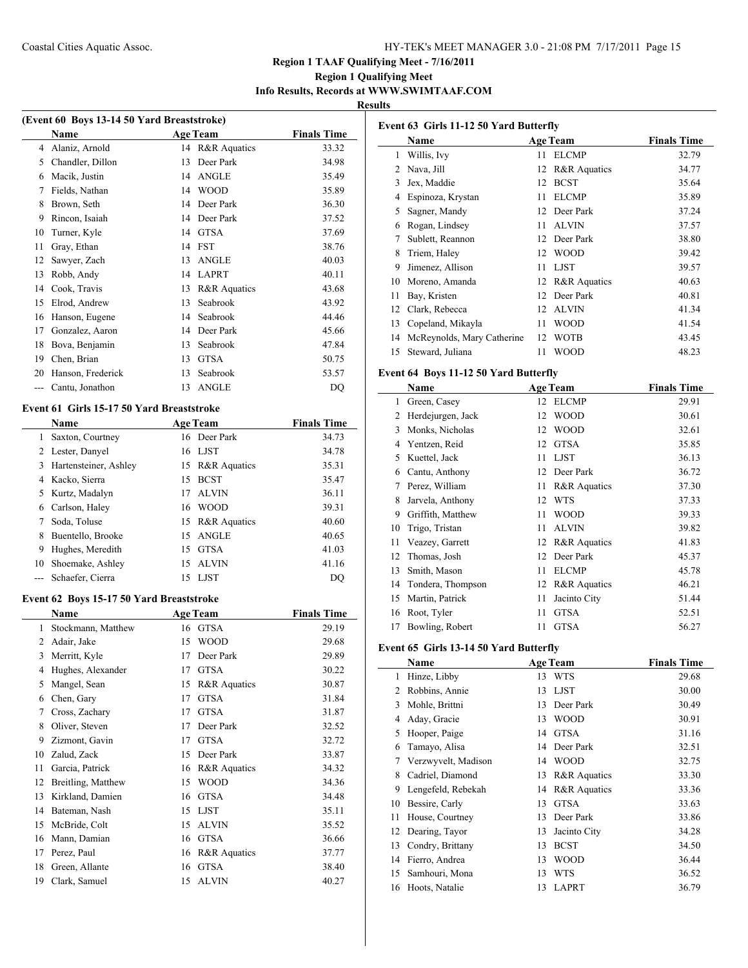# **Region 1 Qualifying Meet Info Results, Records at WWW.SWIMTAAF.COM**

### **Results**

| (Event 60 Boys 13-14 50 Yard Breaststroke) |                   |    |                         |                    |  |
|--------------------------------------------|-------------------|----|-------------------------|--------------------|--|
|                                            | Name              |    | <b>Age Team</b>         | <b>Finals Time</b> |  |
| 4                                          | Alaniz, Arnold    | 14 | <b>R&amp;R</b> Aquatics | 33.32              |  |
| 5                                          | Chandler, Dillon  | 13 | Deer Park               | 34.98              |  |
| 6                                          | Macik, Justin     | 14 | <b>ANGLE</b>            | 35.49              |  |
| 7                                          | Fields, Nathan    | 14 | <b>WOOD</b>             | 35.89              |  |
| 8                                          | Brown, Seth       | 14 | Deer Park               | 36.30              |  |
| 9                                          | Rincon, Isaiah    | 14 | Deer Park               | 37.52              |  |
| 10                                         | Turner, Kyle      | 14 | <b>GTSA</b>             | 37.69              |  |
| 11                                         | Gray, Ethan       | 14 | <b>FST</b>              | 38.76              |  |
| 12                                         | Sawyer, Zach      | 13 | <b>ANGLE</b>            | 40.03              |  |
| 13                                         | Robb, Andy        | 14 | <b>LAPRT</b>            | 40.11              |  |
| 14                                         | Cook, Travis      | 13 | <b>R&amp;R</b> Aquatics | 43.68              |  |
| 15                                         | Elrod, Andrew     | 13 | Seabrook                | 43.92              |  |
| 16                                         | Hanson, Eugene    | 14 | Seabrook                | 44.46              |  |
| 17                                         | Gonzalez, Aaron   | 14 | Deer Park               | 45.66              |  |
| 18                                         | Bova, Benjamin    | 13 | Seabrook                | 47.84              |  |
| 19                                         | Chen, Brian       | 13 | <b>GTSA</b>             | 50.75              |  |
| 20                                         | Hanson, Frederick | 13 | Seabrook                | 53.57              |  |
| ---                                        | Cantu, Jonathon   | 13 | <b>ANGLE</b>            | DQ                 |  |

# **Event 61 Girls 15-17 50 Yard Breaststroke**

 $\overline{\phantom{0}}$ 

|    | <b>Name</b>           |    | <b>Age Team</b> | <b>Finals Time</b> |
|----|-----------------------|----|-----------------|--------------------|
| 1  | Saxton, Courtney      |    | 16 Deer Park    | 34.73              |
| 2  | Lester, Danyel        | 16 | LJST            | 34.78              |
| 3  | Hartensteiner, Ashley |    | 15 R&R Aquatics | 35.31              |
| 4  | Kacko, Sierra         | 15 | <b>BCST</b>     | 35.47              |
| 5  | Kurtz, Madalyn        | 17 | <b>ALVIN</b>    | 36.11              |
| 6  | Carlson, Haley        |    | 16 WOOD         | 39.31              |
| 7  | Soda, Toluse          |    | 15 R&R Aquatics | 40.60              |
| 8  | Buentello, Brooke     |    | 15 ANGLE        | 40.65              |
| 9  | Hughes, Meredith      | 15 | <b>GTSA</b>     | 41.03              |
| 10 | Shoemake, Ashley      | 15 | <b>ALVIN</b>    | 41.16              |
|    | Schaefer, Cierra      | 15 | LJST            | DO                 |

# **Event 62 Boys 15-17 50 Yard Breaststroke**

|    | Name               |    | <b>Age Team</b>         | <b>Finals Time</b> |
|----|--------------------|----|-------------------------|--------------------|
| 1  | Stockmann, Matthew | 16 | GTSA                    | 29.19              |
| 2  | Adair, Jake        | 15 | <b>WOOD</b>             | 29.68              |
| 3  | Merritt, Kyle      | 17 | Deer Park               | 29.89              |
| 4  | Hughes, Alexander  | 17 | <b>GTSA</b>             | 30.22              |
| 5  | Mangel, Sean       | 15 | R&R Aquatics            | 30.87              |
| 6  | Chen, Gary         | 17 | <b>GTSA</b>             | 31.84              |
| 7  | Cross, Zachary     | 17 | <b>GTSA</b>             | 31.87              |
| 8  | Oliver, Steven     | 17 | Deer Park               | 32.52              |
| 9  | Zizmont, Gavin     | 17 | <b>GTSA</b>             | 32.72              |
| 10 | Zalud, Zack        | 15 | Deer Park               | 33.87              |
| 11 | Garcia, Patrick    | 16 | <b>R&amp;R</b> Aquatics | 34.32              |
| 12 | Breitling, Matthew | 15 | <b>WOOD</b>             | 34.36              |
| 13 | Kirkland, Damien   | 16 | <b>GTSA</b>             | 34.48              |
| 14 | Bateman, Nash      | 15 | <b>LJST</b>             | 35.11              |
| 15 | McBride, Colt      | 15 | <b>ALVIN</b>            | 35.52              |
| 16 | Mann, Damian       | 16 | <b>GTSA</b>             | 36.66              |
| 17 | Perez, Paul        | 16 | <b>R&amp;R</b> Aquatics | 37.77              |
| 18 | Green, Allante     | 16 | <b>GTSA</b>             | 38.40              |
| 19 | Clark, Samuel      | 15 | <b>ALVIN</b>            | 40.27              |
|    |                    |    |                         |                    |

| Event 63 Girls 11-12 50 Yard Butterfly |                            |    |                         |                    |  |
|----------------------------------------|----------------------------|----|-------------------------|--------------------|--|
|                                        | Name                       |    | <b>Age Team</b>         | <b>Finals Time</b> |  |
| 1                                      | Willis, Ivy                | 11 | <b>ELCMP</b>            | 32.79              |  |
| 2                                      | Nava, Jill                 | 12 | R&R Aquatics            | 34.77              |  |
| 3                                      | Jex, Maddie                | 12 | <b>BCST</b>             | 35.64              |  |
| 4                                      | Espinoza, Krystan          | 11 | <b>ELCMP</b>            | 35.89              |  |
| 5                                      | Sagner, Mandy              | 12 | Deer Park               | 37.24              |  |
| 6                                      | Rogan, Lindsey             | 11 | <b>ALVIN</b>            | 37.57              |  |
| 7                                      | Sublett, Reannon           | 12 | Deer Park               | 38.80              |  |
| 8                                      | Triem, Haley               | 12 | <b>WOOD</b>             | 39.42              |  |
| 9                                      | Jimenez, Allison           | 11 | <b>LJST</b>             | 39.57              |  |
| 10                                     | Moreno, Amanda             | 12 | <b>R&amp;R</b> Aquatics | 40.63              |  |
| 11                                     | Bay, Kristen               | 12 | Deer Park               | 40.81              |  |
| 12                                     | Clark, Rebecca             | 12 | <b>ALVIN</b>            | 41.34              |  |
| 13                                     | Copeland, Mikayla          | 11 | <b>WOOD</b>             | 41.54              |  |
| 14                                     | McReynolds, Mary Catherine | 12 | <b>WOTB</b>             | 43.45              |  |
| 15                                     | Steward, Juliana           | 11 | <b>WOOD</b>             | 48.23              |  |

# **Event 64 Boys 11-12 50 Yard Butterfly**

|    | Name              |    | <b>Age Team</b>         | <b>Finals Time</b> |
|----|-------------------|----|-------------------------|--------------------|
| 1  | Green, Casey      | 12 | <b>ELCMP</b>            | 29.91              |
| 2  | Herdejurgen, Jack | 12 | <b>WOOD</b>             | 30.61              |
| 3  | Monks, Nicholas   | 12 | <b>WOOD</b>             | 32.61              |
| 4  | Yentzen, Reid     | 12 | <b>GTSA</b>             | 35.85              |
| 5  | Kuettel, Jack     | 11 | <b>LJST</b>             | 36.13              |
| 6  | Cantu, Anthony    | 12 | Deer Park               | 36.72              |
| 7  | Perez, William    | 11 | <b>R&amp;R</b> Aquatics | 37.30              |
| 8  | Jarvela, Anthony  | 12 | <b>WTS</b>              | 37.33              |
| 9  | Griffith, Matthew | 11 | <b>WOOD</b>             | 39.33              |
| 10 | Trigo, Tristan    | 11 | <b>ALVIN</b>            | 39.82              |
| 11 | Veazey, Garrett   | 12 | R&R Aquatics            | 41.83              |
| 12 | Thomas, Josh      | 12 | Deer Park               | 45.37              |
| 13 | Smith, Mason      | 11 | <b>ELCMP</b>            | 45.78              |
| 14 | Tondera, Thompson | 12 | R&R Aquatics            | 46.21              |
| 15 | Martin, Patrick   | 11 | Jacinto City            | 51.44              |
| 16 | Root, Tyler       | 11 | <b>GTSA</b>             | 52.51              |
| 17 | Bowling, Robert   | 11 | <b>GTSA</b>             | 56.27              |

#### **Event 65 Girls 13-14 50 Yard Butterfly**

|    | Name                |    | <b>Age Team</b>         | <b>Finals Time</b> |
|----|---------------------|----|-------------------------|--------------------|
| 1  | Hinze, Libby        | 13 | <b>WTS</b>              | 29.68              |
| 2  | Robbins, Annie      | 13 | <b>LJST</b>             | 30.00              |
| 3  | Mohle, Brittni      | 13 | Deer Park               | 30.49              |
| 4  | Aday, Gracie        | 13 | <b>WOOD</b>             | 30.91              |
| 5  | Hooper, Paige       | 14 | <b>GTSA</b>             | 31.16              |
| 6  | Tamayo, Alisa       | 14 | Deer Park               | 32.51              |
| 7  | Verzwyvelt, Madison | 14 | <b>WOOD</b>             | 32.75              |
| 8  | Cadriel, Diamond    | 13 | R&R Aquatics            | 33.30              |
| 9  | Lengefeld, Rebekah  | 14 | <b>R&amp;R</b> Aquatics | 33.36              |
| 10 | Bessire, Carly      | 13 | <b>GTSA</b>             | 33.63              |
| 11 | House, Courtney     | 13 | Deer Park               | 33.86              |
| 12 | Dearing, Tayor      | 13 | Jacinto City            | 34.28              |
| 13 | Condry, Brittany    | 13 | <b>BCST</b>             | 34.50              |
| 14 | Fierro, Andrea      | 13 | <b>WOOD</b>             | 36.44              |
| 15 | Samhouri, Mona      | 13 | WTS                     | 36.52              |
| 16 | Hoots, Natalie      | 13 | <b>LAPRT</b>            | 36.79              |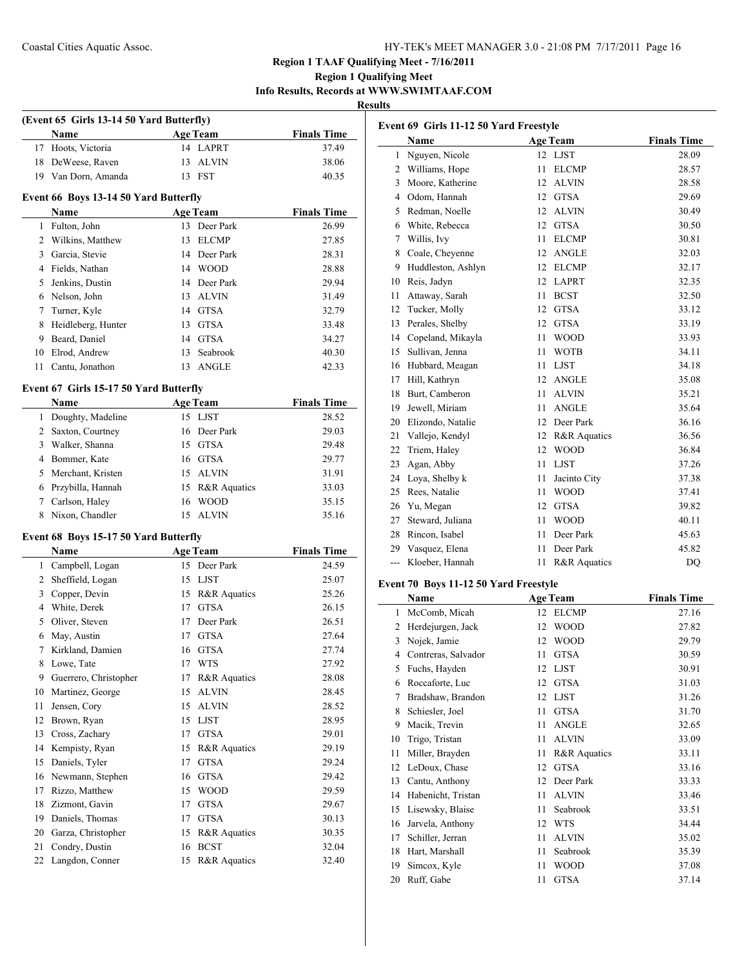**(Event 65 Girls 13-14 50 Yard Butterfly)**

# **Region 1 TAAF Qualifying Meet - 7/16/2011**

# **Region 1 Qualifying Meet Info Results, Records at WWW.SWIMTAAF.COM**

**Results**

|              | Name                                          |    | <b>Age Team</b>         | <b>Finals Time</b> |
|--------------|-----------------------------------------------|----|-------------------------|--------------------|
|              | 17 Hoots, Victoria                            |    | 14 LAPRT                | 37.49              |
| 18           | DeWeese, Raven                                | 13 | <b>ALVIN</b>            | 38.06              |
|              | 19 Van Dorn, Amanda                           |    | 13 FST                  | 40.35              |
|              |                                               |    |                         |                    |
|              | Event 66 Boys 13-14 50 Yard Butterfly         |    |                         |                    |
|              | <b>Name</b>                                   |    | <b>Age Team</b>         | <b>Finals Time</b> |
| $\mathbf{1}$ | Fulton, John                                  |    | 13 Deer Park            | 26.99              |
|              | 2 Wilkins, Matthew                            | 13 | <b>ELCMP</b>            | 27.85              |
|              | 3 Garcia, Stevie                              |    | 14 Deer Park            | 28.31              |
|              | 4 Fields, Nathan                              |    | 14 WOOD                 | 28.88              |
|              | 5 Jenkins, Dustin                             |    | 14 Deer Park            | 29.94              |
|              | 6 Nelson, John                                | 13 | <b>ALVIN</b>            | 31.49              |
|              | 7 Turner, Kyle                                |    | 14 GTSA                 | 32.79              |
| 8            | Heidleberg, Hunter                            |    | 13 GTSA                 | 33.48              |
|              | 9 Beard, Daniel                               |    | 14 GTSA                 | 34.27              |
|              | 10 Elrod, Andrew                              |    | 13 Seabrook             | 40.30              |
| 11           | Cantu, Jonathon                               | 13 | <b>ANGLE</b>            | 42.33              |
|              | Event 67 Girls 15-17 50 Yard Butterfly        |    |                         |                    |
|              | Name                                          |    | <b>Age Team</b>         | <b>Finals Time</b> |
| $\mathbf{1}$ | Doughty, Madeline                             |    | 15 LJST                 | 28.52              |
|              | 2 Saxton, Courtney                            | 16 | Deer Park               | 29.03              |
|              | 3 Walker, Shanna                              | 15 | GTSA                    | 29.48              |
|              | 4 Bommer, Kate                                |    | 16 GTSA                 | 29.77              |
|              | 5 Merchant, Kristen                           |    | 15 ALVIN                | 31.91              |
|              | 6 Przybilla, Hannah                           |    | 15 R&R Aquatics         | 33.03              |
|              | 7 Carlson, Haley                              | 16 | <b>WOOD</b>             | 35.15              |
|              | 8 Nixon, Chandler                             |    | 15 ALVIN                | 35.16              |
|              |                                               |    |                         |                    |
|              | Event 68 Boys 15-17 50 Yard Butterfly<br>Name |    | <b>Age Team</b>         | <b>Finals Time</b> |
|              | 1 Campbell, Logan                             |    | 15 Deer Park            | 24.59              |
|              | 2 Sheffield, Logan                            |    | 15 LJST                 | 25.07              |
| 3            | Copper, Devin                                 |    | 15 R&R Aquatics         | 25.26              |
|              | 4 White, Derek                                |    | 17 GTSA                 | 26.15              |
|              | 5 Oliver, Steven                              |    | 17 Deer Park            | 26.51              |
|              | 6 May, Austin                                 |    | 17 GTSA                 | 27.64              |
|              | 7 Kirkland, Damien                            |    | 16 GTSA                 | 27.74              |
| 8            | Lowe, Tate                                    |    | 17 WTS                  | 27.92              |
|              | 9 Guerrero, Christopher                       |    | 17 R&R Aquatics         | 28.08              |
| 10           | Martinez, George                              | 15 | <b>ALVIN</b>            | 28.45              |
| 11           | Jensen, Cory                                  | 15 | <b>ALVIN</b>            | 28.52              |
| 12           | Brown, Ryan                                   | 15 | LJST                    | 28.95              |
| 13           | Cross, Zachary                                | 17 | <b>GTSA</b>             | 29.01              |
| 14           | Kempisty, Ryan                                | 15 | <b>R&amp;R</b> Aquatics | 29.19              |
| 15           | Daniels, Tyler                                | 17 | <b>GTSA</b>             | 29.24              |
| 16           | Newmann, Stephen                              | 16 | <b>GTSA</b>             | 29.42              |
| 17           | Rizzo, Matthew                                | 15 | <b>WOOD</b>             | 29.59              |
| 18           | Zizmont, Gavin                                | 17 | <b>GTSA</b>             | 29.67              |
| 19           | Daniels, Thomas                               | 17 | <b>GTSA</b>             | 30.13              |
| 20           | Garza, Christopher                            | 15 | R&R Aquatics            | 30.35              |
| 21           | Condry, Dustin                                | 16 | <b>BCST</b>             | 32.04              |
| 22           | Langdon, Conner                               | 15 | R&R Aquatics            | 32.40              |
|              |                                               |    |                         |                    |
|              |                                               |    |                         |                    |

| Event 69 Girls 11-12 50 Yard Freestyle |                    |    |                 |                    |  |  |
|----------------------------------------|--------------------|----|-----------------|--------------------|--|--|
|                                        | Name               |    | <b>Age Team</b> | <b>Finals Time</b> |  |  |
| 1                                      | Nguyen, Nicole     | 12 | <b>LJST</b>     | 28.09              |  |  |
| 2                                      | Williams, Hope     | 11 | <b>ELCMP</b>    | 28.57              |  |  |
| 3                                      | Moore, Katherine   | 12 | <b>ALVIN</b>    | 28.58              |  |  |
| 4                                      | Odom, Hannah       | 12 | <b>GTSA</b>     | 29.69              |  |  |
| 5                                      | Redman, Noelle     | 12 | <b>ALVIN</b>    | 30.49              |  |  |
| 6                                      | White, Rebecca     | 12 | <b>GTSA</b>     | 30.50              |  |  |
| 7                                      | Willis, Ivy        | 11 | <b>ELCMP</b>    | 30.81              |  |  |
| 8                                      | Coale, Cheyenne    | 12 | <b>ANGLE</b>    | 32.03              |  |  |
| 9                                      | Huddleston, Ashlyn | 12 | <b>ELCMP</b>    | 32.17              |  |  |
| 10                                     | Reis, Jadyn        | 12 | <b>LAPRT</b>    | 32.35              |  |  |
| 11                                     | Attaway, Sarah     | 11 | <b>BCST</b>     | 32.50              |  |  |
| 12                                     | Tucker, Molly      | 12 | <b>GTSA</b>     | 33.12              |  |  |
| 13                                     | Perales, Shelby    | 12 | <b>GTSA</b>     | 33.19              |  |  |
| 14                                     | Copeland, Mikayla  | 11 | <b>WOOD</b>     | 33.93              |  |  |
| 15                                     | Sullivan, Jenna    | 11 | <b>WOTB</b>     | 34.11              |  |  |
| 16                                     | Hubbard, Meagan    | 11 | <b>LJST</b>     | 34.18              |  |  |
| 17                                     | Hill, Kathryn      | 12 | <b>ANGLE</b>    | 35.08              |  |  |
| 18                                     | Burt, Camberon     | 11 | <b>ALVIN</b>    | 35.21              |  |  |
| 19                                     | Jewell, Miriam     | 11 | <b>ANGLE</b>    | 35.64              |  |  |
| 20                                     | Elizondo, Natalie  | 12 | Deer Park       | 36.16              |  |  |
| 21                                     | Vallejo, Kendyl    | 12 | R&R Aquatics    | 36.56              |  |  |
| 22                                     | Triem, Haley       | 12 | <b>WOOD</b>     | 36.84              |  |  |
| 23                                     | Agan, Abby         | 11 | <b>LJST</b>     | 37.26              |  |  |
| 24                                     | Lova, Shelby k     | 11 | Jacinto City    | 37.38              |  |  |
| 25                                     | Rees, Natalie      | 11 | <b>WOOD</b>     | 37.41              |  |  |
| 26                                     | Yu, Megan          | 12 | <b>GTSA</b>     | 39.82              |  |  |
| 27                                     | Steward, Juliana   | 11 | <b>WOOD</b>     | 40.11              |  |  |
| 28                                     | Rincon, Isabel     | 11 | Deer Park       | 45.63              |  |  |
| 29                                     | Vasquez, Elena     | 11 | Deer Park       | 45.82              |  |  |
| ---                                    | Kloeber, Hannah    | 11 | R&R Aquatics    | DQ                 |  |  |
| Event 70 Boys 11-12 50 Yard Freestyle  |                    |    |                 |                    |  |  |

# **Event 70 Boys 11-12 50 Yard Freestyle**

|    | Name                |    | <b>Age Team</b>         | <b>Finals Time</b> |
|----|---------------------|----|-------------------------|--------------------|
| 1  | McComb, Micah       | 12 | <b>ELCMP</b>            | 27.16              |
| 2  | Herdejurgen, Jack   | 12 | <b>WOOD</b>             | 27.82              |
| 3  | Nojek, Jamie        | 12 | <b>WOOD</b>             | 29.79              |
| 4  | Contreras, Salvador | 11 | <b>GTSA</b>             | 30.59              |
| 5  | Fuchs, Hayden       | 12 | <b>LJST</b>             | 30.91              |
| 6  | Roccaforte, Luc     | 12 | <b>GTSA</b>             | 31.03              |
| 7  | Bradshaw, Brandon   | 12 | <b>LJST</b>             | 31.26              |
| 8  | Schiesler, Joel     | 11 | <b>GTSA</b>             | 31.70              |
| 9  | Macik, Trevin       | 11 | <b>ANGLE</b>            | 32.65              |
| 10 | Trigo, Tristan      | 11 | <b>ALVIN</b>            | 33.09              |
| 11 | Miller, Brayden     | 11 | <b>R&amp;R</b> Aquatics | 33.11              |
| 12 | LeDoux, Chase       | 12 | <b>GTSA</b>             | 33.16              |
| 13 | Cantu, Anthony      | 12 | Deer Park               | 33.33              |
| 14 | Habenicht, Tristan  | 11 | <b>ALVIN</b>            | 33.46              |
| 15 | Lisewsky, Blaise    | 11 | Seabrook                | 33.51              |
| 16 | Jarvela, Anthony    | 12 | <b>WTS</b>              | 34.44              |
| 17 | Schiller, Jerran    | 11 | <b>ALVIN</b>            | 35.02              |
| 18 | Hart, Marshall      | 11 | Seabrook                | 35.39              |
| 19 | Simcox, Kyle        | 11 | WOOD                    | 37.08              |
| 20 | Ruff, Gabe          | 11 | <b>GTSA</b>             | 37.14              |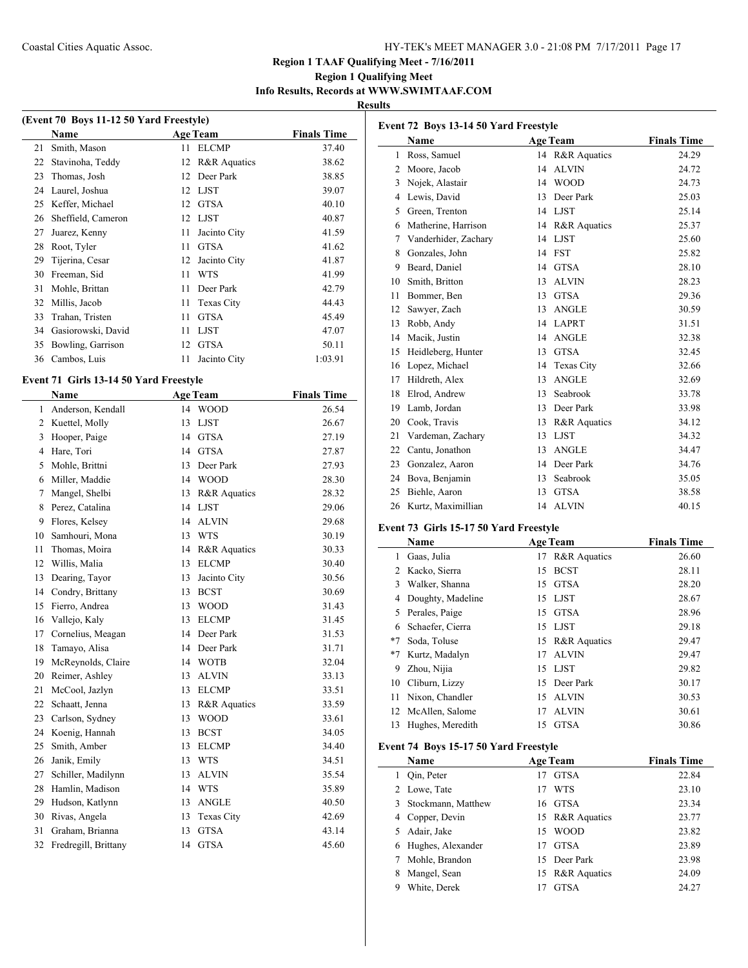# **Region 1 Qualifying Meet Info Results, Records at WWW.SWIMTAAF.COM**

# **Results**

| (Event 70 Boys 11-12 50 Yard Freestyle) |                    |    |                         |                    |  |  |
|-----------------------------------------|--------------------|----|-------------------------|--------------------|--|--|
|                                         | Name               |    | <b>Age Team</b>         | <b>Finals Time</b> |  |  |
| 21                                      | Smith, Mason       | 11 | <b>ELCMP</b>            | 37.40              |  |  |
| 22                                      | Stavinoha, Teddy   | 12 | <b>R&amp;R</b> Aquatics | 38.62              |  |  |
| 23                                      | Thomas, Josh       | 12 | Deer Park               | 38.85              |  |  |
| 24                                      | Laurel, Joshua     | 12 | LJST                    | 39.07              |  |  |
| 25                                      | Keffer, Michael    | 12 | <b>GTSA</b>             | 40.10              |  |  |
| 26                                      | Sheffield, Cameron |    | 12 LJST                 | 40.87              |  |  |
| 27                                      | Juarez, Kenny      | 11 | Jacinto City            | 41.59              |  |  |
| 28                                      | Root, Tyler        | 11 | <b>GTSA</b>             | 41.62              |  |  |
| 29                                      | Tijerina, Cesar    | 12 | Jacinto City            | 41.87              |  |  |
| 30                                      | Freeman, Sid       | 11 | <b>WTS</b>              | 41.99              |  |  |
| 31                                      | Mohle, Brittan     | 11 | Deer Park               | 42.79              |  |  |
| 32                                      | Millis, Jacob      | 11 | Texas City              | 44.43              |  |  |
| 33                                      | Trahan, Tristen    | 11 | <b>GTSA</b>             | 45.49              |  |  |
| 34                                      | Gasiorowski, David | 11 | LJST                    | 47.07              |  |  |
| 35                                      | Bowling, Garrison  | 12 | <b>GTSA</b>             | 50.11              |  |  |
|                                         | 36 Cambos, Luis    | 11 | Jacinto City            | 1:03.91            |  |  |

#### **Event 71 Girls 13-14 50 Yard Freestyle**

 $\overline{\phantom{a}}$ 

|    | Name                 | <b>Age Team</b> |                         | <b>Finals Time</b> |
|----|----------------------|-----------------|-------------------------|--------------------|
| 1  | Anderson, Kendall    | 14              | <b>WOOD</b>             | 26.54              |
| 2  | Kuettel, Molly       | 13              | <b>LJST</b>             | 26.67              |
| 3  | Hooper, Paige        | 14              | <b>GTSA</b>             | 27.19              |
| 4  | Hare, Tori           | 14              | <b>GTSA</b>             | 27.87              |
| 5  | Mohle, Brittni       | 13              | Deer Park               | 27.93              |
| 6  | Miller, Maddie       | 14              | <b>WOOD</b>             | 28.30              |
| 7  | Mangel, Shelbi       | 13              | <b>R&amp;R</b> Aquatics | 28.32              |
| 8  | Perez, Catalina      | 14              | <b>LJST</b>             | 29.06              |
| 9  | Flores, Kelsey       | 14              | <b>ALVIN</b>            | 29.68              |
| 10 | Samhouri, Mona       | 13              | <b>WTS</b>              | 30.19              |
| 11 | Thomas, Moira        | 14              | R&R Aquatics            | 30.33              |
| 12 | Willis, Malia        | 13              | <b>ELCMP</b>            | 30.40              |
| 13 | Dearing, Tayor       | 13              | Jacinto City            | 30.56              |
| 14 | Condry, Brittany     | 13              | <b>BCST</b>             | 30.69              |
| 15 | Fierro, Andrea       | 13              | <b>WOOD</b>             | 31.43              |
| 16 | Vallejo, Kaly        | 13              | <b>ELCMP</b>            | 31.45              |
| 17 | Cornelius, Meagan    | 14              | Deer Park               | 31.53              |
| 18 | Tamayo, Alisa        | 14              | Deer Park               | 31.71              |
| 19 | McReynolds, Claire   | 14              | <b>WOTB</b>             | 32.04              |
| 20 | Reimer, Ashley       | 13              | <b>ALVIN</b>            | 33.13              |
| 21 | McCool, Jazlyn       | 13              | <b>ELCMP</b>            | 33.51              |
| 22 | Schaatt, Jenna       | 13              | R&R Aquatics            | 33.59              |
| 23 | Carlson, Sydney      | 13              | <b>WOOD</b>             | 33.61              |
| 24 | Koenig, Hannah       | 13              | <b>BCST</b>             | 34.05              |
| 25 | Smith, Amber         | 13              | <b>ELCMP</b>            | 34.40              |
| 26 | Janik, Emily         | 13              | <b>WTS</b>              | 34.51              |
| 27 | Schiller, Madilynn   | 13              | <b>ALVIN</b>            | 35.54              |
| 28 | Hamlin, Madison      | 14              | <b>WTS</b>              | 35.89              |
| 29 | Hudson, Katlynn      | 13              | <b>ANGLE</b>            | 40.50              |
| 30 | Rivas, Angela        | 13              | <b>Texas City</b>       | 42.69              |
| 31 | Graham, Brianna      | 13              | <b>GTSA</b>             | 43.14              |
| 32 | Fredregill, Brittany | 14              | <b>GTSA</b>             | 45.60              |
|    |                      |                 |                         |                    |

| Event 72 Boys 13-14 50 Yard Freestyle |                      |    |                   |                    |  |  |
|---------------------------------------|----------------------|----|-------------------|--------------------|--|--|
|                                       | Name                 |    | <b>Age Team</b>   | <b>Finals Time</b> |  |  |
| 1                                     | Ross, Samuel         | 14 | R&R Aquatics      | 24.29              |  |  |
| $\overline{c}$                        | Moore, Jacob         | 14 | <b>ALVIN</b>      | 24.72              |  |  |
| 3                                     | Nojek, Alastair      | 14 | <b>WOOD</b>       | 24.73              |  |  |
| 4                                     | Lewis, David         | 13 | Deer Park         | 25.03              |  |  |
| 5                                     | Green, Trenton       | 14 | <b>LJST</b>       | 25.14              |  |  |
| 6                                     | Matherine, Harrison  | 14 | R&R Aquatics      | 25.37              |  |  |
| 7                                     | Vanderhider, Zachary | 14 | <b>LJST</b>       | 25.60              |  |  |
| 8                                     | Gonzales, John       | 14 | <b>FST</b>        | 25.82              |  |  |
| 9                                     | Beard, Daniel        | 14 | <b>GTSA</b>       | 28.10              |  |  |
| 10                                    | Smith, Britton       | 13 | <b>ALVIN</b>      | 28.23              |  |  |
| 11                                    | Bommer, Ben          | 13 | <b>GTSA</b>       | 29.36              |  |  |
| 12                                    | Sawyer, Zach         | 13 | <b>ANGLE</b>      | 30.59              |  |  |
| 13                                    | Robb, Andy           | 14 | <b>LAPRT</b>      | 31.51              |  |  |
| 14                                    | Macik, Justin        | 14 | <b>ANGLE</b>      | 32.38              |  |  |
| 15                                    | Heidleberg, Hunter   | 13 | <b>GTSA</b>       | 32.45              |  |  |
| 16                                    | Lopez, Michael       | 14 | <b>Texas City</b> | 32.66              |  |  |
| 17                                    | Hildreth, Alex       | 13 | <b>ANGLE</b>      | 32.69              |  |  |
| 18                                    | Elrod, Andrew        | 13 | Seabrook          | 33.78              |  |  |
| 19                                    | Lamb, Jordan         | 13 | Deer Park         | 33.98              |  |  |
| 20                                    | Cook, Travis         | 13 | R&R Aquatics      | 34.12              |  |  |
| 21                                    | Vardeman, Zachary    | 13 | <b>LJST</b>       | 34.32              |  |  |
| 22                                    | Cantu, Jonathon      | 13 | <b>ANGLE</b>      | 34.47              |  |  |
| 23                                    | Gonzalez, Aaron      | 14 | Deer Park         | 34.76              |  |  |
| 24                                    | Bova, Benjamin       | 13 | Seabrook          | 35.05              |  |  |
| 25                                    | Biehle, Aaron        | 13 | <b>GTSA</b>       | 38.58              |  |  |
| 26                                    | Kurtz, Maximillian   | 14 | <b>ALVIN</b>      | 40.15              |  |  |

# **Event 73 Girls 15-17 50 Yard Freestyle**

|      | Name              |    | <b>Age Team</b> | <b>Finals Time</b> |
|------|-------------------|----|-----------------|--------------------|
| 1    | Gaas, Julia       | 17 | R&R Aquatics    | 26.60              |
| 2    | Kacko, Sierra     | 15 | <b>BCST</b>     | 28.11              |
| 3    | Walker, Shanna    | 15 | <b>GTSA</b>     | 28.20              |
| 4    | Doughty, Madeline |    | 15 LJST         | 28.67              |
| 5    | Perales, Paige    | 15 | GTSA            | 28.96              |
| 6    | Schaefer, Cierra  |    | 15 LJST         | 29.18              |
| $*7$ | Soda, Toluse      | 15 | R&R Aquatics    | 29.47              |
| $*7$ | Kurtz, Madalyn    | 17 | <b>ALVIN</b>    | 29.47              |
| 9    | Zhou, Nijia       |    | 15 LJST         | 29.82              |
| 10   | Cliburn, Lizzy    | 15 | Deer Park       | 30.17              |
| 11   | Nixon, Chandler   | 15 | <b>ALVIN</b>    | 30.53              |
| 12   | McAllen, Salome   | 17 | <b>ALVIN</b>    | 30.61              |
| 13   | Hughes, Meredith  | 15 | <b>GTSA</b>     | 30.86              |

# **Event 74 Boys 15-17 50 Yard Freestyle**

|   | Name                 | <b>Age Team</b> |                 | <b>Finals Time</b> |
|---|----------------------|-----------------|-----------------|--------------------|
|   | Oin, Peter           | 17              | <b>GTSA</b>     | 22.84              |
|   | 2 Lowe, Tate         |                 | <b>WTS</b>      | 23.10              |
|   | 3 Stockmann, Matthew | 16 GTSA         |                 | 23.34              |
|   | 4 Copper, Devin      |                 | 15 R&R Aquatics | 23.77              |
|   | 5 Adair, Jake        | 15              | <b>WOOD</b>     | 23.82              |
|   | 6 Hughes, Alexander  | 17              | <b>GTSA</b>     | 23.89              |
|   | Mohle, Brandon       |                 | 15 Deer Park    | 23.98              |
|   | Mangel, Sean         |                 | 15 R&R Aquatics | 24.09              |
| 9 | White, Derek         |                 | <b>GTSA</b>     | 24.27              |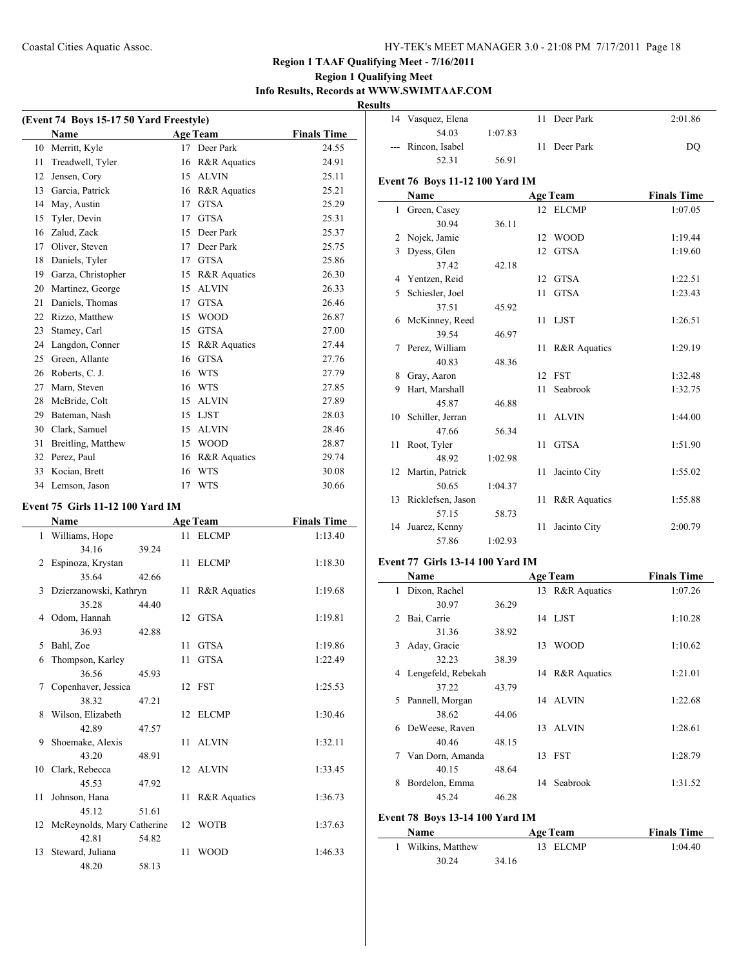# **Region 1 Qualifying Meet Info Results, Records at WWW.SWIMTAAF.COM**

**Results**

| (Event 74 Boys 15-17 50 Yard Freestyle) |                    |    |                 |                    |  |  |
|-----------------------------------------|--------------------|----|-----------------|--------------------|--|--|
|                                         | <b>Name</b>        |    | <b>Age Team</b> | <b>Finals Time</b> |  |  |
| 10                                      | Merritt, Kyle      |    | 17 Deer Park    | 24.55              |  |  |
| 11                                      | Treadwell, Tyler   | 16 | R&R Aquatics    | 24.91              |  |  |
| 12                                      | Jensen, Cory       | 15 | <b>ALVIN</b>    | 25.11              |  |  |
| 13                                      | Garcia, Patrick    | 16 | R&R Aquatics    | 25.21              |  |  |
| 14                                      | May, Austin        | 17 | <b>GTSA</b>     | 25.29              |  |  |
| 15                                      | Tyler, Devin       | 17 | <b>GTSA</b>     | 25.31              |  |  |
| 16                                      | Zalud, Zack        | 15 | Deer Park       | 25.37              |  |  |
| 17                                      | Oliver, Steven     | 17 | Deer Park       | 25.75              |  |  |
| 18                                      | Daniels, Tyler     | 17 | <b>GTSA</b>     | 25.86              |  |  |
| 19                                      | Garza, Christopher | 15 | R&R Aquatics    | 26.30              |  |  |
| 20                                      | Martinez, George   | 15 | <b>ALVIN</b>    | 26.33              |  |  |
| 21                                      | Daniels, Thomas    | 17 | <b>GTSA</b>     | 26.46              |  |  |
| 22                                      | Rizzo, Matthew     | 15 | <b>WOOD</b>     | 26.87              |  |  |
| 23                                      | Stamey, Carl       | 15 | <b>GTSA</b>     | 27.00              |  |  |
| 24                                      | Langdon, Conner    | 15 | R&R Aquatics    | 27.44              |  |  |
| 25                                      | Green, Allante     | 16 | <b>GTSA</b>     | 27.76              |  |  |
| 26                                      | Roberts, C. J.     | 16 | <b>WTS</b>      | 27.79              |  |  |
| 27                                      | Marn, Steven       | 16 | <b>WTS</b>      | 27.85              |  |  |
| 28                                      | McBride, Colt      | 15 | <b>ALVIN</b>    | 27.89              |  |  |
| 29                                      | Bateman, Nash      | 15 | <b>LJST</b>     | 28.03              |  |  |
| 30                                      | Clark, Samuel      | 15 | <b>ALVIN</b>    | 28.46              |  |  |
| 31                                      | Breitling, Matthew | 15 | <b>WOOD</b>     | 28.87              |  |  |
| 32                                      | Perez, Paul        | 16 | R&R Aquatics    | 29.74              |  |  |
| 33                                      | Kocian, Brett      | 16 | <b>WTS</b>      | 30.08              |  |  |
|                                         | 34 Lemson, Jason   | 17 | <b>WTS</b>      | 30.66              |  |  |
| 1.55.011.11.10.100.37<br>T.             |                    |    |                 |                    |  |  |

#### **Event 75 Girls 11-12 100 Yard IM**

|    | Name                          |       |    | <b>Age Team</b>         | <b>Finals Time</b> |
|----|-------------------------------|-------|----|-------------------------|--------------------|
|    | 1 Williams, Hope              |       |    | 11 ELCMP                | 1:13.40            |
|    | 34.16                         | 39.24 |    |                         |                    |
| 2  | Espinoza, Krystan             |       |    | 11 ELCMP                | 1:18.30            |
|    | 35.64                         | 42.66 |    |                         |                    |
| 3  | Dzierzanowski, Kathryn        |       |    | 11 R&R Aquatics         | 1:19.68            |
|    | 35.28                         | 44.40 |    |                         |                    |
| 4  | Odom, Hannah                  |       |    | 12 GTSA                 | 1:19.81            |
|    | 36.93                         | 42.88 |    |                         |                    |
| 5  | Bahl, Zoe                     |       | 11 | <b>GTSA</b>             | 1:19.86            |
| 6  | Thompson, Karley              |       | 11 | <b>GTSA</b>             | 1:22.49            |
|    | 36.56                         | 45.93 |    |                         |                    |
| 7  | Copenhaver, Jessica           |       |    | 12 FST                  | 1:25.53            |
|    | 38.32                         | 47.21 |    |                         |                    |
| 8  | Wilson, Elizabeth             |       |    | 12 ELCMP                | 1:30.46            |
|    | 42.89                         | 47.57 |    |                         |                    |
| 9  | Shoemake, Alexis              |       |    | 11 ALVIN                | 1:32.11            |
|    | 43.20                         | 48.91 |    |                         |                    |
|    | 10 Clark, Rebecca             |       |    | 12 ALVIN                | 1:33.45            |
|    | 45.53                         | 47.92 |    |                         |                    |
| 11 | Johnson, Hana                 |       | 11 | <b>R&amp;R</b> Aquatics | 1:36.73            |
|    | 45.12                         | 51.61 |    |                         |                    |
|    | 12 McReynolds, Mary Catherine |       |    | 12 WOTB                 | 1:37.63            |
|    | 42.81                         | 54.82 |    |                         |                    |
| 13 | Steward, Juliana              |       | 11 | <b>WOOD</b>             | 1:46.33            |
|    | 48.20                         | 58.13 |    |                         |                    |

|    | 14 Vasquez, Elena                       |         | 11           | Deer Park       | 2:01.86            |  |  |  |
|----|-----------------------------------------|---------|--------------|-----------------|--------------------|--|--|--|
|    | 54.03                                   | 1:07.83 |              |                 |                    |  |  |  |
|    | Rincon, Isabel                          |         |              | 11 Deer Park    | DQ                 |  |  |  |
|    | 52.31                                   | 56.91   |              |                 |                    |  |  |  |
|    | Event 76 Boys 11-12 100 Yard IM         |         |              |                 |                    |  |  |  |
|    | Name                                    |         |              | <b>Age Team</b> | <b>Finals Time</b> |  |  |  |
|    | 1 Green, Casey                          |         |              | 12 ELCMP        | 1:07.05            |  |  |  |
|    | 30.94                                   | 36.11   |              |                 |                    |  |  |  |
|    | 2 Nojek, Jamie                          |         | $12^{\circ}$ | <b>WOOD</b>     | 1:19.44            |  |  |  |
|    | 3 Dyess, Glen                           |         | 12           | <b>GTSA</b>     | 1:19.60            |  |  |  |
|    | 37.42                                   | 42.18   |              |                 |                    |  |  |  |
|    | 4 Yentzen, Reid                         |         | 12           | <b>GTSA</b>     | 1:22.51            |  |  |  |
|    | 5 Schiesler, Joel                       |         | 11           | <b>GTSA</b>     | 1:23.43            |  |  |  |
|    | 37.51                                   | 45.92   |              |                 |                    |  |  |  |
|    | 6 McKinney, Reed                        |         |              | 11 LJST         | 1:26.51            |  |  |  |
|    | 39.54                                   | 46.97   |              |                 |                    |  |  |  |
|    | 7 Perez, William                        |         | 11           | R&R Aquatics    | 1:29.19            |  |  |  |
|    | 40.83                                   | 48.36   |              |                 |                    |  |  |  |
| 8. | Gray, Aaron                             |         |              | 12 FST          | 1:32.48            |  |  |  |
| 9  | Hart, Marshall                          |         | 11           | Seabrook        | 1:32.75            |  |  |  |
|    | 45.87                                   | 46.88   |              |                 |                    |  |  |  |
|    | 10 Schiller, Jerran                     |         | 11           | <b>ALVIN</b>    | 1:44.00            |  |  |  |
|    | 47.66                                   | 56.34   |              |                 |                    |  |  |  |
| 11 | Root, Tyler                             |         | 11           | <b>GTSA</b>     | 1:51.90            |  |  |  |
|    | 48.92                                   | 1:02.98 |              |                 |                    |  |  |  |
|    | 12 Martin, Patrick                      |         | 11           | Jacinto City    | 1:55.02            |  |  |  |
|    | 50.65                                   | 1:04.37 |              |                 |                    |  |  |  |
|    | 13 Ricklefsen, Jason                    |         | 11           | R&R Aquatics    | 1:55.88            |  |  |  |
|    | 57.15                                   | 58.73   |              |                 |                    |  |  |  |
|    | 14 Juarez, Kenny                        |         | 11           | Jacinto City    | 2:00.79            |  |  |  |
|    | 57.86                                   | 1:02.93 |              |                 |                    |  |  |  |
|    | <b>Event 77 Girls 13-14 100 Yard IM</b> |         |              |                 |                    |  |  |  |

 $\overline{\phantom{0}}$ 

 $\overline{\phantom{a}}$ 

|                               | Name               |       |    | <b>Age Team</b> | <b>Finals Time</b> |
|-------------------------------|--------------------|-------|----|-----------------|--------------------|
| 1                             | Dixon, Rachel      |       |    | 13 R&R Aquatics | 1:07.26            |
|                               | 30.97              | 36.29 |    |                 |                    |
| $\mathfrak{D}_{\mathfrak{p}}$ | Bai, Carrie        |       |    | 14 LJST         | 1:10.28            |
|                               | 31.36              | 38.92 |    |                 |                    |
| 3                             | Aday, Gracie       |       | 13 | <b>WOOD</b>     | 1:10.62            |
|                               | 32.23              | 38.39 |    |                 |                    |
| 4                             | Lengefeld, Rebekah |       |    | 14 R&R Aquatics | 1:21.01            |
|                               | 37.22              | 43.79 |    |                 |                    |
| 5                             | Pannell, Morgan    |       |    | 14 ALVIN        | 1:22.68            |
|                               | 38.62              | 44.06 |    |                 |                    |
| 6                             | DeWeese, Raven     |       |    | 13 ALVIN        | 1:28.61            |
|                               | 40.46              | 48.15 |    |                 |                    |
| 7                             | Van Dorn, Amanda   |       | 13 | <b>FST</b>      | 1:28.79            |
|                               | 40.15              | 48.64 |    |                 |                    |
| 8                             | Bordelon, Emma     |       | 14 | Seabrook        | 1:31.52            |
|                               | 45.24              | 46.28 |    |                 |                    |
|                               |                    |       |    |                 |                    |

# **Event 78 Boys 13-14 100 Yard IM**

| <b>Name</b>      | Age Team | <b>Finals Time</b> |
|------------------|----------|--------------------|
| Wilkins, Matthew | 13 ELCMP | 1:04.40            |
| 30.24            | 34.16    |                    |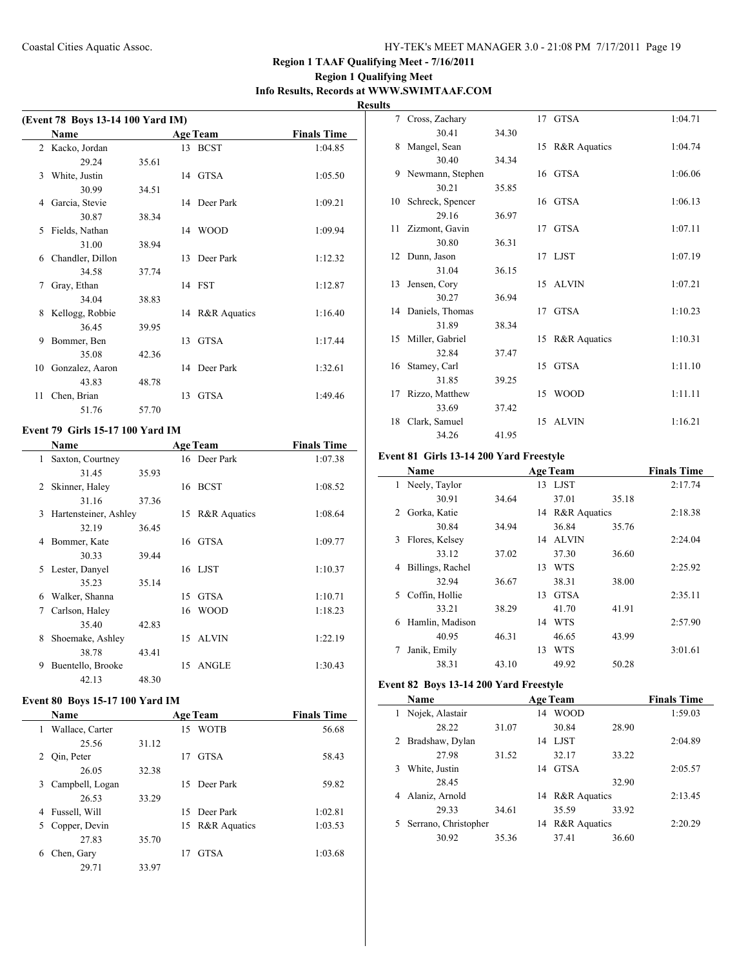# **Region 1 Qualifying Meet Info Results, Records at WWW.SWIMTAAF.COM**

**Results**

| (Event 78 Boys 13-14 100 Yard IM) |                  |       |    |                 |                    |  |  |
|-----------------------------------|------------------|-------|----|-----------------|--------------------|--|--|
|                                   | <b>Name</b>      |       |    | <b>Age Team</b> | <b>Finals Time</b> |  |  |
|                                   | 2 Kacko, Jordan  |       |    | 13 BCST         | 1:04.85            |  |  |
|                                   | 29.24            | 35.61 |    |                 |                    |  |  |
| 3                                 | White, Justin    |       |    | 14 GTSA         | 1:05.50            |  |  |
|                                   | 30.99            | 34.51 |    |                 |                    |  |  |
| 4                                 | Garcia, Stevie   |       |    | 14 Deer Park    | 1:09.21            |  |  |
|                                   | 30.87            | 38.34 |    |                 |                    |  |  |
| 5                                 | Fields, Nathan   |       |    | 14 WOOD         | 1:09.94            |  |  |
|                                   | 31.00            | 38.94 |    |                 |                    |  |  |
| 6                                 | Chandler, Dillon |       |    | 13 Deer Park    | 1:12.32            |  |  |
|                                   | 34.58            | 37.74 |    |                 |                    |  |  |
| 7                                 | Gray, Ethan      |       |    | 14 FST          | 1:12.87            |  |  |
|                                   | 34.04            | 38.83 |    |                 |                    |  |  |
| 8                                 | Kellogg, Robbie  |       |    | 14 R&R Aquatics | 1:16.40            |  |  |
|                                   | 36.45            | 39.95 |    |                 |                    |  |  |
| 9                                 | Bommer, Ben      |       | 13 | <b>GTSA</b>     | 1:17.44            |  |  |
|                                   | 35.08            | 42.36 |    |                 |                    |  |  |
| 10                                | Gonzalez, Aaron  |       |    | 14 Deer Park    | 1:32.61            |  |  |
|                                   | 43.83            | 48.78 |    |                 |                    |  |  |
| 11                                | Chen, Brian      |       | 13 | <b>GTSA</b>     | 1:49.46            |  |  |
|                                   | 51.76            | 57.70 |    |                 |                    |  |  |

# **Event 79 Girls 15-17 100 Yard IM**

|    | Name                  |       |    | <b>Age Team</b> | <b>Finals Time</b> |
|----|-----------------------|-------|----|-----------------|--------------------|
| 1. | Saxton, Courtney      |       |    | 16 Deer Park    | 1:07.38            |
|    | 31.45                 | 35.93 |    |                 |                    |
| 2  | Skinner, Haley        |       |    | 16 BCST         | 1:08.52            |
|    | 31.16                 | 37.36 |    |                 |                    |
| 3  | Hartensteiner, Ashley |       |    | 15 R&R Aquatics | 1:08.64            |
|    | 32.19                 | 36.45 |    |                 |                    |
| 4  | Bommer, Kate          |       |    | 16 GTSA         | 1:09.77            |
|    | 30.33                 | 39.44 |    |                 |                    |
| 5. | Lester, Danyel        |       |    | 16 LJST         | 1:10.37            |
|    | 35.23                 | 35.14 |    |                 |                    |
| 6  | Walker, Shanna        |       | 15 | GTSA            | 1:10.71            |
| 7  | Carlson, Haley        |       | 16 | <b>WOOD</b>     | 1:18.23            |
|    | 35.40                 | 42.83 |    |                 |                    |
| 8  | Shoemake, Ashley      |       |    | 15 ALVIN        | 1:22.19            |
|    | 38.78                 | 43.41 |    |                 |                    |
| 9  | Buentello, Brooke     |       |    | 15 ANGLE        | 1:30.43            |
|    | 42.13                 | 48.30 |    |                 |                    |

# **Event 80 Boys 15-17 100 Yard IM**

|   | <b>Name</b>     | <b>Age Team</b> |    |                 | <b>Finals Time</b> |
|---|-----------------|-----------------|----|-----------------|--------------------|
| 1 | Wallace, Carter |                 | 15 | <b>WOTB</b>     | 56.68              |
|   | 25.56           | 31.12           |    |                 |                    |
|   | 2 Qin, Peter    |                 | 17 | <b>GTSA</b>     | 58.43              |
|   | 26.05           | 32.38           |    |                 |                    |
| 3 | Campbell, Logan |                 |    | 15 Deer Park    | 59.82              |
|   | 26.53           | 33.29           |    |                 |                    |
| 4 | Fussell, Will   |                 |    | 15 Deer Park    | 1:02.81            |
|   | 5 Copper, Devin |                 |    | 15 R&R Aquatics | 1:03.53            |
|   | 27.83           | 35.70           |    |                 |                    |
| 6 | Chen, Gary      |                 | 17 | <b>GTSA</b>     | 1:03.68            |
|   | 29.71           | 33.97           |    |                 |                    |

|    | 7 Cross, Zachary    |       |    | 17 GTSA                 | 1:04.71 |
|----|---------------------|-------|----|-------------------------|---------|
|    | 30.41               | 34.30 |    |                         |         |
| 8  | Mangel, Sean        |       |    | 15 R&R Aquatics         | 1:04.74 |
|    | 30.40               | 34.34 |    |                         |         |
| 9. | Newmann, Stephen    |       |    | 16 GTSA                 | 1:06.06 |
|    | 30.21               | 35.85 |    |                         |         |
|    | 10 Schreck, Spencer |       |    | 16 GTSA                 | 1:06.13 |
|    | 29.16               | 36.97 |    |                         |         |
| 11 | Zizmont, Gavin      |       |    | 17 GTSA                 | 1:07.11 |
|    | 30.80               | 36.31 |    |                         |         |
| 12 | Dunn, Jason         |       |    | 17 LJST                 | 1:07.19 |
|    | 31.04               | 36.15 |    |                         |         |
| 13 | Jensen, Cory        |       |    | 15 ALVIN                | 1:07.21 |
|    | 30.27               | 36.94 |    |                         |         |
|    | 14 Daniels, Thomas  |       |    | 17 GTSA                 | 1:10.23 |
|    | 31.89               | 38.34 |    |                         |         |
| 15 | Miller, Gabriel     |       | 15 | <b>R&amp;R</b> Aquatics | 1:10.31 |
|    | 32.84               | 37.47 |    |                         |         |
|    | 16 Stamey, Carl     |       | 15 | GTSA                    | 1:11.10 |
|    | 31.85               | 39.25 |    |                         |         |
| 17 | Rizzo, Matthew      |       | 15 | <b>WOOD</b>             | 1:11.11 |
|    | 33.69               | 37.42 |    |                         |         |
| 18 | Clark, Samuel       |       |    | 15 ALVIN                | 1:16.21 |
|    | 34.26               | 41.95 |    |                         |         |

#### **Event 81 Girls 13-14 200 Yard Freestyle**

|    | <b>Name</b>      |       |    | <b>Age Team</b> |       | <b>Finals Time</b> |
|----|------------------|-------|----|-----------------|-------|--------------------|
| 1. | Neely, Taylor    |       |    | 13 LJST         |       | 2:17.74            |
|    | 30.91            | 34.64 |    | 37.01           | 35.18 |                    |
| 2  | Gorka, Katie     |       |    | 14 R&R Aquatics |       | 2:18.38            |
|    | 30.84            | 34.94 |    | 36.84           | 35.76 |                    |
| 3  | Flores, Kelsey   |       |    | 14 ALVIN        |       | 2:24.04            |
|    | 33.12            | 37.02 |    | 37.30           | 36.60 |                    |
| 4  | Billings, Rachel |       | 13 | <b>WTS</b>      |       | 2:25.92            |
|    | 32.94            | 36.67 |    | 38.31           | 38.00 |                    |
| 5. | Coffin, Hollie   |       | 13 | <b>GTSA</b>     |       | 2:35.11            |
|    | 33.21            | 38.29 |    | 41.70           | 41.91 |                    |
| 6  | Hamlin, Madison  |       | 14 | <b>WTS</b>      |       | 2:57.90            |
|    | 40.95            | 46.31 |    | 46.65           | 43.99 |                    |
|    | Janik, Emily     |       | 13 | <b>WTS</b>      |       | 3:01.61            |
|    | 38.31            | 43.10 |    | 49.92           | 50.28 |                    |

# **Event 82 Boys 13-14 200 Yard Freestyle**

|   | Name                 |       |    | <b>Age Team</b> |       | <b>Finals Time</b> |
|---|----------------------|-------|----|-----------------|-------|--------------------|
|   | Nojek, Alastair      |       | 14 | <b>WOOD</b>     |       | 1:59.03            |
|   | 28.22                | 31.07 |    | 30.84           | 28.90 |                    |
|   | 2 Bradshaw, Dylan    |       | 14 | LJST            |       | 2:04.89            |
|   | 27.98                | 31.52 |    | 32.17           | 33.22 |                    |
| 3 | White, Justin        |       | 14 | <b>GTSA</b>     |       | 2:05.57            |
|   | 28.45                |       |    |                 | 32.90 |                    |
| 4 | Alaniz, Arnold       |       |    | 14 R&R Aquatics |       | 2:13.45            |
|   | 29.33                | 34.61 |    | 35.59           | 33.92 |                    |
| 5 | Serrano, Christopher |       | 14 | R&R Aquatics    |       | 2:20.29            |
|   | 30.92                | 35.36 |    | 37.41           | 36.60 |                    |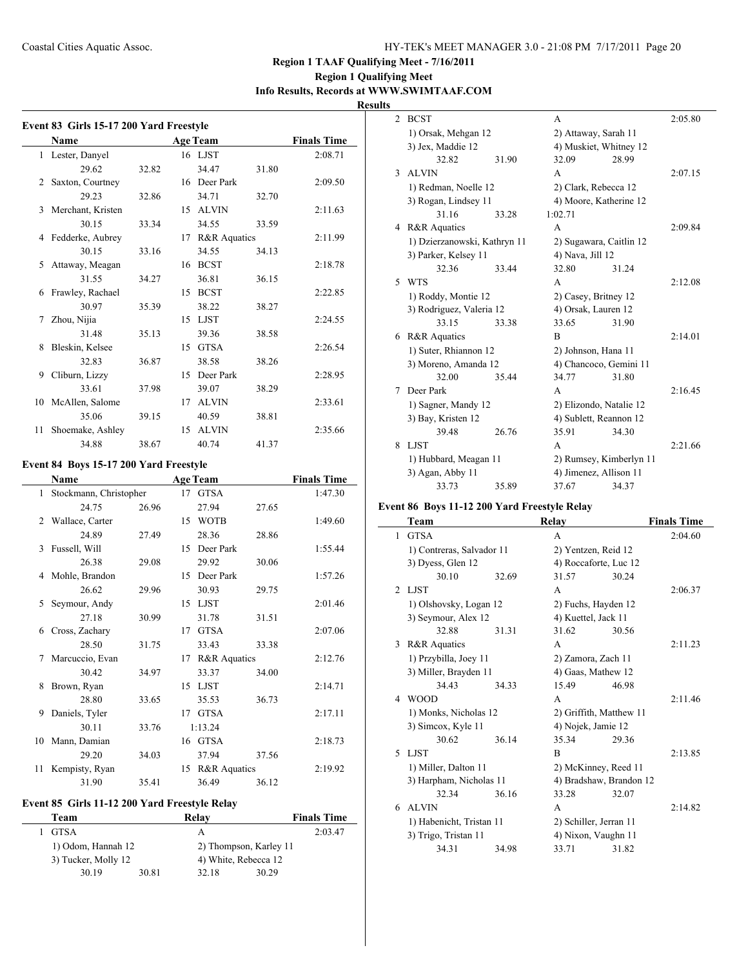# **Region 1 Qualifying Meet Info Results, Records at WWW.SWIMTAAF.COM**

**Results**

 $\overline{\phantom{a}}$ 

| Event 83 Girls 15-17 200 Yard Freestyle |                                        |                    |  |                 |       |                    |  |
|-----------------------------------------|----------------------------------------|--------------------|--|-----------------|-------|--------------------|--|
|                                         | Name                                   | <b>Finals Time</b> |  |                 |       |                    |  |
| $\mathbf{1}$                            | Lester, Danyel                         |                    |  | 16 LJST         |       | 2:08.71            |  |
|                                         | 29.62                                  | 32.82              |  | 34.47           | 31.80 |                    |  |
| 2                                       | Saxton, Courtney                       |                    |  | 16 Deer Park    |       | 2:09.50            |  |
|                                         | 29.23                                  | 32.86              |  | 34.71           | 32.70 |                    |  |
| 3                                       | Merchant, Kristen                      |                    |  | 15 ALVIN        |       | 2:11.63            |  |
|                                         | 30.15                                  | 33.34              |  | 34.55           | 33.59 |                    |  |
| 4                                       | Fedderke, Aubrey                       |                    |  | 17 R&R Aquatics |       | 2:11.99            |  |
|                                         | 30.15                                  | 33.16              |  | 34.55           | 34.13 |                    |  |
| 5                                       | Attaway, Meagan                        |                    |  | 16 BCST         |       | 2:18.78            |  |
|                                         | 31.55                                  | 34.27              |  | 36.81           | 36.15 |                    |  |
| 6                                       | Frawley, Rachael                       |                    |  | 15 BCST         |       | 2:22.85            |  |
|                                         | 30.97                                  | 35.39              |  | 38.22           | 38.27 |                    |  |
| 7                                       | Zhou, Nijia                            |                    |  | 15 LJST         |       | 2:24.55            |  |
|                                         | 31.48                                  | 35.13              |  | 39.36           | 38.58 |                    |  |
| 8                                       | Bleskin, Kelsee                        |                    |  | 15 GTSA         |       | 2:26.54            |  |
|                                         | 32.83                                  | 36.87              |  | 38.58           | 38.26 |                    |  |
| 9                                       | Cliburn, Lizzy                         |                    |  | 15 Deer Park    |       | 2:28.95            |  |
|                                         | 33.61                                  | 37.98              |  | 39.07           | 38.29 |                    |  |
| 10                                      | McAllen, Salome                        |                    |  | 17 ALVIN        |       | 2:33.61            |  |
|                                         | 35.06                                  | 39.15              |  | 40.59           | 38.81 |                    |  |
| 11                                      | Shoemake, Ashley                       |                    |  | 15 ALVIN        |       | 2:35.66            |  |
|                                         | 34.88                                  | 38.67              |  | 40.74           | 41.37 |                    |  |
|                                         | Event 84 Boys 15-17 200 Yard Freestyle |                    |  |                 |       |                    |  |
|                                         | Name                                   |                    |  | <b>Age Team</b> |       | <b>Finals Time</b> |  |
| 1                                       | Stockmann, Christopher                 |                    |  | 17 GTSA         |       | 1:47.30            |  |
|                                         | 24.75                                  | 26.96              |  | 27.94           | 27.65 |                    |  |
| 2                                       | Wallace, Carter                        |                    |  | 15 WOTB         |       | 1:49.60            |  |
|                                         | 24.89                                  | 27.49              |  | 28.36           | 28.86 |                    |  |
| 3                                       | Fussell, Will                          |                    |  | 15 Deer Park    |       | 1:55.44            |  |
|                                         | 26.38                                  | 29.08              |  | 29.92           | 30.06 |                    |  |
| 4                                       | Mohle, Brandon                         |                    |  | 15 Deer Park    |       | 1:57.26            |  |
|                                         | 26.62                                  | 29.96              |  | 30.93           | 29.75 |                    |  |
| 5                                       | Seymour, Andy                          |                    |  | 15 LJST         |       | 2:01.46            |  |
|                                         | 27.18                                  | 30.99              |  | 31.78           | 31.51 |                    |  |
| 6                                       | Cross, Zachary                         |                    |  | 17 GTSA         |       | 2:07.06            |  |
|                                         | 28.50                                  | 31.75              |  | 33.43           | 33.38 |                    |  |
|                                         | 7 Marcuccio, Evan                      |                    |  | 17 R&R Aquatics |       | 2:12.76            |  |
|                                         | 30.42                                  | 34.97              |  | 33.37           | 34.00 |                    |  |
| 8                                       | Brown, Ryan                            |                    |  | 15 LJST         |       | 2:14.71            |  |
|                                         | 28.80                                  | 33.65              |  | 35.53           | 36.73 |                    |  |
| 9                                       | Daniels, Tyler                         |                    |  | 17 GTSA         |       | 2:17.11            |  |
|                                         | 30.11                                  | 33.76              |  | 1:13.24         |       |                    |  |
| 10                                      | Mann, Damian                           |                    |  | 16 GTSA         |       | 2:18.73            |  |
|                                         | 29.20                                  | 34.03              |  | 37.94           | 37.56 |                    |  |
| 11                                      | Kempisty, Ryan                         |                    |  | 15 R&R Aquatics |       | 2:19.92            |  |
|                                         | 31.90                                  | 35.41              |  | 36.49           | 36.12 |                    |  |

# **Event 85 Girls 11-12 200 Yard Freestyle Relay**

| Team                |       | Relav | <b>Finals Time</b>     |
|---------------------|-------|-------|------------------------|
| GTSA                |       | А     | 2:03.47                |
| 1) Odom, Hannah 12  |       |       | 2) Thompson, Karley 11 |
| 3) Tucker, Molly 12 |       |       | 4) White, Rebecca 12   |
| 30.19               | 30.81 | 32.18 | 30.29                  |

| 2 | <b>BCST</b>                  |       | A                       |       | 2:05.80 |
|---|------------------------------|-------|-------------------------|-------|---------|
|   | 1) Orsak, Mehgan 12          |       | 2) Attaway, Sarah 11    |       |         |
|   | 3) Jex, Maddie 12            |       | 4) Muskiet, Whitney 12  |       |         |
|   | 32.82                        | 31.90 | 32.09                   | 28.99 |         |
| 3 | <b>ALVIN</b>                 |       | A                       |       | 2:07.15 |
|   | 1) Redman, Noelle 12         |       | 2) Clark, Rebecca 12    |       |         |
|   | 3) Rogan, Lindsey 11         |       | 4) Moore, Katherine 12  |       |         |
|   | 31.16                        | 33.28 | 1:02.71                 |       |         |
| 4 | <b>R&amp;R</b> Aquatics      |       | A                       |       | 2:09.84 |
|   | 1) Dzierzanowski, Kathryn 11 |       | 2) Sugawara, Caitlin 12 |       |         |
|   | 3) Parker, Kelsey 11         |       | 4) Nava, Jill 12        |       |         |
|   | 32.36                        | 33.44 | 32.80                   | 31.24 |         |
| 5 | <b>WTS</b>                   |       | A                       |       | 2:12.08 |
|   | 1) Roddy, Montie 12          |       | 2) Casey, Britney 12    |       |         |
|   | 3) Rodriguez, Valeria 12     |       | 4) Orsak, Lauren 12     |       |         |
|   | 33.15                        | 33.38 | 33.65                   | 31.90 |         |
| 6 | <b>R&amp;R</b> Aquatics      |       | B                       |       | 2:14.01 |
|   | 1) Suter, Rhiannon 12        |       | 2) Johnson, Hana 11     |       |         |
|   | 3) Moreno, Amanda 12         |       | 4) Chancoco, Gemini 11  |       |         |
|   | 32.00                        | 35.44 | 34.77                   | 31.80 |         |
| 7 | Deer Park                    |       | A                       |       | 2:16.45 |
|   | 1) Sagner, Mandy 12          |       | 2) Elizondo, Natalie 12 |       |         |
|   | 3) Bay, Kristen 12           |       | 4) Sublett, Reannon 12  |       |         |
|   | 39.48                        | 26.76 | 35.91                   | 34.30 |         |
| 8 | <b>LIST</b>                  |       | A                       |       | 2:21.66 |
|   | 1) Hubbard, Meagan 11        |       | 2) Rumsey, Kimberlyn 11 |       |         |
|   | 3) Agan, Abby 11             |       | 4) Jimenez, Allison 11  |       |         |
|   | 33.73                        | 35.89 | 37.67                   | 34.37 |         |

# **Event 86 Boys 11-12 200 Yard Freestyle Relay**

|                | Team                      |       | Relay                   |       | <b>Finals Time</b> |
|----------------|---------------------------|-------|-------------------------|-------|--------------------|
| 1              | <b>GTSA</b>               |       | A                       |       | 2:04.60            |
|                | 1) Contreras, Salvador 11 |       | 2) Yentzen, Reid 12     |       |                    |
|                | 3) Dyess, Glen 12         |       | 4) Roccaforte, Luc 12   |       |                    |
|                | 30.10                     | 32.69 | 31.57                   | 30.24 |                    |
| $\mathfrak{D}$ | LJST                      |       | A                       |       | 2:06.37            |
|                | 1) Olshovsky, Logan 12    |       | 2) Fuchs, Hayden 12     |       |                    |
|                | 3) Seymour, Alex 12       |       | 4) Kuettel, Jack 11     |       |                    |
|                | 32.88                     | 31.31 | 31.62                   | 30.56 |                    |
| 3              | R&R Aquatics              |       | A                       |       | 2:11.23            |
|                | 1) Przybilla, Joey 11     |       | 2) Zamora, Zach 11      |       |                    |
|                | 3) Miller, Brayden 11     |       | 4) Gaas, Mathew 12      |       |                    |
|                | 34.43                     | 34.33 | 15.49                   | 46.98 |                    |
| 4              | <b>WOOD</b>               |       | A                       |       | 2:11.46            |
|                | 1) Monks, Nicholas 12     |       | 2) Griffith, Matthew 11 |       |                    |
|                | 3) Simcox, Kyle 11        |       | 4) Nojek, Jamie 12      |       |                    |
|                | 30.62                     | 36.14 | 35.34                   | 29.36 |                    |
| 5              | LJST                      |       | B                       |       | 2:13.85            |
|                | 1) Miller, Dalton 11      |       | 2) McKinney, Reed 11    |       |                    |
|                | 3) Harpham, Nicholas 11   |       | 4) Bradshaw, Brandon 12 |       |                    |
|                | 32.34                     | 36.16 | 33.28                   | 32.07 |                    |
| 6              | <b>ALVIN</b>              |       | A                       |       | 2:14.82            |
|                | 1) Habenicht, Tristan 11  |       | 2) Schiller, Jerran 11  |       |                    |
|                | 3) Trigo, Tristan 11      |       | 4) Nixon, Vaughn 11     |       |                    |
|                | 34.31                     | 34.98 | 33.71                   | 31.82 |                    |